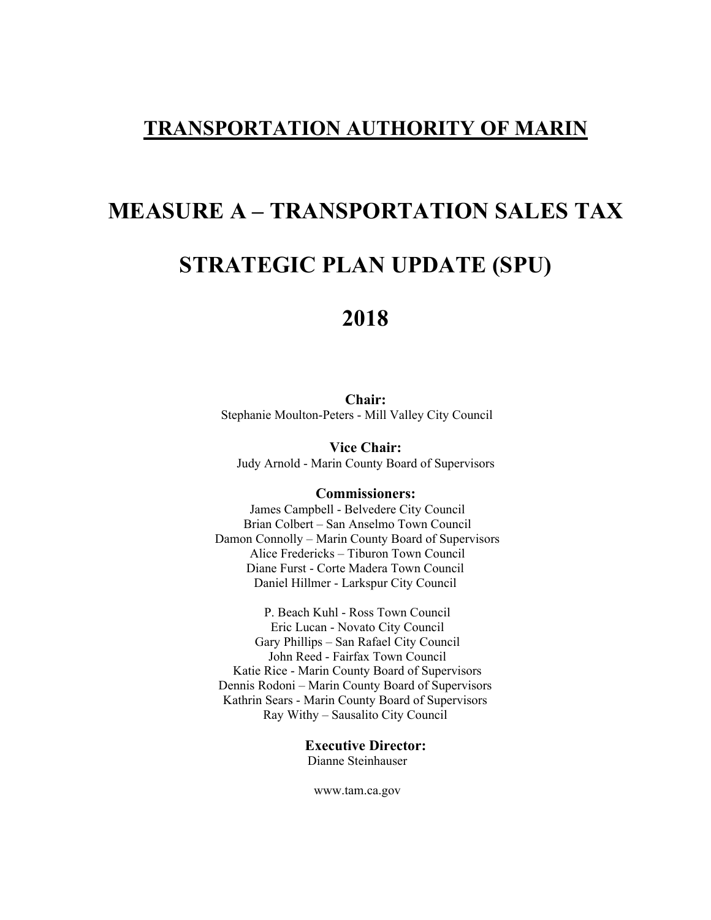# **TRANSPORTATION AUTHORITY OF MARIN**

# **MEASURE A – TRANSPORTATION SALES TAX**

# **STRATEGIC PLAN UPDATE (SPU)**

# **2018**

**Chair:**  Stephanie Moulton-Peters - Mill Valley City Council

**Vice Chair:**  Judy Arnold - Marin County Board of Supervisors

#### **Commissioners:**

James Campbell - Belvedere City Council Brian Colbert – San Anselmo Town Council Damon Connolly – Marin County Board of Supervisors Alice Fredericks – Tiburon Town Council Diane Furst - Corte Madera Town Council Daniel Hillmer - Larkspur City Council

P. Beach Kuhl - Ross Town Council Eric Lucan - Novato City Council Gary Phillips – San Rafael City Council John Reed - Fairfax Town Council Katie Rice - Marin County Board of Supervisors Dennis Rodoni – Marin County Board of Supervisors Kathrin Sears - Marin County Board of Supervisors Ray Withy – Sausalito City Council

> **Executive Director:**  Dianne Steinhauser

www.tam.ca.gov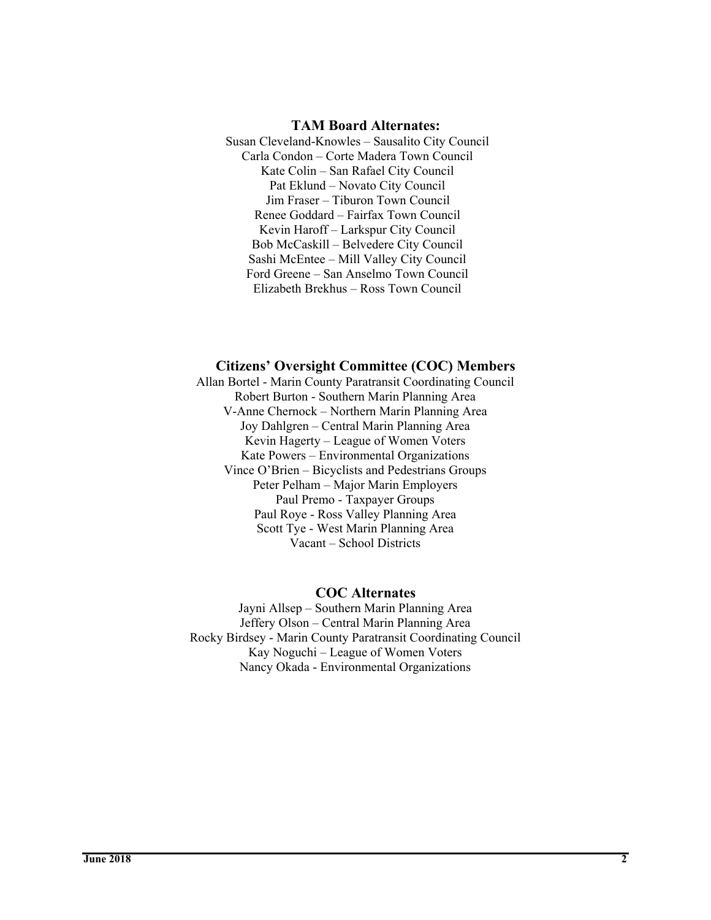#### **TAM Board Alternates:**

Susan Cleveland-Knowles – Sausalito City Council Carla Condon – Corte Madera Town Council Kate Colin – San Rafael City Council Pat Eklund – Novato City Council Jim Fraser – Tiburon Town Council Renee Goddard – Fairfax Town Council Kevin Haroff – Larkspur City Council Bob McCaskill – Belvedere City Council Sashi McEntee – Mill Valley City Council Ford Greene – San Anselmo Town Council Elizabeth Brekhus – Ross Town Council

#### **Citizens' Oversight Committee (COC) Members**

Allan Bortel - Marin County Paratransit Coordinating Council Robert Burton - Southern Marin Planning Area V-Anne Chernock – Northern Marin Planning Area Joy Dahlgren – Central Marin Planning Area Kevin Hagerty – League of Women Voters Kate Powers – Environmental Organizations Vince O'Brien – Bicyclists and Pedestrians Groups Peter Pelham – Major Marin Employers Paul Premo - Taxpayer Groups Paul Roye - Ross Valley Planning Area Scott Tye - West Marin Planning Area Vacant – School Districts

#### **COC Alternates**

Jayni Allsep – Southern Marin Planning Area Jeffery Olson – Central Marin Planning Area Rocky Birdsey - Marin County Paratransit Coordinating Council Kay Noguchi – League of Women Voters Nancy Okada - Environmental Organizations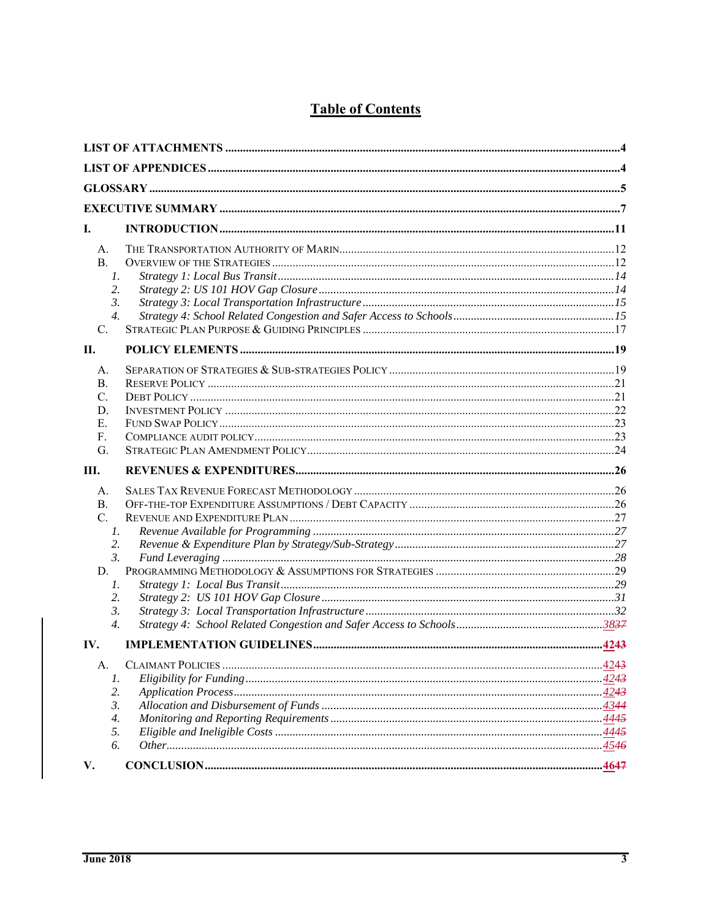|--|

| Ι.                                                                                  |  |
|-------------------------------------------------------------------------------------|--|
| А.<br><b>B.</b><br>1.<br>2.<br>3.<br>$\overline{4}$ .<br>C.                         |  |
| П.                                                                                  |  |
| А.<br><b>B.</b><br>C.<br>D.<br>Е.<br>$F_{\cdot}$<br>G.                              |  |
| Ш.                                                                                  |  |
| А.<br><b>B.</b><br>C.<br>1.<br>2.<br>3.<br>D.<br>1.<br>2.<br>3.<br>$\overline{4}$ . |  |
| IV.                                                                                 |  |
| А.<br>1.<br>2.                                                                      |  |
| 3.<br>4.<br>5.<br>б.<br>V.                                                          |  |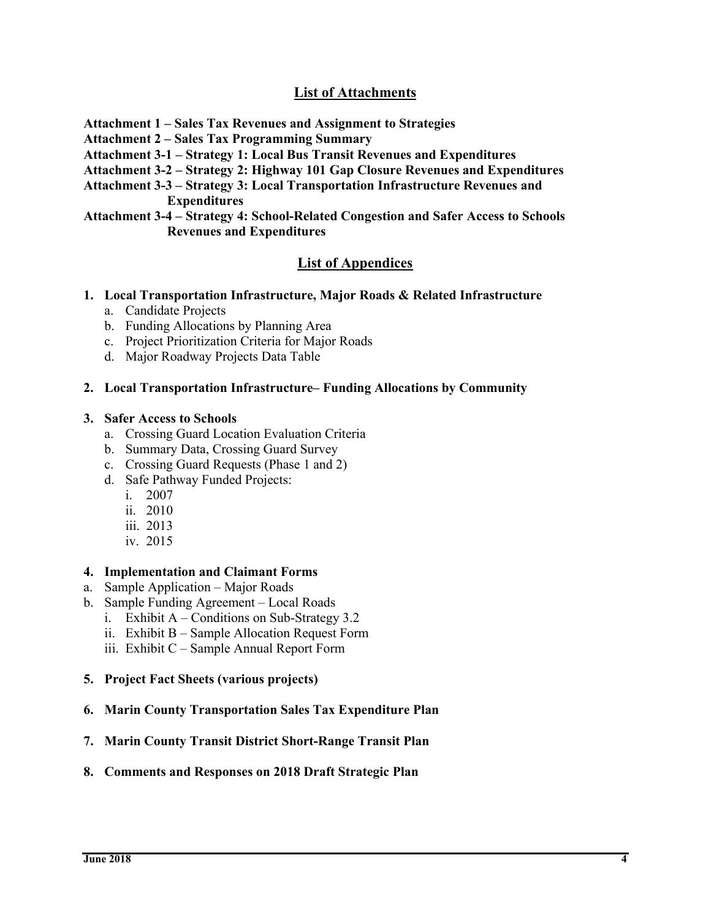# **List of Attachments**

- **Attachment 1 Sales Tax Revenues and Assignment to Strategies**
- **Attachment 2 Sales Tax Programming Summary**
- **Attachment 3-1 Strategy 1: Local Bus Transit Revenues and Expenditures**
- **Attachment 3-2 Strategy 2: Highway 101 Gap Closure Revenues and Expenditures**
- **Attachment 3-3 Strategy 3: Local Transportation Infrastructure Revenues and Expenditures**
- **Attachment 3-4 Strategy 4: School-Related Congestion and Safer Access to Schools Revenues and Expenditures**

#### **List of Appendices**

- **1. Local Transportation Infrastructure, Major Roads & Related Infrastructure** 
	- a. Candidate Projects
	- b. Funding Allocations by Planning Area
	- c. Project Prioritization Criteria for Major Roads
	- d. Major Roadway Projects Data Table

#### **2. Local Transportation Infrastructure– Funding Allocations by Community**

#### **3. Safer Access to Schools**

- a. Crossing Guard Location Evaluation Criteria
- b. Summary Data, Crossing Guard Survey
- c. Crossing Guard Requests (Phase 1 and 2)
- d. Safe Pathway Funded Projects:
	- i. 2007
	- ii. 2010
	- iii. 2013
	- iv. 2015

#### **4. Implementation and Claimant Forms**

- a. Sample Application Major Roads
- b. Sample Funding Agreement Local Roads
	- i. Exhibit  $A -$  Conditions on Sub-Strategy 3.2
	- ii. Exhibit B Sample Allocation Request Form
	- iii. Exhibit C Sample Annual Report Form
- **5. Project Fact Sheets (various projects)**
- **6. Marin County Transportation Sales Tax Expenditure Plan**
- **7. Marin County Transit District Short-Range Transit Plan**
- **8. Comments and Responses on 2018 Draft Strategic Plan**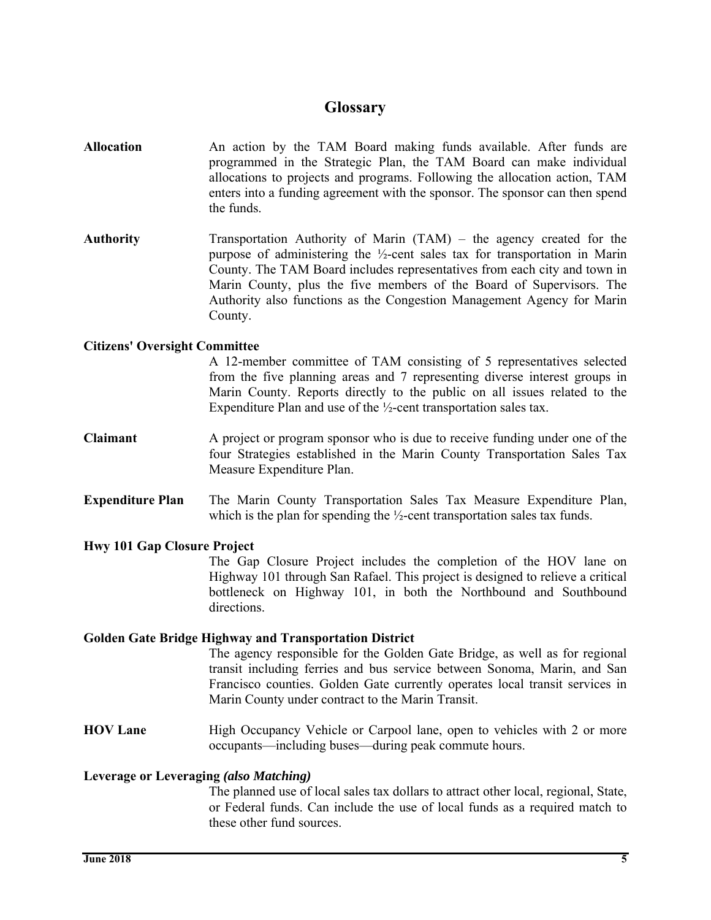# **Glossary**

- **Allocation** An action by the TAM Board making funds available. After funds are programmed in the Strategic Plan, the TAM Board can make individual allocations to projects and programs. Following the allocation action, TAM enters into a funding agreement with the sponsor. The sponsor can then spend the funds.
- **Authority** Transportation Authority of Marin (TAM) the agency created for the purpose of administering the ½-cent sales tax for transportation in Marin County. The TAM Board includes representatives from each city and town in Marin County, plus the five members of the Board of Supervisors. The Authority also functions as the Congestion Management Agency for Marin County.

#### **Citizens' Oversight Committee**

A 12-member committee of TAM consisting of 5 representatives selected from the five planning areas and 7 representing diverse interest groups in Marin County. Reports directly to the public on all issues related to the Expenditure Plan and use of the ½-cent transportation sales tax.

- **Claimant** A project or program sponsor who is due to receive funding under one of the four Strategies established in the Marin County Transportation Sales Tax Measure Expenditure Plan.
- **Expenditure Plan** The Marin County Transportation Sales Tax Measure Expenditure Plan, which is the plan for spending the ½-cent transportation sales tax funds.

#### **Hwy 101 Gap Closure Project**

 The Gap Closure Project includes the completion of the HOV lane on Highway 101 through San Rafael. This project is designed to relieve a critical bottleneck on Highway 101, in both the Northbound and Southbound directions.

#### **Golden Gate Bridge Highway and Transportation District**

The agency responsible for the Golden Gate Bridge, as well as for regional transit including ferries and bus service between Sonoma, Marin, and San Francisco counties. Golden Gate currently operates local transit services in Marin County under contract to the Marin Transit.

**HOV Lane** High Occupancy Vehicle or Carpool lane, open to vehicles with 2 or more occupants—including buses—during peak commute hours.

#### **Leverage or Leveraging** *(also Matching)*

The planned use of local sales tax dollars to attract other local, regional, State, or Federal funds. Can include the use of local funds as a required match to these other fund sources.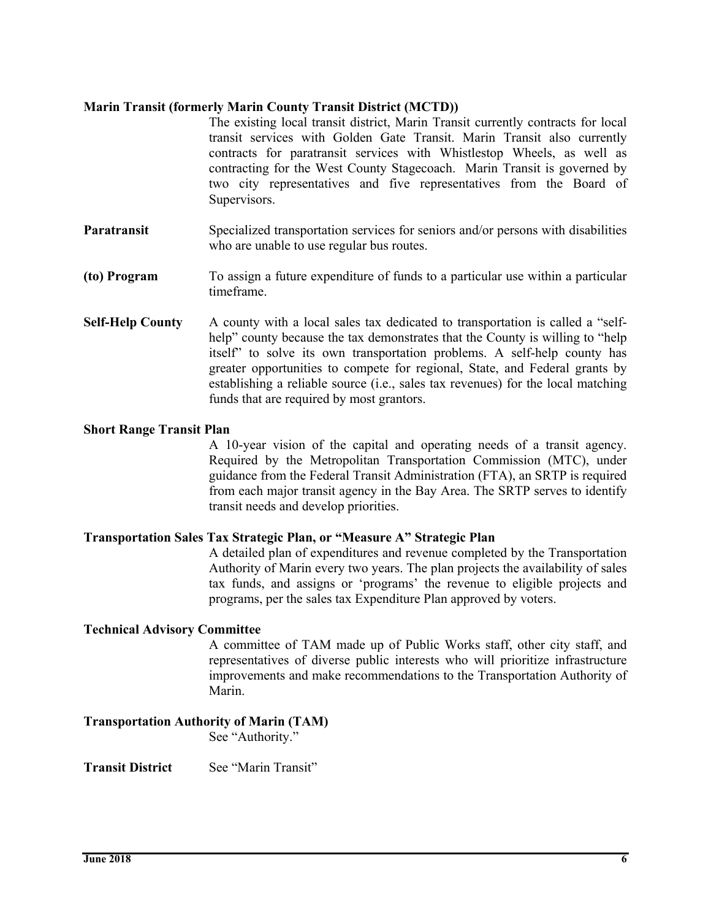#### **Marin Transit (formerly Marin County Transit District (MCTD))**

The existing local transit district, Marin Transit currently contracts for local transit services with Golden Gate Transit. Marin Transit also currently contracts for paratransit services with Whistlestop Wheels, as well as contracting for the West County Stagecoach. Marin Transit is governed by two city representatives and five representatives from the Board of Supervisors.

- **Paratransit** Specialized transportation services for seniors and/or persons with disabilities who are unable to use regular bus routes.
- **(to) Program** To assign a future expenditure of funds to a particular use within a particular timeframe.
- **Self-Help County** A county with a local sales tax dedicated to transportation is called a "selfhelp" county because the tax demonstrates that the County is willing to "help" itself" to solve its own transportation problems. A self-help county has greater opportunities to compete for regional, State, and Federal grants by establishing a reliable source (i.e., sales tax revenues) for the local matching funds that are required by most grantors.

#### **Short Range Transit Plan**

A 10-year vision of the capital and operating needs of a transit agency. Required by the Metropolitan Transportation Commission (MTC), under guidance from the Federal Transit Administration (FTA), an SRTP is required from each major transit agency in the Bay Area. The SRTP serves to identify transit needs and develop priorities.

#### **Transportation Sales Tax Strategic Plan, or "Measure A" Strategic Plan**

A detailed plan of expenditures and revenue completed by the Transportation Authority of Marin every two years. The plan projects the availability of sales tax funds, and assigns or 'programs' the revenue to eligible projects and programs, per the sales tax Expenditure Plan approved by voters.

#### **Technical Advisory Committee**

 A committee of TAM made up of Public Works staff, other city staff, and representatives of diverse public interests who will prioritize infrastructure improvements and make recommendations to the Transportation Authority of Marin.

#### **Transportation Authority of Marin (TAM)**

See "Authority."

**Transit District** See "Marin Transit"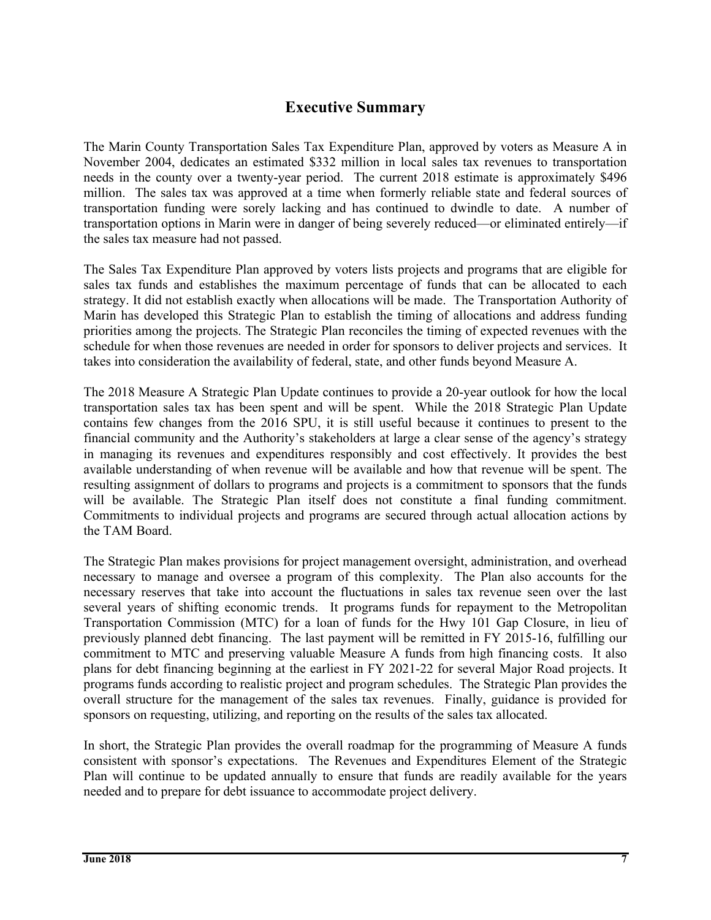# **Executive Summary**

The Marin County Transportation Sales Tax Expenditure Plan, approved by voters as Measure A in November 2004, dedicates an estimated \$332 million in local sales tax revenues to transportation needs in the county over a twenty-year period. The current 2018 estimate is approximately \$496 million. The sales tax was approved at a time when formerly reliable state and federal sources of transportation funding were sorely lacking and has continued to dwindle to date. A number of transportation options in Marin were in danger of being severely reduced—or eliminated entirely—if the sales tax measure had not passed.

The Sales Tax Expenditure Plan approved by voters lists projects and programs that are eligible for sales tax funds and establishes the maximum percentage of funds that can be allocated to each strategy. It did not establish exactly when allocations will be made. The Transportation Authority of Marin has developed this Strategic Plan to establish the timing of allocations and address funding priorities among the projects. The Strategic Plan reconciles the timing of expected revenues with the schedule for when those revenues are needed in order for sponsors to deliver projects and services. It takes into consideration the availability of federal, state, and other funds beyond Measure A.

The 2018 Measure A Strategic Plan Update continues to provide a 20-year outlook for how the local transportation sales tax has been spent and will be spent. While the 2018 Strategic Plan Update contains few changes from the 2016 SPU, it is still useful because it continues to present to the financial community and the Authority's stakeholders at large a clear sense of the agency's strategy in managing its revenues and expenditures responsibly and cost effectively. It provides the best available understanding of when revenue will be available and how that revenue will be spent. The resulting assignment of dollars to programs and projects is a commitment to sponsors that the funds will be available. The Strategic Plan itself does not constitute a final funding commitment. Commitments to individual projects and programs are secured through actual allocation actions by the TAM Board.

The Strategic Plan makes provisions for project management oversight, administration, and overhead necessary to manage and oversee a program of this complexity. The Plan also accounts for the necessary reserves that take into account the fluctuations in sales tax revenue seen over the last several years of shifting economic trends. It programs funds for repayment to the Metropolitan Transportation Commission (MTC) for a loan of funds for the Hwy 101 Gap Closure, in lieu of previously planned debt financing. The last payment will be remitted in FY 2015-16, fulfilling our commitment to MTC and preserving valuable Measure A funds from high financing costs. It also plans for debt financing beginning at the earliest in FY 2021-22 for several Major Road projects. It programs funds according to realistic project and program schedules. The Strategic Plan provides the overall structure for the management of the sales tax revenues. Finally, guidance is provided for sponsors on requesting, utilizing, and reporting on the results of the sales tax allocated.

In short, the Strategic Plan provides the overall roadmap for the programming of Measure A funds consistent with sponsor's expectations. The Revenues and Expenditures Element of the Strategic Plan will continue to be updated annually to ensure that funds are readily available for the years needed and to prepare for debt issuance to accommodate project delivery.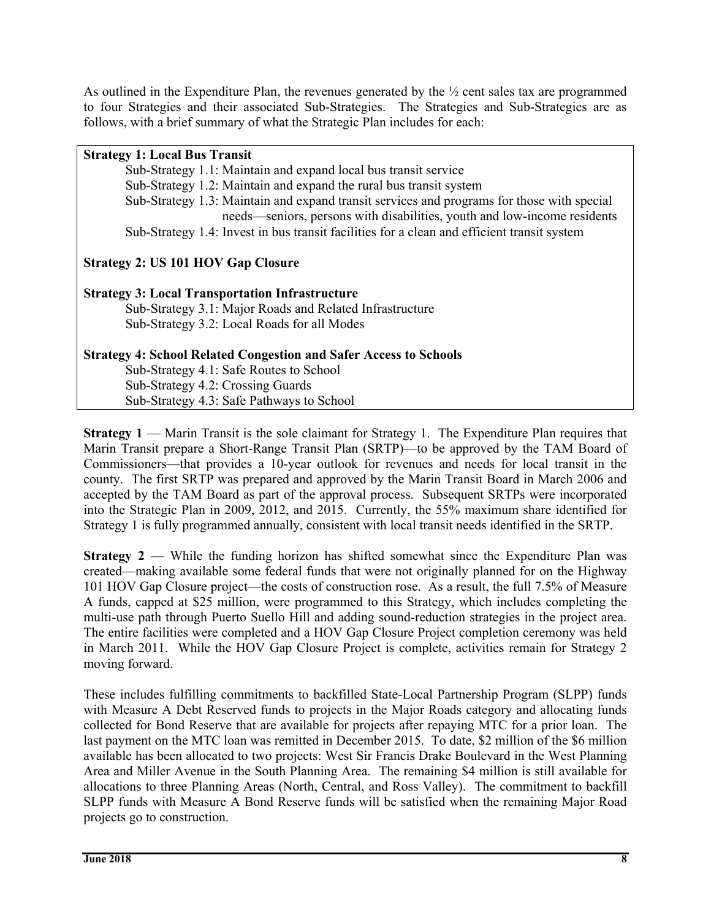As outlined in the Expenditure Plan, the revenues generated by the  $\frac{1}{2}$  cent sales tax are programmed to four Strategies and their associated Sub-Strategies. The Strategies and Sub-Strategies are as follows, with a brief summary of what the Strategic Plan includes for each:

#### **Strategy 1: Local Bus Transit**

Sub-Strategy 1.1: Maintain and expand local bus transit service

- Sub-Strategy 1.2: Maintain and expand the rural bus transit system
- Sub-Strategy 1.3: Maintain and expand transit services and programs for those with special needs—seniors, persons with disabilities, youth and low-income residents

Sub-Strategy 1.4: Invest in bus transit facilities for a clean and efficient transit system

# **Strategy 2: US 101 HOV Gap Closure**

# **Strategy 3: Local Transportation Infrastructure**

 Sub-Strategy 3.1: Major Roads and Related Infrastructure Sub-Strategy 3.2: Local Roads for all Modes

# **Strategy 4: School Related Congestion and Safer Access to Schools**

 Sub-Strategy 4.1: Safe Routes to School Sub-Strategy 4.2: Crossing Guards Sub-Strategy 4.3: Safe Pathways to School

**Strategy 1** — Marin Transit is the sole claimant for Strategy 1. The Expenditure Plan requires that Marin Transit prepare a Short-Range Transit Plan (SRTP)—to be approved by the TAM Board of Commissioners—that provides a 10-year outlook for revenues and needs for local transit in the county. The first SRTP was prepared and approved by the Marin Transit Board in March 2006 and accepted by the TAM Board as part of the approval process. Subsequent SRTPs were incorporated into the Strategic Plan in 2009, 2012, and 2015. Currently, the 55% maximum share identified for Strategy 1 is fully programmed annually, consistent with local transit needs identified in the SRTP.

**Strategy 2** — While the funding horizon has shifted somewhat since the Expenditure Plan was created—making available some federal funds that were not originally planned for on the Highway 101 HOV Gap Closure project—the costs of construction rose. As a result, the full 7.5% of Measure A funds, capped at \$25 million, were programmed to this Strategy, which includes completing the multi-use path through Puerto Suello Hill and adding sound-reduction strategies in the project area. The entire facilities were completed and a HOV Gap Closure Project completion ceremony was held in March 2011. While the HOV Gap Closure Project is complete, activities remain for Strategy 2 moving forward.

These includes fulfilling commitments to backfilled State-Local Partnership Program (SLPP) funds with Measure A Debt Reserved funds to projects in the Major Roads category and allocating funds collected for Bond Reserve that are available for projects after repaying MTC for a prior loan. The last payment on the MTC loan was remitted in December 2015. To date, \$2 million of the \$6 million available has been allocated to two projects: West Sir Francis Drake Boulevard in the West Planning Area and Miller Avenue in the South Planning Area. The remaining \$4 million is still available for allocations to three Planning Areas (North, Central, and Ross Valley). The commitment to backfill SLPP funds with Measure A Bond Reserve funds will be satisfied when the remaining Major Road projects go to construction.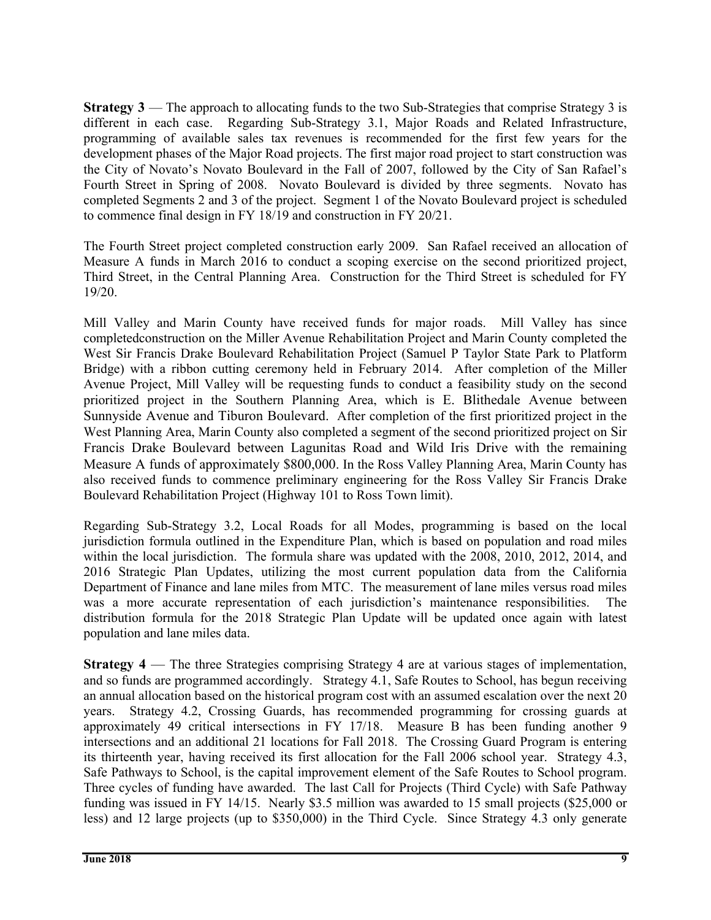**Strategy 3** — The approach to allocating funds to the two Sub-Strategies that comprise Strategy 3 is different in each case. Regarding Sub-Strategy 3.1, Major Roads and Related Infrastructure, programming of available sales tax revenues is recommended for the first few years for the development phases of the Major Road projects. The first major road project to start construction was the City of Novato's Novato Boulevard in the Fall of 2007, followed by the City of San Rafael's Fourth Street in Spring of 2008. Novato Boulevard is divided by three segments. Novato has completed Segments 2 and 3 of the project. Segment 1 of the Novato Boulevard project is scheduled to commence final design in FY 18/19 and construction in FY 20/21.

The Fourth Street project completed construction early 2009. San Rafael received an allocation of Measure A funds in March 2016 to conduct a scoping exercise on the second prioritized project, Third Street, in the Central Planning Area. Construction for the Third Street is scheduled for FY 19/20.

Mill Valley and Marin County have received funds for major roads. Mill Valley has since completedconstruction on the Miller Avenue Rehabilitation Project and Marin County completed the West Sir Francis Drake Boulevard Rehabilitation Project (Samuel P Taylor State Park to Platform Bridge) with a ribbon cutting ceremony held in February 2014. After completion of the Miller Avenue Project, Mill Valley will be requesting funds to conduct a feasibility study on the second prioritized project in the Southern Planning Area, which is E. Blithedale Avenue between Sunnyside Avenue and Tiburon Boulevard. After completion of the first prioritized project in the West Planning Area, Marin County also completed a segment of the second prioritized project on Sir Francis Drake Boulevard between Lagunitas Road and Wild Iris Drive with the remaining Measure A funds of approximately \$800,000. In the Ross Valley Planning Area, Marin County has also received funds to commence preliminary engineering for the Ross Valley Sir Francis Drake Boulevard Rehabilitation Project (Highway 101 to Ross Town limit).

Regarding Sub-Strategy 3.2, Local Roads for all Modes, programming is based on the local jurisdiction formula outlined in the Expenditure Plan, which is based on population and road miles within the local jurisdiction. The formula share was updated with the 2008, 2010, 2012, 2014, and 2016 Strategic Plan Updates, utilizing the most current population data from the California Department of Finance and lane miles from MTC. The measurement of lane miles versus road miles was a more accurate representation of each jurisdiction's maintenance responsibilities. The distribution formula for the 2018 Strategic Plan Update will be updated once again with latest population and lane miles data.

**Strategy 4** — The three Strategies comprising Strategy 4 are at various stages of implementation, and so funds are programmed accordingly. Strategy 4.1, Safe Routes to School, has begun receiving an annual allocation based on the historical program cost with an assumed escalation over the next 20 years. Strategy 4.2, Crossing Guards, has recommended programming for crossing guards at approximately 49 critical intersections in FY 17/18. Measure B has been funding another 9 intersections and an additional 21 locations for Fall 2018. The Crossing Guard Program is entering its thirteenth year, having received its first allocation for the Fall 2006 school year. Strategy 4.3, Safe Pathways to School, is the capital improvement element of the Safe Routes to School program. Three cycles of funding have awarded. The last Call for Projects (Third Cycle) with Safe Pathway funding was issued in FY 14/15. Nearly \$3.5 million was awarded to 15 small projects (\$25,000 or less) and 12 large projects (up to \$350,000) in the Third Cycle. Since Strategy 4.3 only generate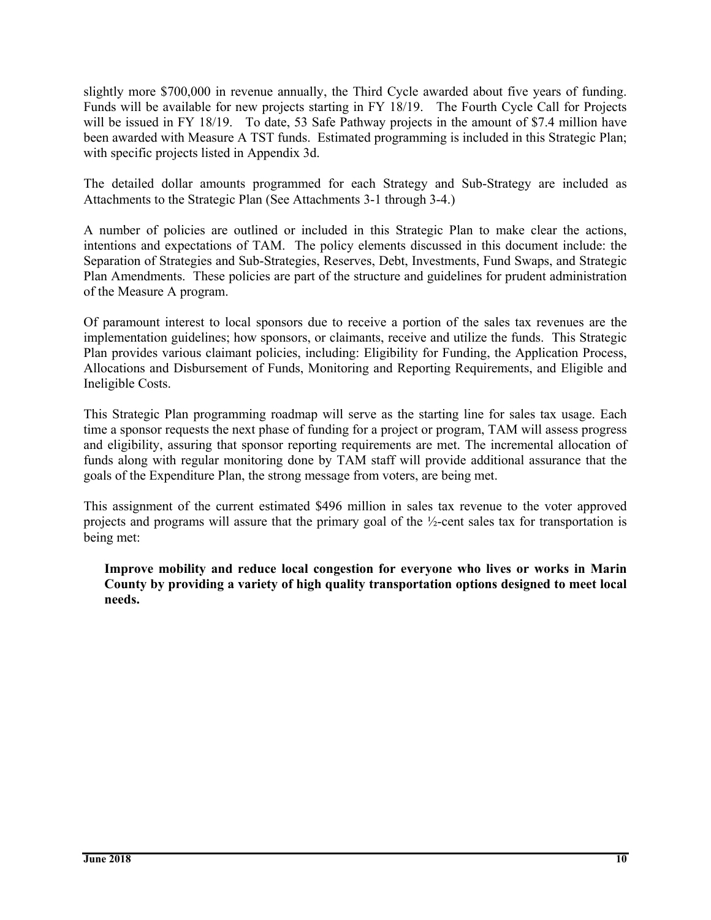slightly more \$700,000 in revenue annually, the Third Cycle awarded about five years of funding. Funds will be available for new projects starting in FY 18/19. The Fourth Cycle Call for Projects will be issued in FY 18/19. To date, 53 Safe Pathway projects in the amount of \$7.4 million have been awarded with Measure A TST funds. Estimated programming is included in this Strategic Plan; with specific projects listed in Appendix 3d.

The detailed dollar amounts programmed for each Strategy and Sub-Strategy are included as Attachments to the Strategic Plan (See Attachments 3-1 through 3-4.)

A number of policies are outlined or included in this Strategic Plan to make clear the actions, intentions and expectations of TAM. The policy elements discussed in this document include: the Separation of Strategies and Sub-Strategies, Reserves, Debt, Investments, Fund Swaps, and Strategic Plan Amendments. These policies are part of the structure and guidelines for prudent administration of the Measure A program.

Of paramount interest to local sponsors due to receive a portion of the sales tax revenues are the implementation guidelines; how sponsors, or claimants, receive and utilize the funds. This Strategic Plan provides various claimant policies, including: Eligibility for Funding, the Application Process, Allocations and Disbursement of Funds, Monitoring and Reporting Requirements, and Eligible and Ineligible Costs.

This Strategic Plan programming roadmap will serve as the starting line for sales tax usage. Each time a sponsor requests the next phase of funding for a project or program, TAM will assess progress and eligibility, assuring that sponsor reporting requirements are met. The incremental allocation of funds along with regular monitoring done by TAM staff will provide additional assurance that the goals of the Expenditure Plan, the strong message from voters, are being met.

This assignment of the current estimated \$496 million in sales tax revenue to the voter approved projects and programs will assure that the primary goal of the ½-cent sales tax for transportation is being met:

**Improve mobility and reduce local congestion for everyone who lives or works in Marin County by providing a variety of high quality transportation options designed to meet local needs.**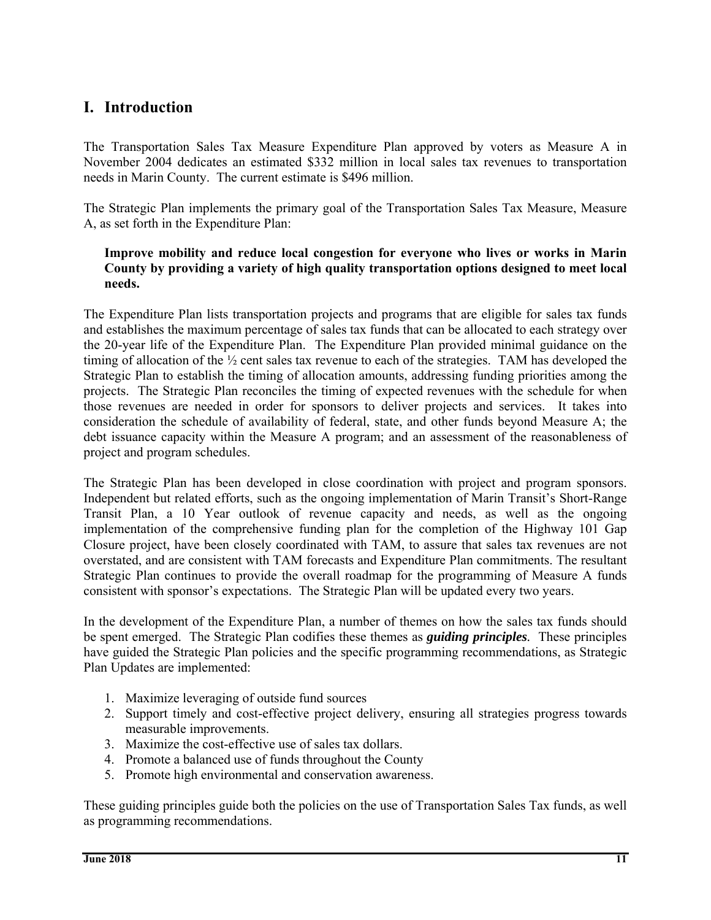# **I. Introduction**

The Transportation Sales Tax Measure Expenditure Plan approved by voters as Measure A in November 2004 dedicates an estimated \$332 million in local sales tax revenues to transportation needs in Marin County. The current estimate is \$496 million.

The Strategic Plan implements the primary goal of the Transportation Sales Tax Measure, Measure A, as set forth in the Expenditure Plan:

#### **Improve mobility and reduce local congestion for everyone who lives or works in Marin County by providing a variety of high quality transportation options designed to meet local needs.**

The Expenditure Plan lists transportation projects and programs that are eligible for sales tax funds and establishes the maximum percentage of sales tax funds that can be allocated to each strategy over the 20-year life of the Expenditure Plan. The Expenditure Plan provided minimal guidance on the timing of allocation of the ½ cent sales tax revenue to each of the strategies. TAM has developed the Strategic Plan to establish the timing of allocation amounts, addressing funding priorities among the projects. The Strategic Plan reconciles the timing of expected revenues with the schedule for when those revenues are needed in order for sponsors to deliver projects and services. It takes into consideration the schedule of availability of federal, state, and other funds beyond Measure A; the debt issuance capacity within the Measure A program; and an assessment of the reasonableness of project and program schedules.

The Strategic Plan has been developed in close coordination with project and program sponsors. Independent but related efforts, such as the ongoing implementation of Marin Transit's Short-Range Transit Plan, a 10 Year outlook of revenue capacity and needs, as well as the ongoing implementation of the comprehensive funding plan for the completion of the Highway 101 Gap Closure project, have been closely coordinated with TAM, to assure that sales tax revenues are not overstated, and are consistent with TAM forecasts and Expenditure Plan commitments. The resultant Strategic Plan continues to provide the overall roadmap for the programming of Measure A funds consistent with sponsor's expectations. The Strategic Plan will be updated every two years.

In the development of the Expenditure Plan, a number of themes on how the sales tax funds should be spent emerged. The Strategic Plan codifies these themes as *guiding principles.* These principles have guided the Strategic Plan policies and the specific programming recommendations, as Strategic Plan Updates are implemented:

- 1. Maximize leveraging of outside fund sources
- 2. Support timely and cost-effective project delivery, ensuring all strategies progress towards measurable improvements.
- 3. Maximize the cost-effective use of sales tax dollars.
- 4. Promote a balanced use of funds throughout the County
- 5. Promote high environmental and conservation awareness.

These guiding principles guide both the policies on the use of Transportation Sales Tax funds, as well as programming recommendations.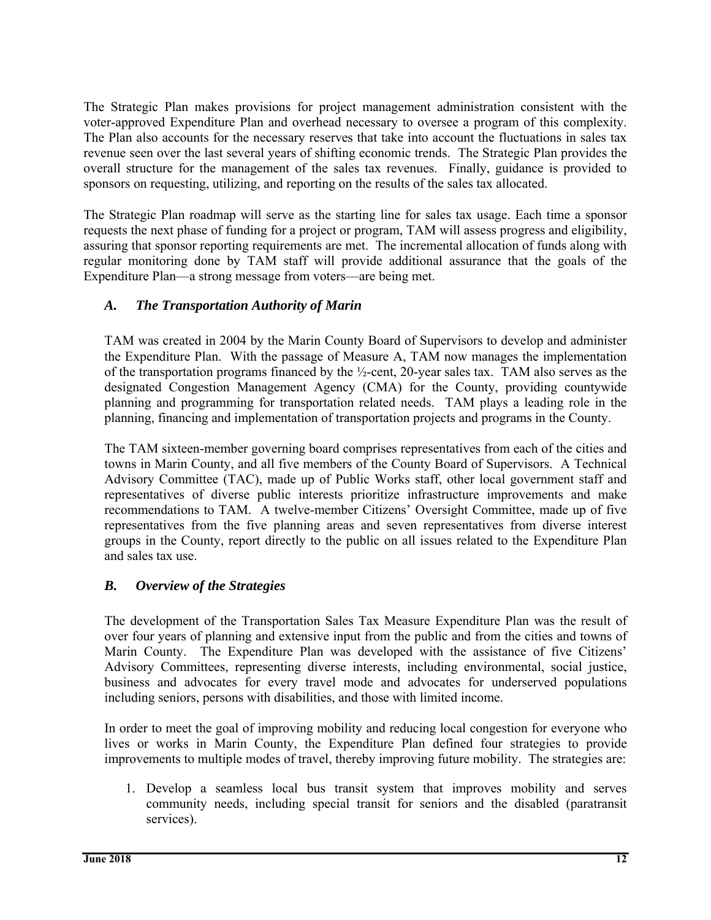The Strategic Plan makes provisions for project management administration consistent with the voter-approved Expenditure Plan and overhead necessary to oversee a program of this complexity. The Plan also accounts for the necessary reserves that take into account the fluctuations in sales tax revenue seen over the last several years of shifting economic trends. The Strategic Plan provides the overall structure for the management of the sales tax revenues. Finally, guidance is provided to sponsors on requesting, utilizing, and reporting on the results of the sales tax allocated.

The Strategic Plan roadmap will serve as the starting line for sales tax usage. Each time a sponsor requests the next phase of funding for a project or program, TAM will assess progress and eligibility, assuring that sponsor reporting requirements are met. The incremental allocation of funds along with regular monitoring done by TAM staff will provide additional assurance that the goals of the Expenditure Plan—a strong message from voters—are being met.

# *A. The Transportation Authority of Marin*

TAM was created in 2004 by the Marin County Board of Supervisors to develop and administer the Expenditure Plan. With the passage of Measure A, TAM now manages the implementation of the transportation programs financed by the ½-cent, 20-year sales tax. TAM also serves as the designated Congestion Management Agency (CMA) for the County, providing countywide planning and programming for transportation related needs. TAM plays a leading role in the planning, financing and implementation of transportation projects and programs in the County.

The TAM sixteen-member governing board comprises representatives from each of the cities and towns in Marin County, and all five members of the County Board of Supervisors. A Technical Advisory Committee (TAC), made up of Public Works staff, other local government staff and representatives of diverse public interests prioritize infrastructure improvements and make recommendations to TAM. A twelve-member Citizens' Oversight Committee, made up of five representatives from the five planning areas and seven representatives from diverse interest groups in the County, report directly to the public on all issues related to the Expenditure Plan and sales tax use.

# *B. Overview of the Strategies*

The development of the Transportation Sales Tax Measure Expenditure Plan was the result of over four years of planning and extensive input from the public and from the cities and towns of Marin County. The Expenditure Plan was developed with the assistance of five Citizens' Advisory Committees, representing diverse interests, including environmental, social justice, business and advocates for every travel mode and advocates for underserved populations including seniors, persons with disabilities, and those with limited income.

In order to meet the goal of improving mobility and reducing local congestion for everyone who lives or works in Marin County, the Expenditure Plan defined four strategies to provide improvements to multiple modes of travel, thereby improving future mobility. The strategies are:

1. Develop a seamless local bus transit system that improves mobility and serves community needs, including special transit for seniors and the disabled (paratransit services).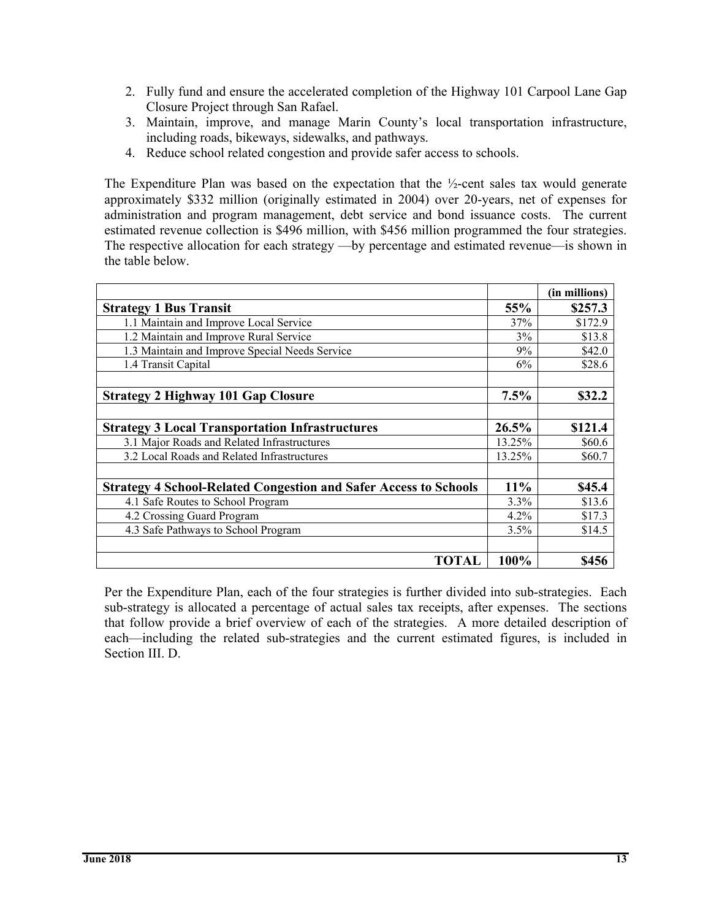- 2. Fully fund and ensure the accelerated completion of the Highway 101 Carpool Lane Gap Closure Project through San Rafael.
- 3. Maintain, improve, and manage Marin County's local transportation infrastructure, including roads, bikeways, sidewalks, and pathways.
- 4. Reduce school related congestion and provide safer access to schools.

The Expenditure Plan was based on the expectation that the  $\frac{1}{2}$ -cent sales tax would generate approximately \$332 million (originally estimated in 2004) over 20-years, net of expenses for administration and program management, debt service and bond issuance costs. The current estimated revenue collection is \$496 million, with \$456 million programmed the four strategies. The respective allocation for each strategy —by percentage and estimated revenue—is shown in the table below.

|                                                                         |        | (in millions) |
|-------------------------------------------------------------------------|--------|---------------|
| <b>Strategy 1 Bus Transit</b>                                           | 55%    | \$257.3       |
| 1.1 Maintain and Improve Local Service                                  | 37%    | \$172.9       |
| 1.2 Maintain and Improve Rural Service                                  | 3%     | \$13.8        |
| 1.3 Maintain and Improve Special Needs Service                          | 9%     | \$42.0        |
| 1.4 Transit Capital                                                     | 6%     | \$28.6        |
|                                                                         |        |               |
| <b>Strategy 2 Highway 101 Gap Closure</b>                               | 7.5%   | \$32.2        |
|                                                                         |        |               |
| <b>Strategy 3 Local Transportation Infrastructures</b>                  | 26.5%  | \$121.4       |
| 3.1 Major Roads and Related Infrastructures                             | 13.25% | \$60.6        |
| 3.2 Local Roads and Related Infrastructures                             | 13.25% | \$60.7        |
|                                                                         |        |               |
| <b>Strategy 4 School-Related Congestion and Safer Access to Schools</b> | 11%    | \$45.4        |
| 4.1 Safe Routes to School Program                                       | 3.3%   | \$13.6        |
| 4.2 Crossing Guard Program                                              | 4.2%   | \$17.3        |
| 4.3 Safe Pathways to School Program                                     | 3.5%   | \$14.5        |
|                                                                         |        |               |
| TOTAL                                                                   | 100%   | \$456         |

Per the Expenditure Plan, each of the four strategies is further divided into sub-strategies. Each sub-strategy is allocated a percentage of actual sales tax receipts, after expenses. The sections that follow provide a brief overview of each of the strategies. A more detailed description of each—including the related sub-strategies and the current estimated figures, is included in Section III. D.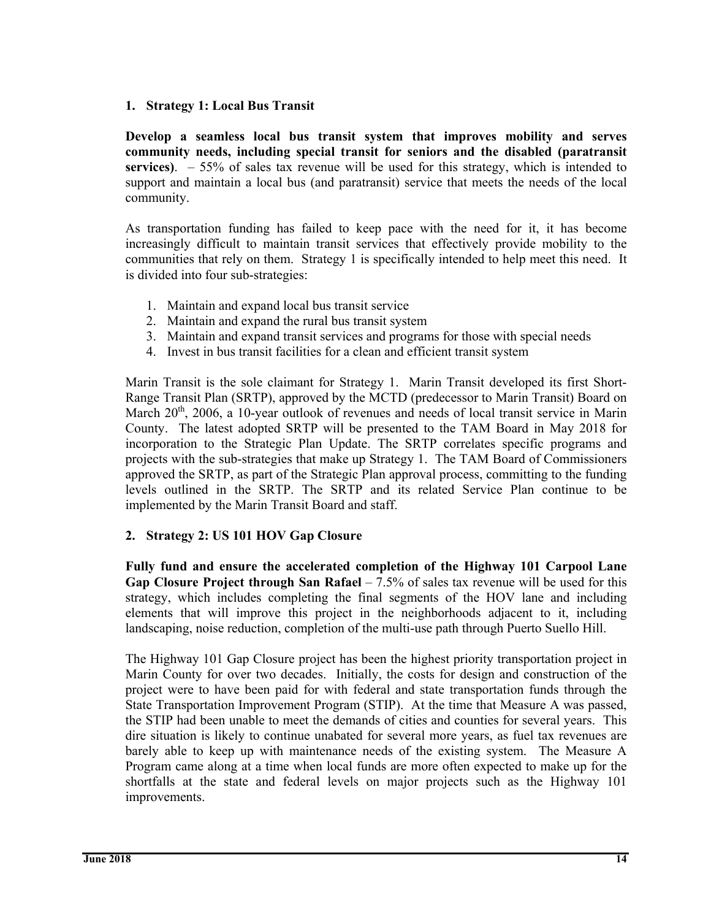#### **1. Strategy 1: Local Bus Transit**

**Develop a seamless local bus transit system that improves mobility and serves community needs, including special transit for seniors and the disabled (paratransit services)**. – 55% of sales tax revenue will be used for this strategy, which is intended to support and maintain a local bus (and paratransit) service that meets the needs of the local community.

As transportation funding has failed to keep pace with the need for it, it has become increasingly difficult to maintain transit services that effectively provide mobility to the communities that rely on them. Strategy 1 is specifically intended to help meet this need. It is divided into four sub-strategies:

- 1. Maintain and expand local bus transit service
- 2. Maintain and expand the rural bus transit system
- 3. Maintain and expand transit services and programs for those with special needs
- 4. Invest in bus transit facilities for a clean and efficient transit system

Marin Transit is the sole claimant for Strategy 1. Marin Transit developed its first Short-Range Transit Plan (SRTP), approved by the MCTD (predecessor to Marin Transit) Board on March 20<sup>th</sup>, 2006, a 10-year outlook of revenues and needs of local transit service in Marin County. The latest adopted SRTP will be presented to the TAM Board in May 2018 for incorporation to the Strategic Plan Update. The SRTP correlates specific programs and projects with the sub-strategies that make up Strategy 1. The TAM Board of Commissioners approved the SRTP, as part of the Strategic Plan approval process, committing to the funding levels outlined in the SRTP. The SRTP and its related Service Plan continue to be implemented by the Marin Transit Board and staff.

#### **2. Strategy 2: US 101 HOV Gap Closure**

**Fully fund and ensure the accelerated completion of the Highway 101 Carpool Lane Gap Closure Project through San Rafael** – 7.5% of sales tax revenue will be used for this strategy, which includes completing the final segments of the HOV lane and including elements that will improve this project in the neighborhoods adjacent to it, including landscaping, noise reduction, completion of the multi-use path through Puerto Suello Hill.

The Highway 101 Gap Closure project has been the highest priority transportation project in Marin County for over two decades. Initially, the costs for design and construction of the project were to have been paid for with federal and state transportation funds through the State Transportation Improvement Program (STIP). At the time that Measure A was passed, the STIP had been unable to meet the demands of cities and counties for several years. This dire situation is likely to continue unabated for several more years, as fuel tax revenues are barely able to keep up with maintenance needs of the existing system. The Measure A Program came along at a time when local funds are more often expected to make up for the shortfalls at the state and federal levels on major projects such as the Highway 101 improvements.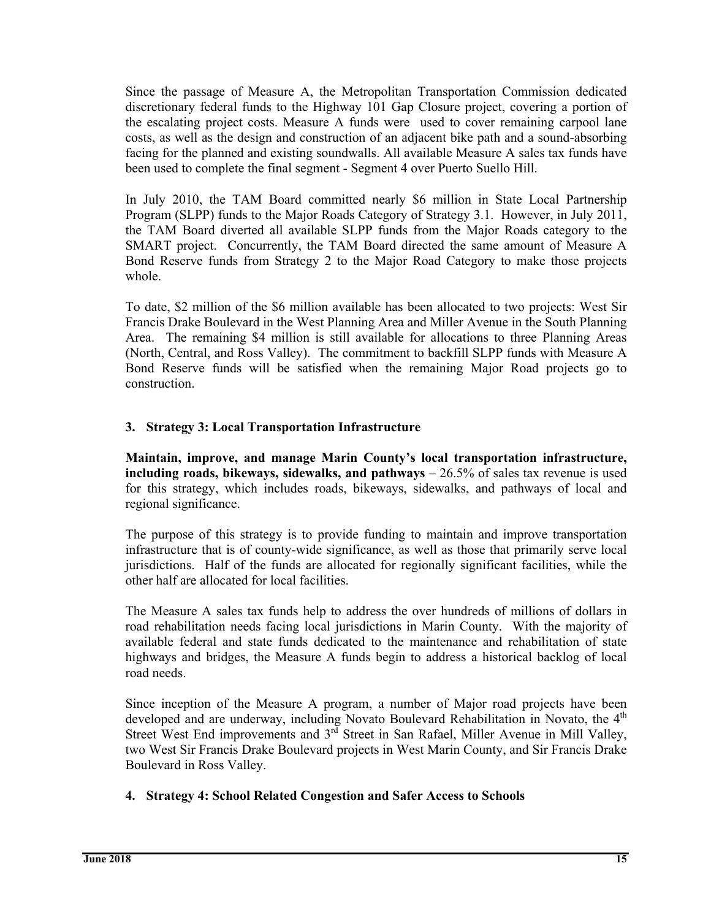Since the passage of Measure A, the Metropolitan Transportation Commission dedicated discretionary federal funds to the Highway 101 Gap Closure project, covering a portion of the escalating project costs. Measure A funds were used to cover remaining carpool lane costs, as well as the design and construction of an adjacent bike path and a sound-absorbing facing for the planned and existing soundwalls. All available Measure A sales tax funds have been used to complete the final segment - Segment 4 over Puerto Suello Hill.

In July 2010, the TAM Board committed nearly \$6 million in State Local Partnership Program (SLPP) funds to the Major Roads Category of Strategy 3.1. However, in July 2011, the TAM Board diverted all available SLPP funds from the Major Roads category to the SMART project. Concurrently, the TAM Board directed the same amount of Measure A Bond Reserve funds from Strategy 2 to the Major Road Category to make those projects whole.

To date, \$2 million of the \$6 million available has been allocated to two projects: West Sir Francis Drake Boulevard in the West Planning Area and Miller Avenue in the South Planning Area. The remaining \$4 million is still available for allocations to three Planning Areas (North, Central, and Ross Valley). The commitment to backfill SLPP funds with Measure A Bond Reserve funds will be satisfied when the remaining Major Road projects go to construction.

#### **3. Strategy 3: Local Transportation Infrastructure**

**Maintain, improve, and manage Marin County's local transportation infrastructure, including roads, bikeways, sidewalks, and pathways** – 26.5% of sales tax revenue is used for this strategy, which includes roads, bikeways, sidewalks, and pathways of local and regional significance.

The purpose of this strategy is to provide funding to maintain and improve transportation infrastructure that is of county-wide significance, as well as those that primarily serve local jurisdictions. Half of the funds are allocated for regionally significant facilities, while the other half are allocated for local facilities.

The Measure A sales tax funds help to address the over hundreds of millions of dollars in road rehabilitation needs facing local jurisdictions in Marin County. With the majority of available federal and state funds dedicated to the maintenance and rehabilitation of state highways and bridges, the Measure A funds begin to address a historical backlog of local road needs.

Since inception of the Measure A program, a number of Major road projects have been developed and are underway, including Novato Boulevard Rehabilitation in Novato, the 4<sup>th</sup> Street West End improvements and 3<sup>rd</sup> Street in San Rafael, Miller Avenue in Mill Vallev, two West Sir Francis Drake Boulevard projects in West Marin County, and Sir Francis Drake Boulevard in Ross Valley.

#### **4. Strategy 4: School Related Congestion and Safer Access to Schools**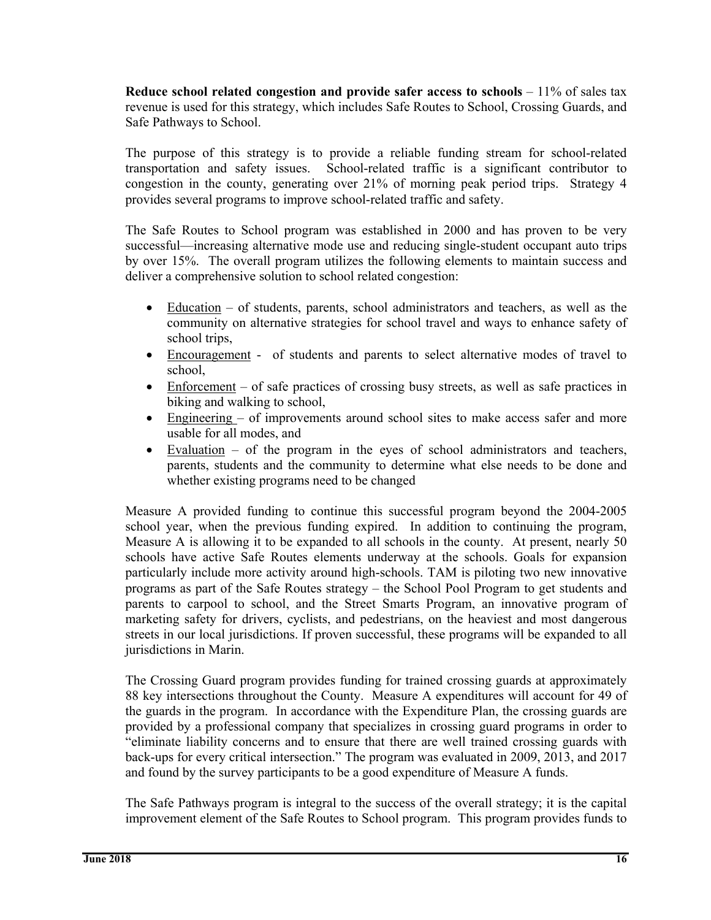**Reduce school related congestion and provide safer access to schools** – 11% of sales tax revenue is used for this strategy, which includes Safe Routes to School, Crossing Guards, and Safe Pathways to School.

The purpose of this strategy is to provide a reliable funding stream for school-related transportation and safety issues. School-related traffic is a significant contributor to congestion in the county, generating over 21% of morning peak period trips. Strategy 4 provides several programs to improve school-related traffic and safety.

The Safe Routes to School program was established in 2000 and has proven to be very successful—increasing alternative mode use and reducing single-student occupant auto trips by over 15%. The overall program utilizes the following elements to maintain success and deliver a comprehensive solution to school related congestion:

- Education of students, parents, school administrators and teachers, as well as the community on alternative strategies for school travel and ways to enhance safety of school trips,
- Encouragement of students and parents to select alternative modes of travel to school,
- Enforcement of safe practices of crossing busy streets, as well as safe practices in biking and walking to school,
- Engineering of improvements around school sites to make access safer and more usable for all modes, and
- Evaluation of the program in the eyes of school administrators and teachers, parents, students and the community to determine what else needs to be done and whether existing programs need to be changed

Measure A provided funding to continue this successful program beyond the 2004-2005 school year, when the previous funding expired. In addition to continuing the program, Measure A is allowing it to be expanded to all schools in the county. At present, nearly 50 schools have active Safe Routes elements underway at the schools. Goals for expansion particularly include more activity around high-schools. TAM is piloting two new innovative programs as part of the Safe Routes strategy – the School Pool Program to get students and parents to carpool to school, and the Street Smarts Program, an innovative program of marketing safety for drivers, cyclists, and pedestrians, on the heaviest and most dangerous streets in our local jurisdictions. If proven successful, these programs will be expanded to all jurisdictions in Marin.

The Crossing Guard program provides funding for trained crossing guards at approximately 88 key intersections throughout the County. Measure A expenditures will account for 49 of the guards in the program. In accordance with the Expenditure Plan, the crossing guards are provided by a professional company that specializes in crossing guard programs in order to "eliminate liability concerns and to ensure that there are well trained crossing guards with back-ups for every critical intersection." The program was evaluated in 2009, 2013, and 2017 and found by the survey participants to be a good expenditure of Measure A funds.

The Safe Pathways program is integral to the success of the overall strategy; it is the capital improvement element of the Safe Routes to School program. This program provides funds to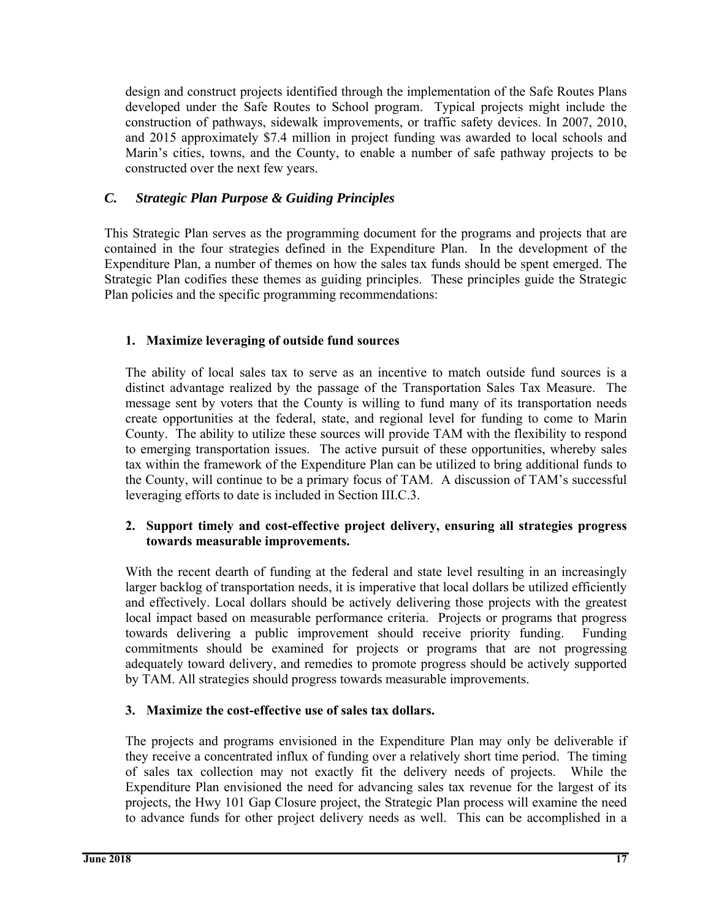design and construct projects identified through the implementation of the Safe Routes Plans developed under the Safe Routes to School program. Typical projects might include the construction of pathways, sidewalk improvements, or traffic safety devices. In 2007, 2010, and 2015 approximately \$7.4 million in project funding was awarded to local schools and Marin's cities, towns, and the County, to enable a number of safe pathway projects to be constructed over the next few years.

# *C. Strategic Plan Purpose & Guiding Principles*

This Strategic Plan serves as the programming document for the programs and projects that are contained in the four strategies defined in the Expenditure Plan. In the development of the Expenditure Plan, a number of themes on how the sales tax funds should be spent emerged. The Strategic Plan codifies these themes as guiding principles. These principles guide the Strategic Plan policies and the specific programming recommendations:

# **1. Maximize leveraging of outside fund sources**

The ability of local sales tax to serve as an incentive to match outside fund sources is a distinct advantage realized by the passage of the Transportation Sales Tax Measure. The message sent by voters that the County is willing to fund many of its transportation needs create opportunities at the federal, state, and regional level for funding to come to Marin County. The ability to utilize these sources will provide TAM with the flexibility to respond to emerging transportation issues. The active pursuit of these opportunities, whereby sales tax within the framework of the Expenditure Plan can be utilized to bring additional funds to the County, will continue to be a primary focus of TAM. A discussion of TAM's successful leveraging efforts to date is included in Section III.C.3.

#### **2. Support timely and cost-effective project delivery, ensuring all strategies progress towards measurable improvements.**

With the recent dearth of funding at the federal and state level resulting in an increasingly larger backlog of transportation needs, it is imperative that local dollars be utilized efficiently and effectively. Local dollars should be actively delivering those projects with the greatest local impact based on measurable performance criteria. Projects or programs that progress towards delivering a public improvement should receive priority funding. Funding commitments should be examined for projects or programs that are not progressing adequately toward delivery, and remedies to promote progress should be actively supported by TAM. All strategies should progress towards measurable improvements.

# **3. Maximize the cost-effective use of sales tax dollars.**

The projects and programs envisioned in the Expenditure Plan may only be deliverable if they receive a concentrated influx of funding over a relatively short time period. The timing of sales tax collection may not exactly fit the delivery needs of projects. While the Expenditure Plan envisioned the need for advancing sales tax revenue for the largest of its projects, the Hwy 101 Gap Closure project, the Strategic Plan process will examine the need to advance funds for other project delivery needs as well. This can be accomplished in a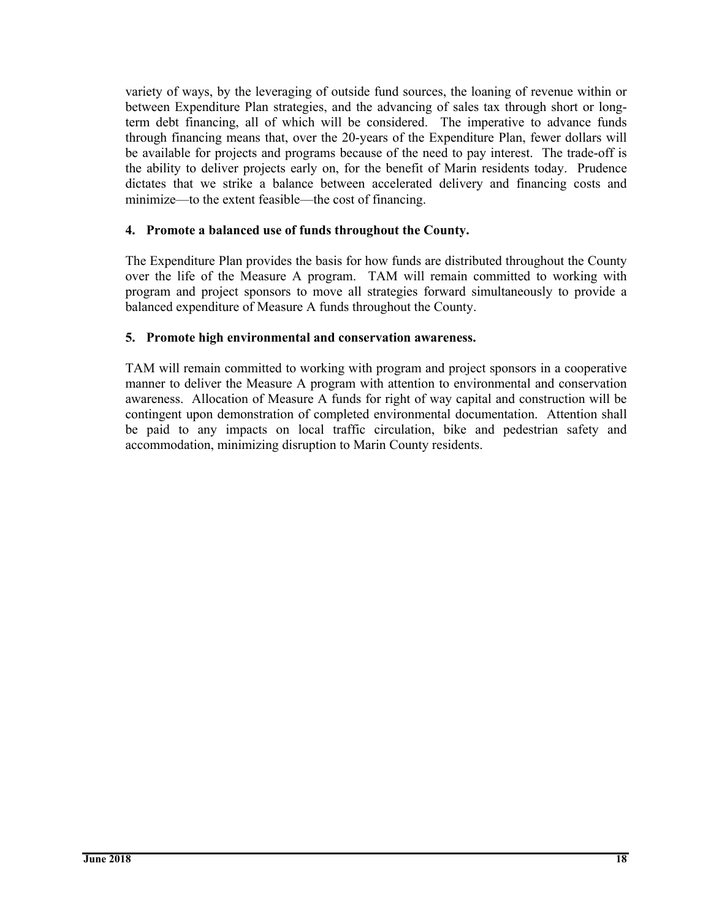variety of ways, by the leveraging of outside fund sources, the loaning of revenue within or between Expenditure Plan strategies, and the advancing of sales tax through short or longterm debt financing, all of which will be considered. The imperative to advance funds through financing means that, over the 20-years of the Expenditure Plan, fewer dollars will be available for projects and programs because of the need to pay interest. The trade-off is the ability to deliver projects early on, for the benefit of Marin residents today. Prudence dictates that we strike a balance between accelerated delivery and financing costs and minimize—to the extent feasible—the cost of financing.

#### **4. Promote a balanced use of funds throughout the County.**

The Expenditure Plan provides the basis for how funds are distributed throughout the County over the life of the Measure A program. TAM will remain committed to working with program and project sponsors to move all strategies forward simultaneously to provide a balanced expenditure of Measure A funds throughout the County.

#### **5. Promote high environmental and conservation awareness.**

TAM will remain committed to working with program and project sponsors in a cooperative manner to deliver the Measure A program with attention to environmental and conservation awareness. Allocation of Measure A funds for right of way capital and construction will be contingent upon demonstration of completed environmental documentation. Attention shall be paid to any impacts on local traffic circulation, bike and pedestrian safety and accommodation, minimizing disruption to Marin County residents.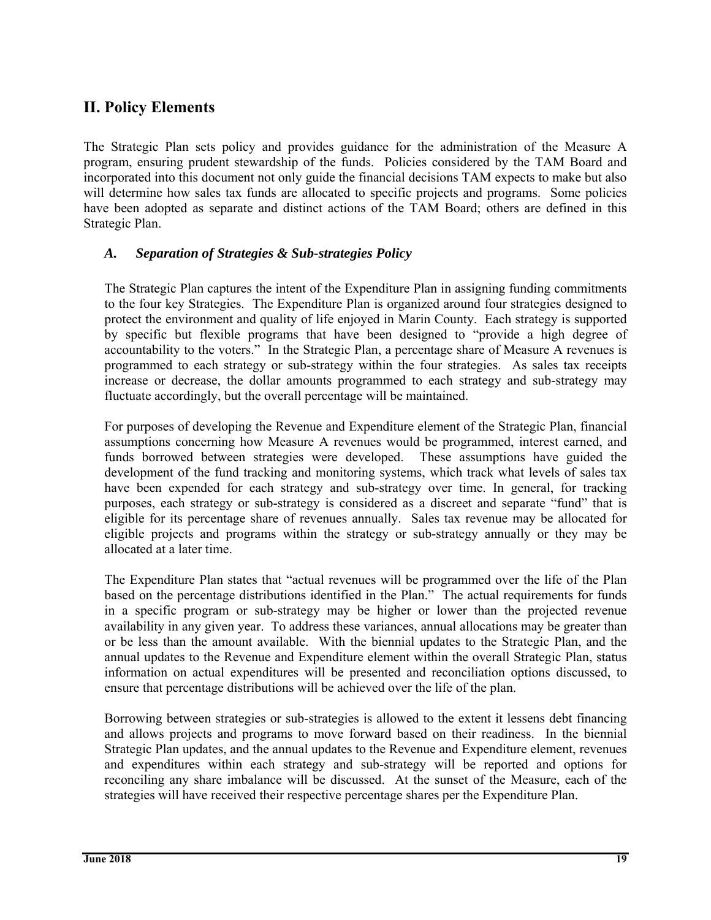# **II. Policy Elements**

The Strategic Plan sets policy and provides guidance for the administration of the Measure A program, ensuring prudent stewardship of the funds. Policies considered by the TAM Board and incorporated into this document not only guide the financial decisions TAM expects to make but also will determine how sales tax funds are allocated to specific projects and programs. Some policies have been adopted as separate and distinct actions of the TAM Board; others are defined in this Strategic Plan.

#### *A. Separation of Strategies & Sub-strategies Policy*

The Strategic Plan captures the intent of the Expenditure Plan in assigning funding commitments to the four key Strategies. The Expenditure Plan is organized around four strategies designed to protect the environment and quality of life enjoyed in Marin County. Each strategy is supported by specific but flexible programs that have been designed to "provide a high degree of accountability to the voters." In the Strategic Plan, a percentage share of Measure A revenues is programmed to each strategy or sub-strategy within the four strategies. As sales tax receipts increase or decrease, the dollar amounts programmed to each strategy and sub-strategy may fluctuate accordingly, but the overall percentage will be maintained.

For purposes of developing the Revenue and Expenditure element of the Strategic Plan, financial assumptions concerning how Measure A revenues would be programmed, interest earned, and funds borrowed between strategies were developed. These assumptions have guided the development of the fund tracking and monitoring systems, which track what levels of sales tax have been expended for each strategy and sub-strategy over time. In general, for tracking purposes, each strategy or sub-strategy is considered as a discreet and separate "fund" that is eligible for its percentage share of revenues annually. Sales tax revenue may be allocated for eligible projects and programs within the strategy or sub-strategy annually or they may be allocated at a later time.

The Expenditure Plan states that "actual revenues will be programmed over the life of the Plan based on the percentage distributions identified in the Plan." The actual requirements for funds in a specific program or sub-strategy may be higher or lower than the projected revenue availability in any given year. To address these variances, annual allocations may be greater than or be less than the amount available. With the biennial updates to the Strategic Plan, and the annual updates to the Revenue and Expenditure element within the overall Strategic Plan, status information on actual expenditures will be presented and reconciliation options discussed, to ensure that percentage distributions will be achieved over the life of the plan.

Borrowing between strategies or sub-strategies is allowed to the extent it lessens debt financing and allows projects and programs to move forward based on their readiness. In the biennial Strategic Plan updates, and the annual updates to the Revenue and Expenditure element, revenues and expenditures within each strategy and sub-strategy will be reported and options for reconciling any share imbalance will be discussed. At the sunset of the Measure, each of the strategies will have received their respective percentage shares per the Expenditure Plan.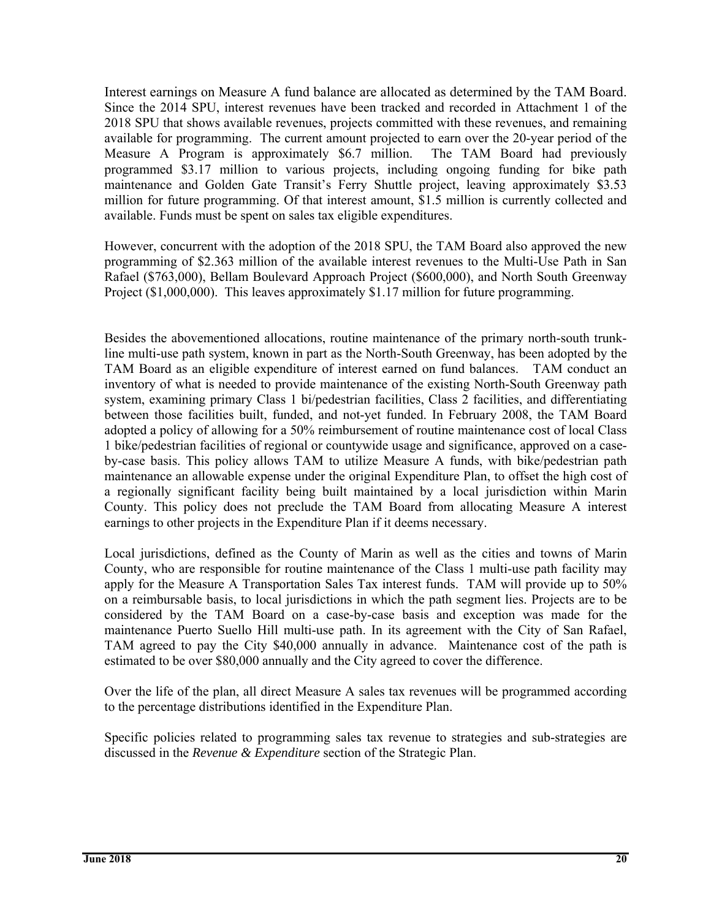Interest earnings on Measure A fund balance are allocated as determined by the TAM Board. Since the 2014 SPU, interest revenues have been tracked and recorded in Attachment 1 of the 2018 SPU that shows available revenues, projects committed with these revenues, and remaining available for programming. The current amount projected to earn over the 20-year period of the Measure A Program is approximately \$6.7 million. The TAM Board had previously programmed \$3.17 million to various projects, including ongoing funding for bike path maintenance and Golden Gate Transit's Ferry Shuttle project, leaving approximately \$3.53 million for future programming. Of that interest amount, \$1.5 million is currently collected and available. Funds must be spent on sales tax eligible expenditures.

However, concurrent with the adoption of the 2018 SPU, the TAM Board also approved the new programming of \$2.363 million of the available interest revenues to the Multi-Use Path in San Rafael (\$763,000), Bellam Boulevard Approach Project (\$600,000), and North South Greenway Project (\$1,000,000). This leaves approximately \$1.17 million for future programming.

Besides the abovementioned allocations, routine maintenance of the primary north-south trunkline multi-use path system, known in part as the North-South Greenway, has been adopted by the TAM Board as an eligible expenditure of interest earned on fund balances. TAM conduct an inventory of what is needed to provide maintenance of the existing North-South Greenway path system, examining primary Class 1 bi/pedestrian facilities, Class 2 facilities, and differentiating between those facilities built, funded, and not-yet funded. In February 2008, the TAM Board adopted a policy of allowing for a 50% reimbursement of routine maintenance cost of local Class 1 bike/pedestrian facilities of regional or countywide usage and significance, approved on a caseby-case basis. This policy allows TAM to utilize Measure A funds, with bike/pedestrian path maintenance an allowable expense under the original Expenditure Plan, to offset the high cost of a regionally significant facility being built maintained by a local jurisdiction within Marin County. This policy does not preclude the TAM Board from allocating Measure A interest earnings to other projects in the Expenditure Plan if it deems necessary.

Local jurisdictions, defined as the County of Marin as well as the cities and towns of Marin County, who are responsible for routine maintenance of the Class 1 multi-use path facility may apply for the Measure A Transportation Sales Tax interest funds. TAM will provide up to 50% on a reimbursable basis, to local jurisdictions in which the path segment lies. Projects are to be considered by the TAM Board on a case-by-case basis and exception was made for the maintenance Puerto Suello Hill multi-use path. In its agreement with the City of San Rafael, TAM agreed to pay the City \$40,000 annually in advance. Maintenance cost of the path is estimated to be over \$80,000 annually and the City agreed to cover the difference.

Over the life of the plan, all direct Measure A sales tax revenues will be programmed according to the percentage distributions identified in the Expenditure Plan.

Specific policies related to programming sales tax revenue to strategies and sub-strategies are discussed in the *Revenue & Expenditure* section of the Strategic Plan.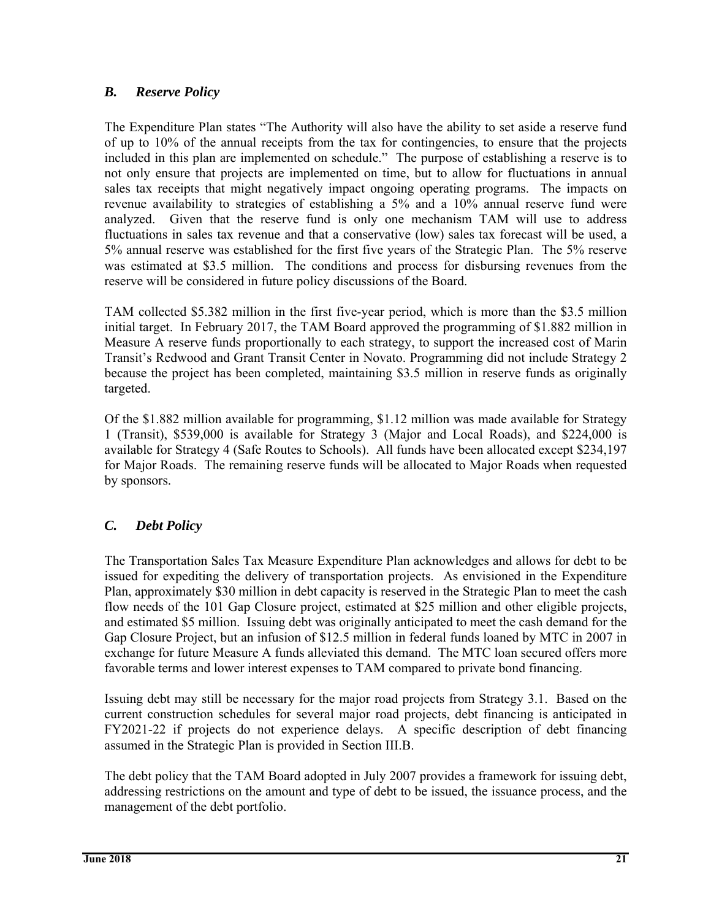# *B. Reserve Policy*

The Expenditure Plan states "The Authority will also have the ability to set aside a reserve fund of up to 10% of the annual receipts from the tax for contingencies, to ensure that the projects included in this plan are implemented on schedule." The purpose of establishing a reserve is to not only ensure that projects are implemented on time, but to allow for fluctuations in annual sales tax receipts that might negatively impact ongoing operating programs. The impacts on revenue availability to strategies of establishing a 5% and a 10% annual reserve fund were analyzed. Given that the reserve fund is only one mechanism TAM will use to address fluctuations in sales tax revenue and that a conservative (low) sales tax forecast will be used, a 5% annual reserve was established for the first five years of the Strategic Plan. The 5% reserve was estimated at \$3.5 million. The conditions and process for disbursing revenues from the reserve will be considered in future policy discussions of the Board.

TAM collected \$5.382 million in the first five-year period, which is more than the \$3.5 million initial target. In February 2017, the TAM Board approved the programming of \$1.882 million in Measure A reserve funds proportionally to each strategy, to support the increased cost of Marin Transit's Redwood and Grant Transit Center in Novato. Programming did not include Strategy 2 because the project has been completed, maintaining \$3.5 million in reserve funds as originally targeted.

Of the \$1.882 million available for programming, \$1.12 million was made available for Strategy 1 (Transit), \$539,000 is available for Strategy 3 (Major and Local Roads), and \$224,000 is available for Strategy 4 (Safe Routes to Schools). All funds have been allocated except \$234,197 for Major Roads. The remaining reserve funds will be allocated to Major Roads when requested by sponsors.

# *C. Debt Policy*

The Transportation Sales Tax Measure Expenditure Plan acknowledges and allows for debt to be issued for expediting the delivery of transportation projects. As envisioned in the Expenditure Plan, approximately \$30 million in debt capacity is reserved in the Strategic Plan to meet the cash flow needs of the 101 Gap Closure project, estimated at \$25 million and other eligible projects, and estimated \$5 million. Issuing debt was originally anticipated to meet the cash demand for the Gap Closure Project, but an infusion of \$12.5 million in federal funds loaned by MTC in 2007 in exchange for future Measure A funds alleviated this demand. The MTC loan secured offers more favorable terms and lower interest expenses to TAM compared to private bond financing.

Issuing debt may still be necessary for the major road projects from Strategy 3.1. Based on the current construction schedules for several major road projects, debt financing is anticipated in FY2021-22 if projects do not experience delays. A specific description of debt financing assumed in the Strategic Plan is provided in Section III.B.

The debt policy that the TAM Board adopted in July 2007 provides a framework for issuing debt, addressing restrictions on the amount and type of debt to be issued, the issuance process, and the management of the debt portfolio.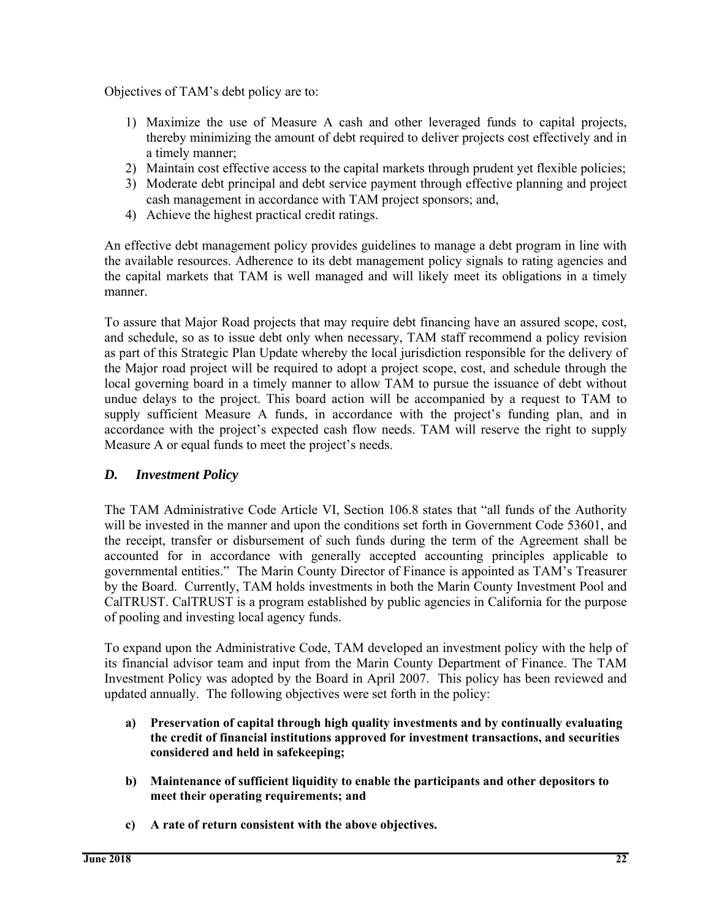Objectives of TAM's debt policy are to:

- 1) Maximize the use of Measure A cash and other leveraged funds to capital projects, thereby minimizing the amount of debt required to deliver projects cost effectively and in a timely manner;
- 2) Maintain cost effective access to the capital markets through prudent yet flexible policies;
- 3) Moderate debt principal and debt service payment through effective planning and project cash management in accordance with TAM project sponsors; and,
- 4) Achieve the highest practical credit ratings.

An effective debt management policy provides guidelines to manage a debt program in line with the available resources. Adherence to its debt management policy signals to rating agencies and the capital markets that TAM is well managed and will likely meet its obligations in a timely manner.

To assure that Major Road projects that may require debt financing have an assured scope, cost, and schedule, so as to issue debt only when necessary, TAM staff recommend a policy revision as part of this Strategic Plan Update whereby the local jurisdiction responsible for the delivery of the Major road project will be required to adopt a project scope, cost, and schedule through the local governing board in a timely manner to allow TAM to pursue the issuance of debt without undue delays to the project. This board action will be accompanied by a request to TAM to supply sufficient Measure A funds, in accordance with the project's funding plan, and in accordance with the project's expected cash flow needs. TAM will reserve the right to supply Measure A or equal funds to meet the project's needs.

# *D. Investment Policy*

The TAM Administrative Code Article VI, Section 106.8 states that "all funds of the Authority will be invested in the manner and upon the conditions set forth in Government Code 53601, and the receipt, transfer or disbursement of such funds during the term of the Agreement shall be accounted for in accordance with generally accepted accounting principles applicable to governmental entities." The Marin County Director of Finance is appointed as TAM's Treasurer by the Board. Currently, TAM holds investments in both the Marin County Investment Pool and CalTRUST. CalTRUST is a program established by public agencies in California for the purpose of pooling and investing local agency funds.

To expand upon the Administrative Code, TAM developed an investment policy with the help of its financial advisor team and input from the Marin County Department of Finance. The TAM Investment Policy was adopted by the Board in April 2007. This policy has been reviewed and updated annually. The following objectives were set forth in the policy:

- **a) Preservation of capital through high quality investments and by continually evaluating the credit of financial institutions approved for investment transactions, and securities considered and held in safekeeping;**
- **b) Maintenance of sufficient liquidity to enable the participants and other depositors to meet their operating requirements; and**
- **c) A rate of return consistent with the above objectives.**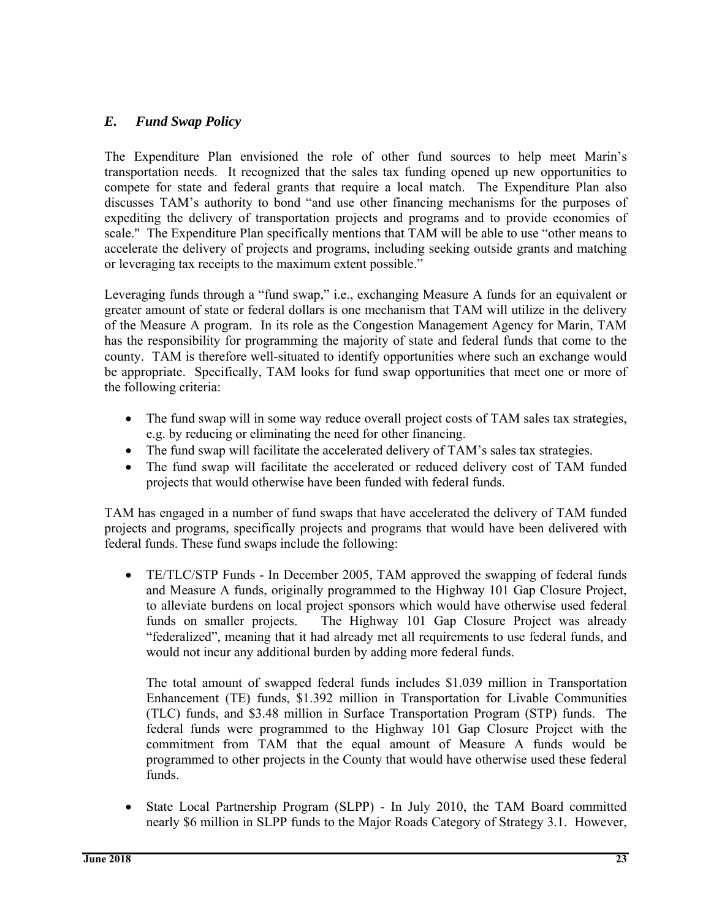# *E. Fund Swap Policy*

The Expenditure Plan envisioned the role of other fund sources to help meet Marin's transportation needs. It recognized that the sales tax funding opened up new opportunities to compete for state and federal grants that require a local match. The Expenditure Plan also discusses TAM's authority to bond "and use other financing mechanisms for the purposes of expediting the delivery of transportation projects and programs and to provide economies of scale." The Expenditure Plan specifically mentions that TAM will be able to use "other means to accelerate the delivery of projects and programs, including seeking outside grants and matching or leveraging tax receipts to the maximum extent possible."

Leveraging funds through a "fund swap," i.e., exchanging Measure A funds for an equivalent or greater amount of state or federal dollars is one mechanism that TAM will utilize in the delivery of the Measure A program. In its role as the Congestion Management Agency for Marin, TAM has the responsibility for programming the majority of state and federal funds that come to the county. TAM is therefore well-situated to identify opportunities where such an exchange would be appropriate. Specifically, TAM looks for fund swap opportunities that meet one or more of the following criteria:

- The fund swap will in some way reduce overall project costs of TAM sales tax strategies, e.g. by reducing or eliminating the need for other financing.
- The fund swap will facilitate the accelerated delivery of TAM's sales tax strategies.
- The fund swap will facilitate the accelerated or reduced delivery cost of TAM funded projects that would otherwise have been funded with federal funds.

TAM has engaged in a number of fund swaps that have accelerated the delivery of TAM funded projects and programs, specifically projects and programs that would have been delivered with federal funds. These fund swaps include the following:

 TE/TLC/STP Funds - In December 2005, TAM approved the swapping of federal funds and Measure A funds, originally programmed to the Highway 101 Gap Closure Project, to alleviate burdens on local project sponsors which would have otherwise used federal funds on smaller projects. The Highway 101 Gap Closure Project was already "federalized", meaning that it had already met all requirements to use federal funds, and would not incur any additional burden by adding more federal funds.

The total amount of swapped federal funds includes \$1.039 million in Transportation Enhancement (TE) funds, \$1.392 million in Transportation for Livable Communities (TLC) funds, and \$3.48 million in Surface Transportation Program (STP) funds. The federal funds were programmed to the Highway 101 Gap Closure Project with the commitment from TAM that the equal amount of Measure A funds would be programmed to other projects in the County that would have otherwise used these federal funds.

 State Local Partnership Program (SLPP) - In July 2010, the TAM Board committed nearly \$6 million in SLPP funds to the Major Roads Category of Strategy 3.1. However,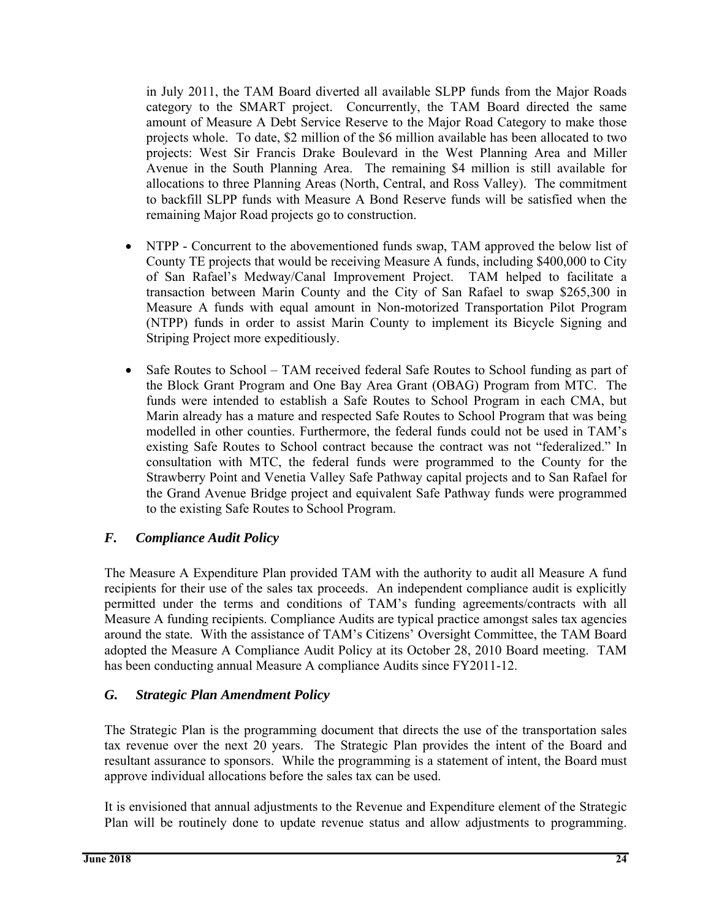in July 2011, the TAM Board diverted all available SLPP funds from the Major Roads category to the SMART project. Concurrently, the TAM Board directed the same amount of Measure A Debt Service Reserve to the Major Road Category to make those projects whole. To date, \$2 million of the \$6 million available has been allocated to two projects: West Sir Francis Drake Boulevard in the West Planning Area and Miller Avenue in the South Planning Area. The remaining \$4 million is still available for allocations to three Planning Areas (North, Central, and Ross Valley). The commitment to backfill SLPP funds with Measure A Bond Reserve funds will be satisfied when the remaining Major Road projects go to construction.

- NTPP Concurrent to the abovementioned funds swap, TAM approved the below list of County TE projects that would be receiving Measure A funds, including \$400,000 to City of San Rafael's Medway/Canal Improvement Project. TAM helped to facilitate a transaction between Marin County and the City of San Rafael to swap \$265,300 in Measure A funds with equal amount in Non-motorized Transportation Pilot Program (NTPP) funds in order to assist Marin County to implement its Bicycle Signing and Striping Project more expeditiously.
- Safe Routes to School TAM received federal Safe Routes to School funding as part of the Block Grant Program and One Bay Area Grant (OBAG) Program from MTC. The funds were intended to establish a Safe Routes to School Program in each CMA, but Marin already has a mature and respected Safe Routes to School Program that was being modelled in other counties. Furthermore, the federal funds could not be used in TAM's existing Safe Routes to School contract because the contract was not "federalized." In consultation with MTC, the federal funds were programmed to the County for the Strawberry Point and Venetia Valley Safe Pathway capital projects and to San Rafael for the Grand Avenue Bridge project and equivalent Safe Pathway funds were programmed to the existing Safe Routes to School Program.

# *F. Compliance Audit Policy*

The Measure A Expenditure Plan provided TAM with the authority to audit all Measure A fund recipients for their use of the sales tax proceeds. An independent compliance audit is explicitly permitted under the terms and conditions of TAM's funding agreements/contracts with all Measure A funding recipients. Compliance Audits are typical practice amongst sales tax agencies around the state. With the assistance of TAM's Citizens' Oversight Committee, the TAM Board adopted the Measure A Compliance Audit Policy at its October 28, 2010 Board meeting. TAM has been conducting annual Measure A compliance Audits since FY2011-12.

# *G. Strategic Plan Amendment Policy*

The Strategic Plan is the programming document that directs the use of the transportation sales tax revenue over the next 20 years. The Strategic Plan provides the intent of the Board and resultant assurance to sponsors. While the programming is a statement of intent, the Board must approve individual allocations before the sales tax can be used.

It is envisioned that annual adjustments to the Revenue and Expenditure element of the Strategic Plan will be routinely done to update revenue status and allow adjustments to programming.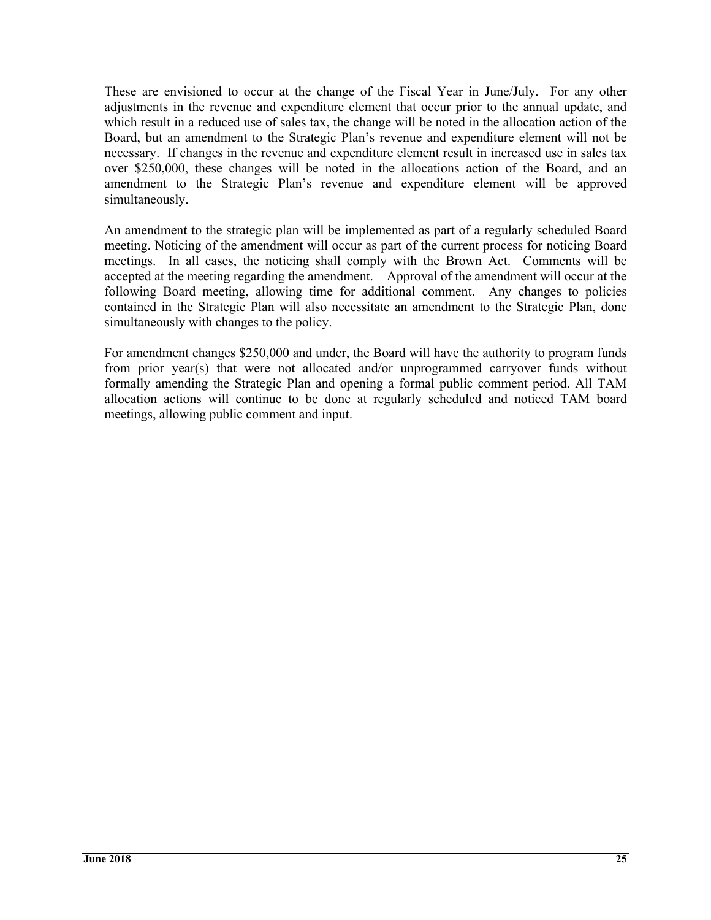These are envisioned to occur at the change of the Fiscal Year in June/July. For any other adjustments in the revenue and expenditure element that occur prior to the annual update, and which result in a reduced use of sales tax, the change will be noted in the allocation action of the Board, but an amendment to the Strategic Plan's revenue and expenditure element will not be necessary. If changes in the revenue and expenditure element result in increased use in sales tax over \$250,000, these changes will be noted in the allocations action of the Board, and an amendment to the Strategic Plan's revenue and expenditure element will be approved simultaneously.

An amendment to the strategic plan will be implemented as part of a regularly scheduled Board meeting. Noticing of the amendment will occur as part of the current process for noticing Board meetings. In all cases, the noticing shall comply with the Brown Act. Comments will be accepted at the meeting regarding the amendment. Approval of the amendment will occur at the following Board meeting, allowing time for additional comment. Any changes to policies contained in the Strategic Plan will also necessitate an amendment to the Strategic Plan, done simultaneously with changes to the policy.

For amendment changes \$250,000 and under, the Board will have the authority to program funds from prior year(s) that were not allocated and/or unprogrammed carryover funds without formally amending the Strategic Plan and opening a formal public comment period. All TAM allocation actions will continue to be done at regularly scheduled and noticed TAM board meetings, allowing public comment and input.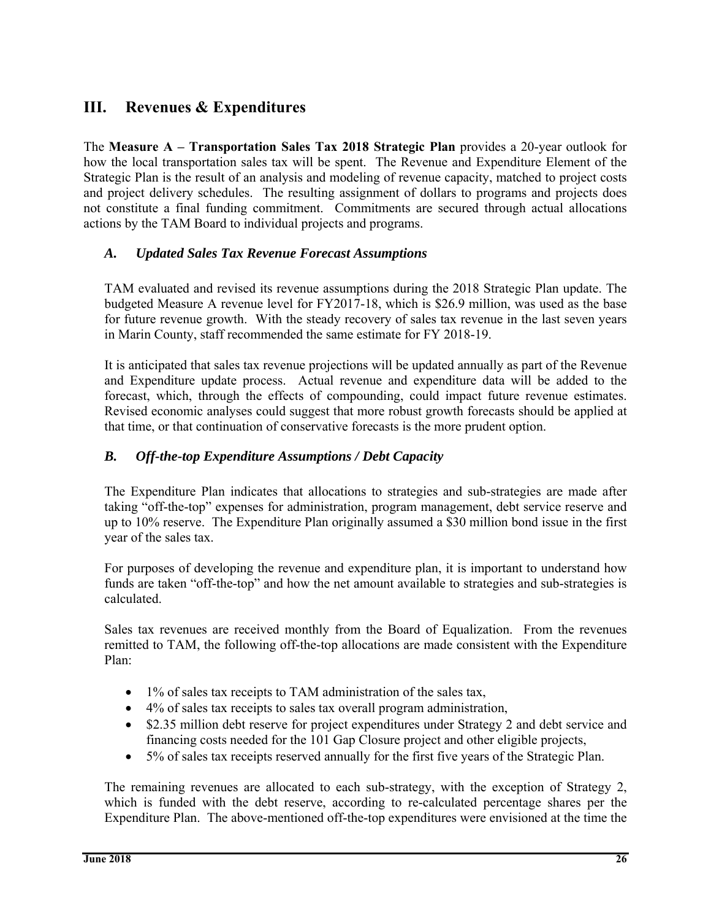# **III. Revenues & Expenditures**

The **Measure A – Transportation Sales Tax 2018 Strategic Plan** provides a 20-year outlook for how the local transportation sales tax will be spent. The Revenue and Expenditure Element of the Strategic Plan is the result of an analysis and modeling of revenue capacity, matched to project costs and project delivery schedules. The resulting assignment of dollars to programs and projects does not constitute a final funding commitment. Commitments are secured through actual allocations actions by the TAM Board to individual projects and programs.

# *A. Updated Sales Tax Revenue Forecast Assumptions*

TAM evaluated and revised its revenue assumptions during the 2018 Strategic Plan update. The budgeted Measure A revenue level for FY2017-18, which is \$26.9 million, was used as the base for future revenue growth. With the steady recovery of sales tax revenue in the last seven years in Marin County, staff recommended the same estimate for FY 2018-19.

It is anticipated that sales tax revenue projections will be updated annually as part of the Revenue and Expenditure update process. Actual revenue and expenditure data will be added to the forecast, which, through the effects of compounding, could impact future revenue estimates. Revised economic analyses could suggest that more robust growth forecasts should be applied at that time, or that continuation of conservative forecasts is the more prudent option.

# *B. Off-the-top Expenditure Assumptions / Debt Capacity*

The Expenditure Plan indicates that allocations to strategies and sub-strategies are made after taking "off-the-top" expenses for administration, program management, debt service reserve and up to 10% reserve. The Expenditure Plan originally assumed a \$30 million bond issue in the first year of the sales tax.

For purposes of developing the revenue and expenditure plan, it is important to understand how funds are taken "off-the-top" and how the net amount available to strategies and sub-strategies is calculated.

Sales tax revenues are received monthly from the Board of Equalization. From the revenues remitted to TAM, the following off-the-top allocations are made consistent with the Expenditure Plan:

- $\bullet$  1% of sales tax receipts to TAM administration of the sales tax,
- 4% of sales tax receipts to sales tax overall program administration,
- \$2.35 million debt reserve for project expenditures under Strategy 2 and debt service and financing costs needed for the 101 Gap Closure project and other eligible projects,
- 5% of sales tax receipts reserved annually for the first five years of the Strategic Plan.

The remaining revenues are allocated to each sub-strategy, with the exception of Strategy 2, which is funded with the debt reserve, according to re-calculated percentage shares per the Expenditure Plan. The above-mentioned off-the-top expenditures were envisioned at the time the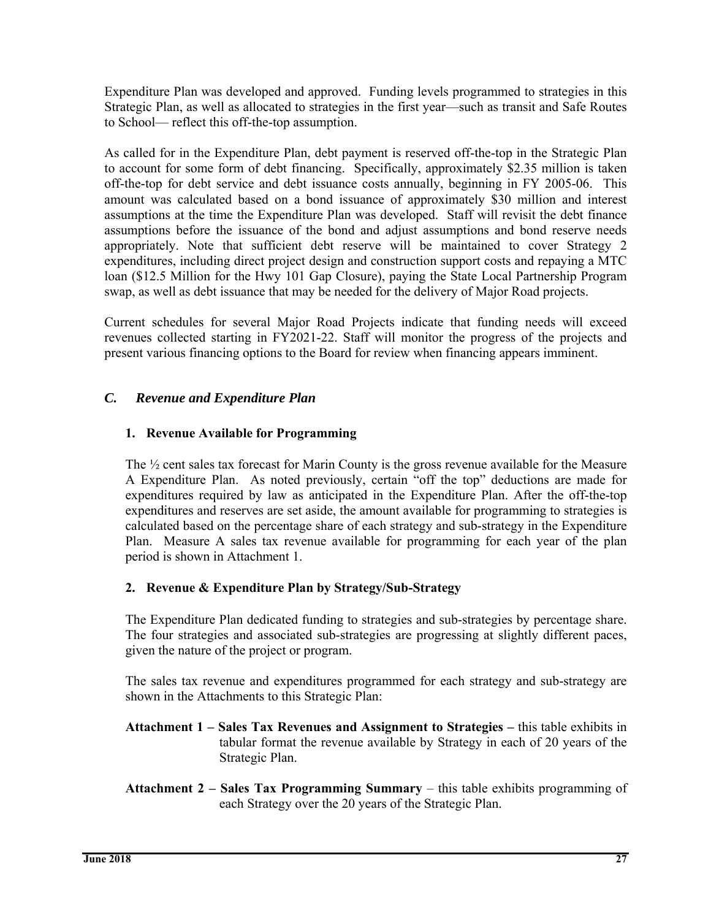Expenditure Plan was developed and approved. Funding levels programmed to strategies in this Strategic Plan, as well as allocated to strategies in the first year—such as transit and Safe Routes to School— reflect this off-the-top assumption.

As called for in the Expenditure Plan, debt payment is reserved off-the-top in the Strategic Plan to account for some form of debt financing. Specifically, approximately \$2.35 million is taken off-the-top for debt service and debt issuance costs annually, beginning in FY 2005-06. This amount was calculated based on a bond issuance of approximately \$30 million and interest assumptions at the time the Expenditure Plan was developed. Staff will revisit the debt finance assumptions before the issuance of the bond and adjust assumptions and bond reserve needs appropriately. Note that sufficient debt reserve will be maintained to cover Strategy 2 expenditures, including direct project design and construction support costs and repaying a MTC loan (\$12.5 Million for the Hwy 101 Gap Closure), paying the State Local Partnership Program swap, as well as debt issuance that may be needed for the delivery of Major Road projects.

Current schedules for several Major Road Projects indicate that funding needs will exceed revenues collected starting in FY2021-22. Staff will monitor the progress of the projects and present various financing options to the Board for review when financing appears imminent.

# *C. Revenue and Expenditure Plan*

#### **1. Revenue Available for Programming**

The  $\frac{1}{2}$  cent sales tax forecast for Marin County is the gross revenue available for the Measure A Expenditure Plan. As noted previously, certain "off the top" deductions are made for expenditures required by law as anticipated in the Expenditure Plan. After the off-the-top expenditures and reserves are set aside, the amount available for programming to strategies is calculated based on the percentage share of each strategy and sub-strategy in the Expenditure Plan. Measure A sales tax revenue available for programming for each year of the plan period is shown in Attachment 1.

# **2. Revenue & Expenditure Plan by Strategy/Sub-Strategy**

The Expenditure Plan dedicated funding to strategies and sub-strategies by percentage share. The four strategies and associated sub-strategies are progressing at slightly different paces, given the nature of the project or program.

The sales tax revenue and expenditures programmed for each strategy and sub-strategy are shown in the Attachments to this Strategic Plan:

- **Attachment 1 Sales Tax Revenues and Assignment to Strategies** this table exhibits in tabular format the revenue available by Strategy in each of 20 years of the Strategic Plan.
- **Attachment 2 Sales Tax Programming Summary**  this table exhibits programming of each Strategy over the 20 years of the Strategic Plan.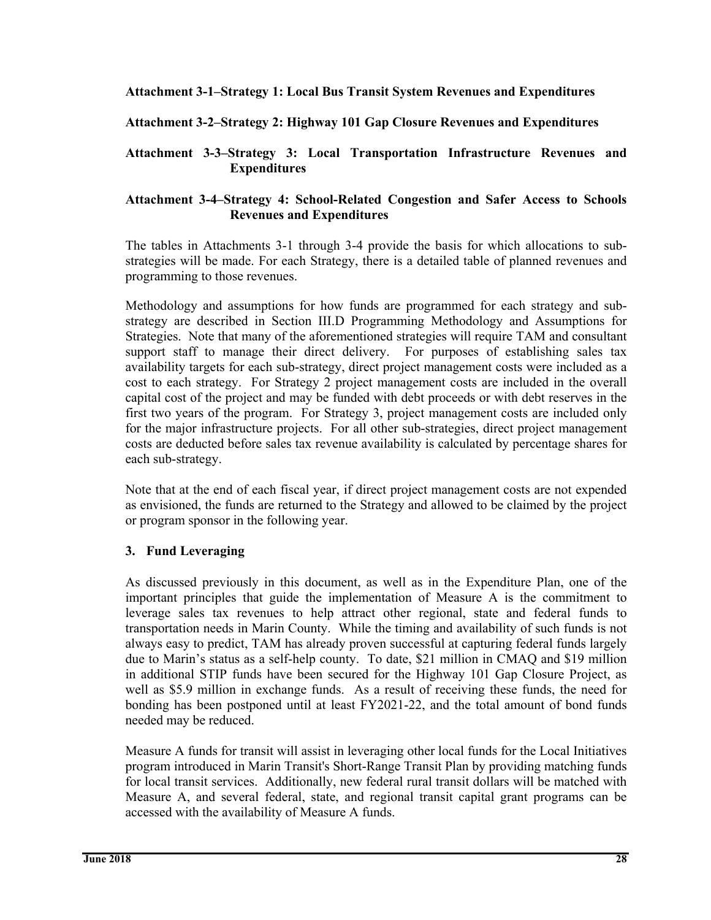#### **Attachment 3-1–Strategy 1: Local Bus Transit System Revenues and Expenditures**

#### **Attachment 3-2–Strategy 2: Highway 101 Gap Closure Revenues and Expenditures**

#### **Attachment 3-3–Strategy 3: Local Transportation Infrastructure Revenues and Expenditures**

#### **Attachment 3-4–Strategy 4: School-Related Congestion and Safer Access to Schools Revenues and Expenditures**

The tables in Attachments 3-1 through 3-4 provide the basis for which allocations to substrategies will be made. For each Strategy, there is a detailed table of planned revenues and programming to those revenues.

Methodology and assumptions for how funds are programmed for each strategy and substrategy are described in Section III.D Programming Methodology and Assumptions for Strategies. Note that many of the aforementioned strategies will require TAM and consultant support staff to manage their direct delivery. For purposes of establishing sales tax availability targets for each sub-strategy, direct project management costs were included as a cost to each strategy. For Strategy 2 project management costs are included in the overall capital cost of the project and may be funded with debt proceeds or with debt reserves in the first two years of the program. For Strategy 3, project management costs are included only for the major infrastructure projects. For all other sub-strategies, direct project management costs are deducted before sales tax revenue availability is calculated by percentage shares for each sub-strategy.

Note that at the end of each fiscal year, if direct project management costs are not expended as envisioned, the funds are returned to the Strategy and allowed to be claimed by the project or program sponsor in the following year.

#### **3. Fund Leveraging**

As discussed previously in this document, as well as in the Expenditure Plan, one of the important principles that guide the implementation of Measure A is the commitment to leverage sales tax revenues to help attract other regional, state and federal funds to transportation needs in Marin County. While the timing and availability of such funds is not always easy to predict, TAM has already proven successful at capturing federal funds largely due to Marin's status as a self-help county. To date, \$21 million in CMAQ and \$19 million in additional STIP funds have been secured for the Highway 101 Gap Closure Project, as well as \$5.9 million in exchange funds. As a result of receiving these funds, the need for bonding has been postponed until at least FY2021-22, and the total amount of bond funds needed may be reduced.

Measure A funds for transit will assist in leveraging other local funds for the Local Initiatives program introduced in Marin Transit's Short-Range Transit Plan by providing matching funds for local transit services. Additionally, new federal rural transit dollars will be matched with Measure A, and several federal, state, and regional transit capital grant programs can be accessed with the availability of Measure A funds.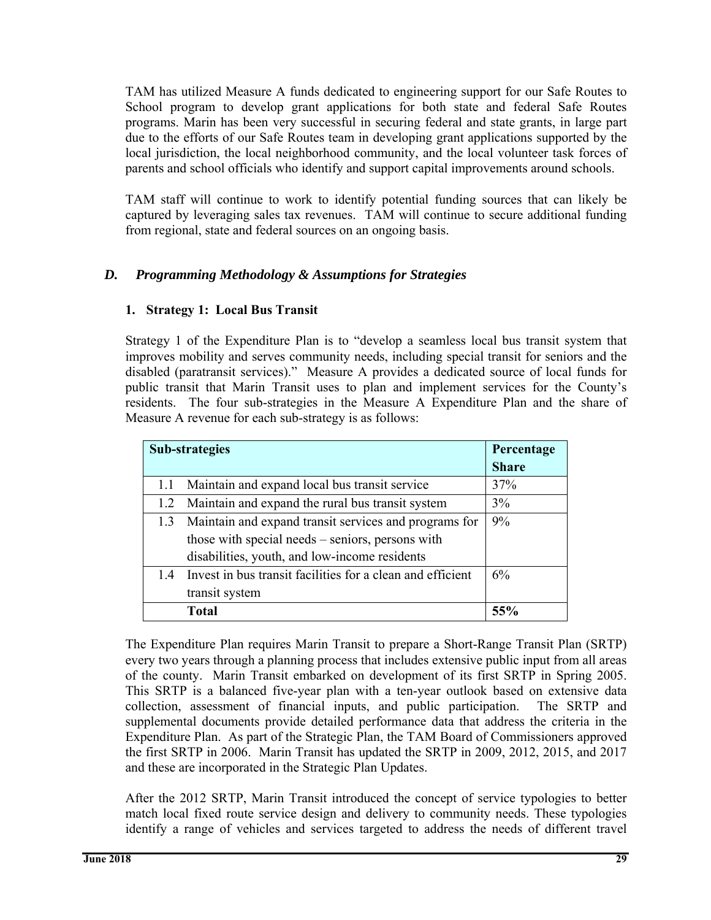TAM has utilized Measure A funds dedicated to engineering support for our Safe Routes to School program to develop grant applications for both state and federal Safe Routes programs. Marin has been very successful in securing federal and state grants, in large part due to the efforts of our Safe Routes team in developing grant applications supported by the local jurisdiction, the local neighborhood community, and the local volunteer task forces of parents and school officials who identify and support capital improvements around schools.

TAM staff will continue to work to identify potential funding sources that can likely be captured by leveraging sales tax revenues. TAM will continue to secure additional funding from regional, state and federal sources on an ongoing basis.

# *D. Programming Methodology & Assumptions for Strategies*

#### **1. Strategy 1: Local Bus Transit**

Strategy 1 of the Expenditure Plan is to "develop a seamless local bus transit system that improves mobility and serves community needs, including special transit for seniors and the disabled (paratransit services)." Measure A provides a dedicated source of local funds for public transit that Marin Transit uses to plan and implement services for the County's residents. The four sub-strategies in the Measure A Expenditure Plan and the share of Measure A revenue for each sub-strategy is as follows:

|     | <b>Sub-strategies</b>                                      | Percentage<br><b>Share</b> |
|-----|------------------------------------------------------------|----------------------------|
| 1.1 | Maintain and expand local bus transit service              | 37%                        |
| 1.2 | Maintain and expand the rural bus transit system           | 3%                         |
|     | 1.3 Maintain and expand transit services and programs for  | 9%                         |
|     | those with special needs – seniors, persons with           |                            |
|     | disabilities, youth, and low-income residents              |                            |
| 1.4 | Invest in bus transit facilities for a clean and efficient | 6%                         |
|     | transit system                                             |                            |
|     | <b>Total</b>                                               |                            |

The Expenditure Plan requires Marin Transit to prepare a Short-Range Transit Plan (SRTP) every two years through a planning process that includes extensive public input from all areas of the county. Marin Transit embarked on development of its first SRTP in Spring 2005. This SRTP is a balanced five-year plan with a ten-year outlook based on extensive data collection, assessment of financial inputs, and public participation. The SRTP and supplemental documents provide detailed performance data that address the criteria in the Expenditure Plan. As part of the Strategic Plan, the TAM Board of Commissioners approved the first SRTP in 2006. Marin Transit has updated the SRTP in 2009, 2012, 2015, and 2017 and these are incorporated in the Strategic Plan Updates.

After the 2012 SRTP, Marin Transit introduced the concept of service typologies to better match local fixed route service design and delivery to community needs. These typologies identify a range of vehicles and services targeted to address the needs of different travel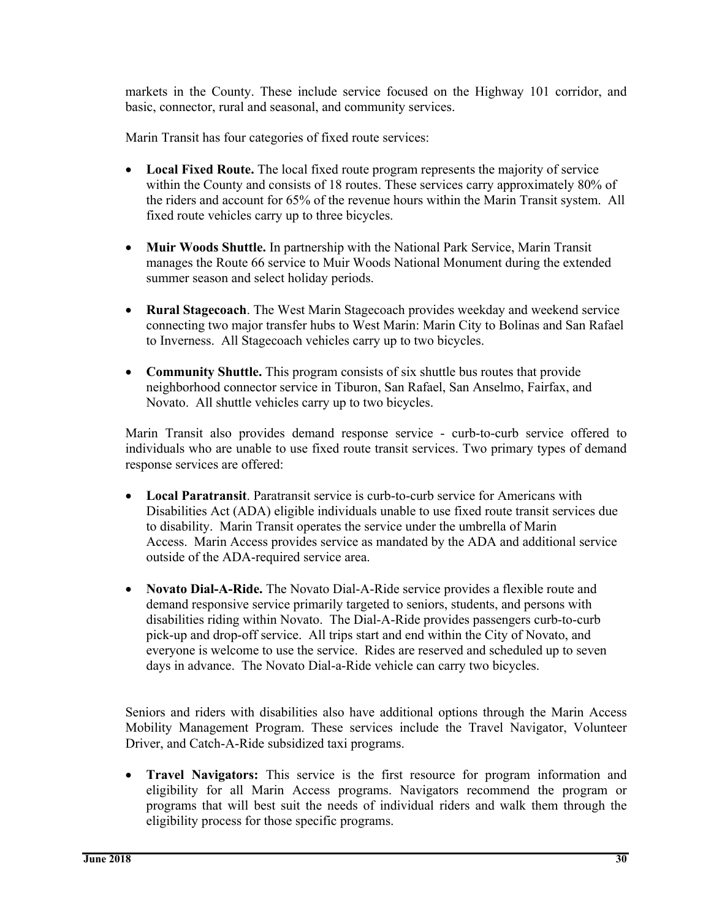markets in the County. These include service focused on the Highway 101 corridor, and basic, connector, rural and seasonal, and community services.

Marin Transit has four categories of fixed route services:

- **Local Fixed Route.** The local fixed route program represents the majority of service within the County and consists of 18 routes. These services carry approximately 80% of the riders and account for 65% of the revenue hours within the Marin Transit system. All fixed route vehicles carry up to three bicycles.
- **Muir Woods Shuttle.** In partnership with the National Park Service, Marin Transit manages the Route 66 service to Muir Woods National Monument during the extended summer season and select holiday periods.
- **Rural Stagecoach**. The West Marin Stagecoach provides weekday and weekend service connecting two major transfer hubs to West Marin: Marin City to Bolinas and San Rafael to Inverness. All Stagecoach vehicles carry up to two bicycles.
- **Community Shuttle.** This program consists of six shuttle bus routes that provide neighborhood connector service in Tiburon, San Rafael, San Anselmo, Fairfax, and Novato. All shuttle vehicles carry up to two bicycles.

Marin Transit also provides demand response service - curb-to-curb service offered to individuals who are unable to use fixed route transit services. Two primary types of demand response services are offered:

- **Local Paratransit**. Paratransit service is curb-to-curb service for Americans with Disabilities Act (ADA) eligible individuals unable to use fixed route transit services due to disability. Marin Transit operates the service under the umbrella of Marin Access. Marin Access provides service as mandated by the ADA and additional service outside of the ADA-required service area.
- **Novato Dial-A-Ride.** The Novato Dial-A-Ride service provides a flexible route and demand responsive service primarily targeted to seniors, students, and persons with disabilities riding within Novato. The Dial-A-Ride provides passengers curb-to-curb pick-up and drop-off service. All trips start and end within the City of Novato, and everyone is welcome to use the service. Rides are reserved and scheduled up to seven days in advance. The Novato Dial-a-Ride vehicle can carry two bicycles.

Seniors and riders with disabilities also have additional options through the Marin Access Mobility Management Program. These services include the Travel Navigator, Volunteer Driver, and Catch-A-Ride subsidized taxi programs.

 **Travel Navigators:** This service is the first resource for program information and eligibility for all Marin Access programs. Navigators recommend the program or programs that will best suit the needs of individual riders and walk them through the eligibility process for those specific programs.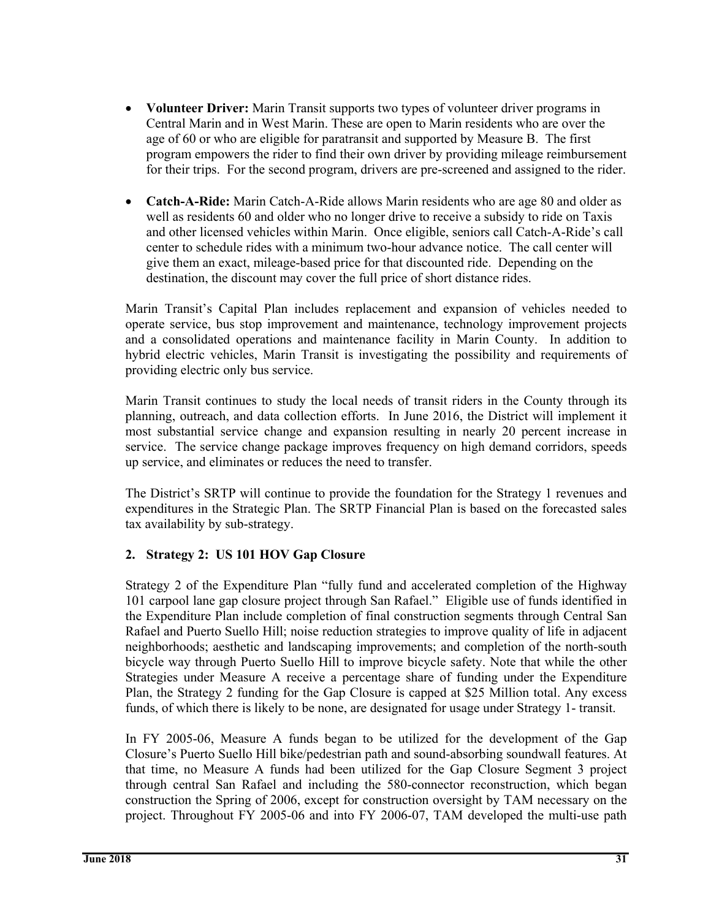- **Volunteer Driver:** Marin Transit supports two types of volunteer driver programs in Central Marin and in West Marin. These are open to Marin residents who are over the age of 60 or who are eligible for paratransit and supported by Measure B. The first program empowers the rider to find their own driver by providing mileage reimbursement for their trips. For the second program, drivers are pre-screened and assigned to the rider.
- **Catch-A-Ride:** Marin Catch-A-Ride allows Marin residents who are age 80 and older as well as residents 60 and older who no longer drive to receive a subsidy to ride on Taxis and other licensed vehicles within Marin. Once eligible, seniors call Catch-A-Ride's call center to schedule rides with a minimum two-hour advance notice. The call center will give them an exact, mileage-based price for that discounted ride. Depending on the destination, the discount may cover the full price of short distance rides.

Marin Transit's Capital Plan includes replacement and expansion of vehicles needed to operate service, bus stop improvement and maintenance, technology improvement projects and a consolidated operations and maintenance facility in Marin County. In addition to hybrid electric vehicles, Marin Transit is investigating the possibility and requirements of providing electric only bus service.

Marin Transit continues to study the local needs of transit riders in the County through its planning, outreach, and data collection efforts. In June 2016, the District will implement it most substantial service change and expansion resulting in nearly 20 percent increase in service. The service change package improves frequency on high demand corridors, speeds up service, and eliminates or reduces the need to transfer.

The District's SRTP will continue to provide the foundation for the Strategy 1 revenues and expenditures in the Strategic Plan. The SRTP Financial Plan is based on the forecasted sales tax availability by sub-strategy.

# **2. Strategy 2: US 101 HOV Gap Closure**

Strategy 2 of the Expenditure Plan "fully fund and accelerated completion of the Highway 101 carpool lane gap closure project through San Rafael." Eligible use of funds identified in the Expenditure Plan include completion of final construction segments through Central San Rafael and Puerto Suello Hill; noise reduction strategies to improve quality of life in adjacent neighborhoods; aesthetic and landscaping improvements; and completion of the north-south bicycle way through Puerto Suello Hill to improve bicycle safety. Note that while the other Strategies under Measure A receive a percentage share of funding under the Expenditure Plan, the Strategy 2 funding for the Gap Closure is capped at \$25 Million total. Any excess funds, of which there is likely to be none, are designated for usage under Strategy 1- transit.

In FY 2005-06, Measure A funds began to be utilized for the development of the Gap Closure's Puerto Suello Hill bike/pedestrian path and sound-absorbing soundwall features. At that time, no Measure A funds had been utilized for the Gap Closure Segment 3 project through central San Rafael and including the 580-connector reconstruction, which began construction the Spring of 2006, except for construction oversight by TAM necessary on the project. Throughout FY 2005-06 and into FY 2006-07, TAM developed the multi-use path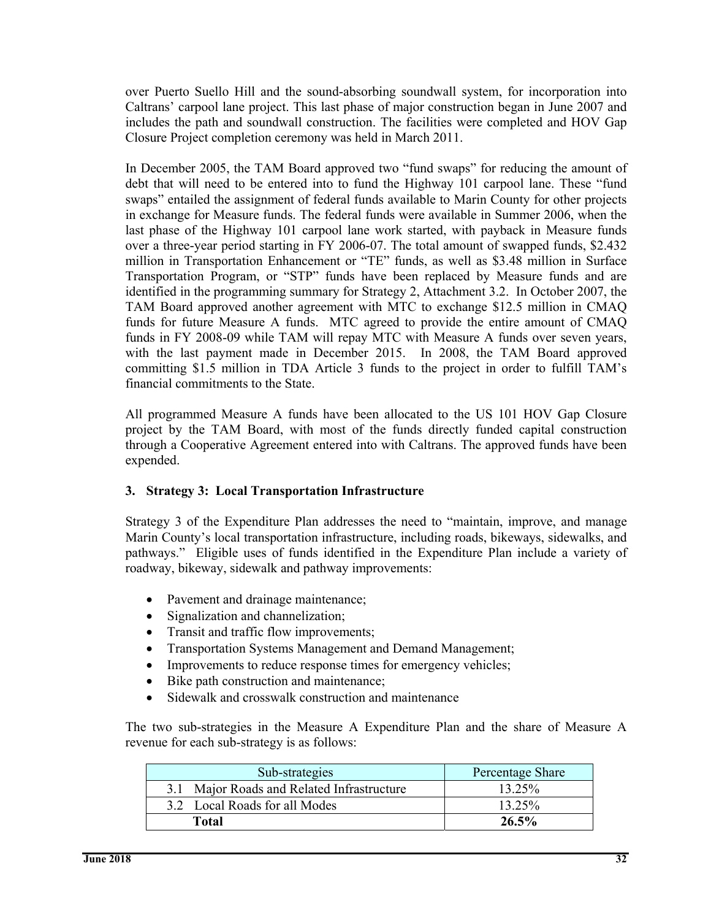over Puerto Suello Hill and the sound-absorbing soundwall system, for incorporation into Caltrans' carpool lane project. This last phase of major construction began in June 2007 and includes the path and soundwall construction. The facilities were completed and HOV Gap Closure Project completion ceremony was held in March 2011.

In December 2005, the TAM Board approved two "fund swaps" for reducing the amount of debt that will need to be entered into to fund the Highway 101 carpool lane. These "fund swaps" entailed the assignment of federal funds available to Marin County for other projects in exchange for Measure funds. The federal funds were available in Summer 2006, when the last phase of the Highway 101 carpool lane work started, with payback in Measure funds over a three-year period starting in FY 2006-07. The total amount of swapped funds, \$2.432 million in Transportation Enhancement or "TE" funds, as well as \$3.48 million in Surface Transportation Program, or "STP" funds have been replaced by Measure funds and are identified in the programming summary for Strategy 2, Attachment 3.2. In October 2007, the TAM Board approved another agreement with MTC to exchange \$12.5 million in CMAQ funds for future Measure A funds. MTC agreed to provide the entire amount of CMAQ funds in FY 2008-09 while TAM will repay MTC with Measure A funds over seven years, with the last payment made in December 2015. In 2008, the TAM Board approved committing \$1.5 million in TDA Article 3 funds to the project in order to fulfill TAM's financial commitments to the State.

All programmed Measure A funds have been allocated to the US 101 HOV Gap Closure project by the TAM Board, with most of the funds directly funded capital construction through a Cooperative Agreement entered into with Caltrans. The approved funds have been expended.

#### **3. Strategy 3: Local Transportation Infrastructure**

Strategy 3 of the Expenditure Plan addresses the need to "maintain, improve, and manage Marin County's local transportation infrastructure, including roads, bikeways, sidewalks, and pathways." Eligible uses of funds identified in the Expenditure Plan include a variety of roadway, bikeway, sidewalk and pathway improvements:

- Pavement and drainage maintenance;
- Signalization and channelization:
- Transit and traffic flow improvements;
- Transportation Systems Management and Demand Management;
- Improvements to reduce response times for emergency vehicles;
- Bike path construction and maintenance;
- Sidewalk and crosswalk construction and maintenance

The two sub-strategies in the Measure A Expenditure Plan and the share of Measure A revenue for each sub-strategy is as follows:

| Sub-strategies                             | Percentage Share |
|--------------------------------------------|------------------|
| 3.1 Major Roads and Related Infrastructure | 13.25%           |
| 3.2 Local Roads for all Modes              | 13.25%           |
| Total                                      | $26.5\%$         |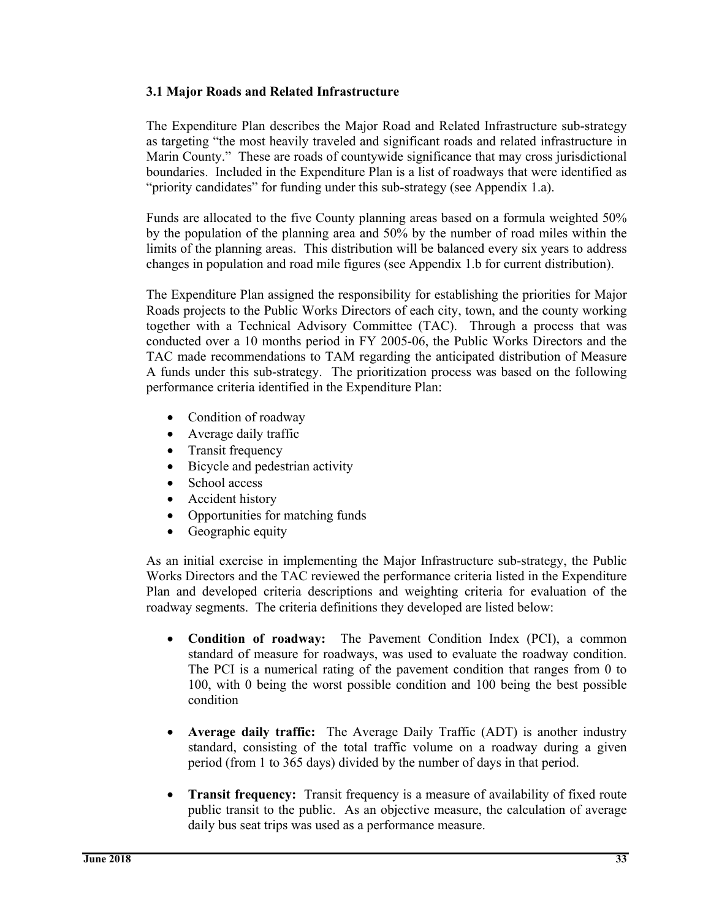#### **3.1 Major Roads and Related Infrastructure**

The Expenditure Plan describes the Major Road and Related Infrastructure sub-strategy as targeting "the most heavily traveled and significant roads and related infrastructure in Marin County." These are roads of countywide significance that may cross jurisdictional boundaries. Included in the Expenditure Plan is a list of roadways that were identified as "priority candidates" for funding under this sub-strategy (see Appendix 1.a).

Funds are allocated to the five County planning areas based on a formula weighted 50% by the population of the planning area and 50% by the number of road miles within the limits of the planning areas. This distribution will be balanced every six years to address changes in population and road mile figures (see Appendix 1.b for current distribution).

The Expenditure Plan assigned the responsibility for establishing the priorities for Major Roads projects to the Public Works Directors of each city, town, and the county working together with a Technical Advisory Committee (TAC). Through a process that was conducted over a 10 months period in FY 2005-06, the Public Works Directors and the TAC made recommendations to TAM regarding the anticipated distribution of Measure A funds under this sub-strategy. The prioritization process was based on the following performance criteria identified in the Expenditure Plan:

- Condition of roadway
- Average daily traffic
- Transit frequency
- Bicycle and pedestrian activity
- School access
- Accident history
- Opportunities for matching funds
- Geographic equity

As an initial exercise in implementing the Major Infrastructure sub-strategy, the Public Works Directors and the TAC reviewed the performance criteria listed in the Expenditure Plan and developed criteria descriptions and weighting criteria for evaluation of the roadway segments. The criteria definitions they developed are listed below:

- **Condition of roadway:** The Pavement Condition Index (PCI), a common standard of measure for roadways, was used to evaluate the roadway condition. The PCI is a numerical rating of the pavement condition that ranges from 0 to 100, with 0 being the worst possible condition and 100 being the best possible condition
- **Average daily traffic:** The Average Daily Traffic (ADT) is another industry standard, consisting of the total traffic volume on a roadway during a given period (from 1 to 365 days) divided by the number of days in that period.
- **Transit frequency:** Transit frequency is a measure of availability of fixed route public transit to the public. As an objective measure, the calculation of average daily bus seat trips was used as a performance measure.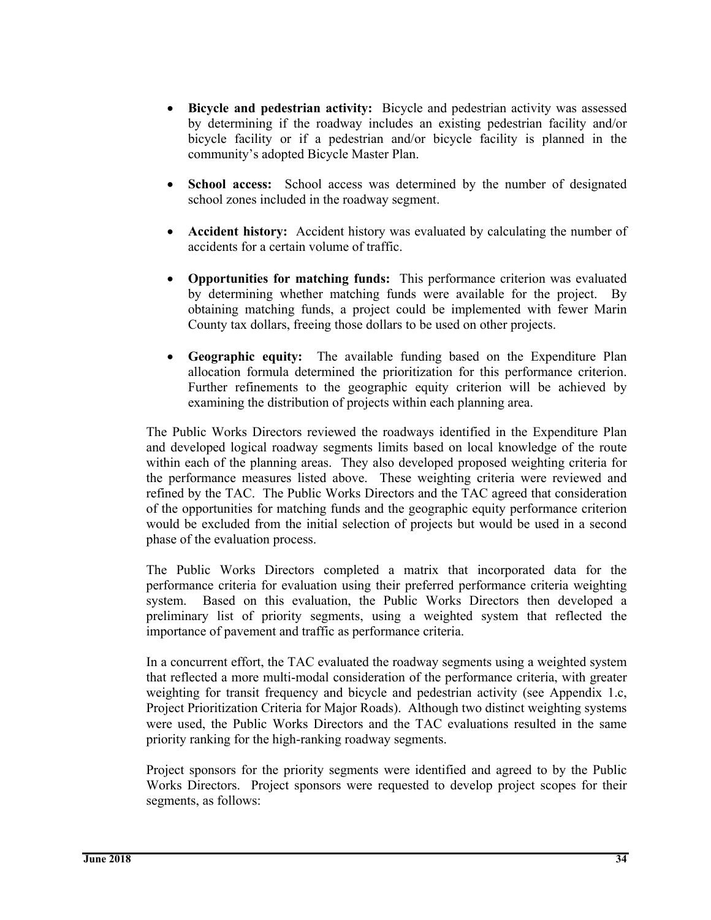- **Bicycle and pedestrian activity:** Bicycle and pedestrian activity was assessed by determining if the roadway includes an existing pedestrian facility and/or bicycle facility or if a pedestrian and/or bicycle facility is planned in the community's adopted Bicycle Master Plan.
- **School access:** School access was determined by the number of designated school zones included in the roadway segment.
- **Accident history:** Accident history was evaluated by calculating the number of accidents for a certain volume of traffic.
- **Opportunities for matching funds:** This performance criterion was evaluated by determining whether matching funds were available for the project. By obtaining matching funds, a project could be implemented with fewer Marin County tax dollars, freeing those dollars to be used on other projects.
- **Geographic equity:** The available funding based on the Expenditure Plan allocation formula determined the prioritization for this performance criterion. Further refinements to the geographic equity criterion will be achieved by examining the distribution of projects within each planning area.

The Public Works Directors reviewed the roadways identified in the Expenditure Plan and developed logical roadway segments limits based on local knowledge of the route within each of the planning areas. They also developed proposed weighting criteria for the performance measures listed above. These weighting criteria were reviewed and refined by the TAC. The Public Works Directors and the TAC agreed that consideration of the opportunities for matching funds and the geographic equity performance criterion would be excluded from the initial selection of projects but would be used in a second phase of the evaluation process.

The Public Works Directors completed a matrix that incorporated data for the performance criteria for evaluation using their preferred performance criteria weighting system. Based on this evaluation, the Public Works Directors then developed a preliminary list of priority segments, using a weighted system that reflected the importance of pavement and traffic as performance criteria.

In a concurrent effort, the TAC evaluated the roadway segments using a weighted system that reflected a more multi-modal consideration of the performance criteria, with greater weighting for transit frequency and bicycle and pedestrian activity (see Appendix 1.c, Project Prioritization Criteria for Major Roads). Although two distinct weighting systems were used, the Public Works Directors and the TAC evaluations resulted in the same priority ranking for the high-ranking roadway segments.

Project sponsors for the priority segments were identified and agreed to by the Public Works Directors. Project sponsors were requested to develop project scopes for their segments, as follows: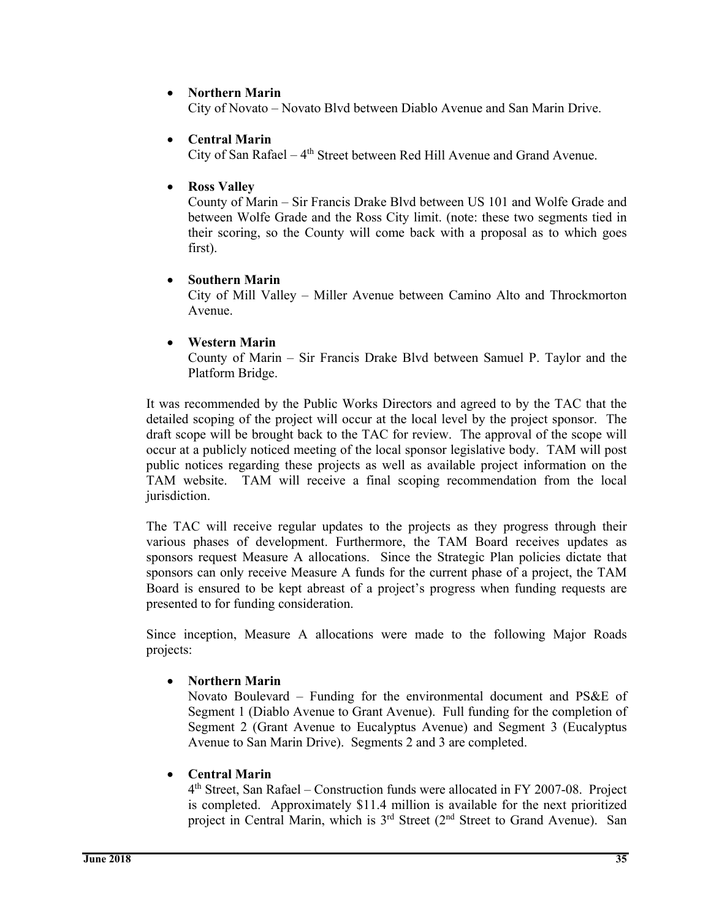#### **Northern Marin**

City of Novato – Novato Blvd between Diablo Avenue and San Marin Drive.

#### **Central Marin**

City of San Rafael –  $4<sup>th</sup>$  Street between Red Hill Avenue and Grand Avenue.

#### **Ross Valley**

County of Marin – Sir Francis Drake Blvd between US 101 and Wolfe Grade and between Wolfe Grade and the Ross City limit. (note: these two segments tied in their scoring, so the County will come back with a proposal as to which goes first).

# **Southern Marin**

City of Mill Valley – Miller Avenue between Camino Alto and Throckmorton Avenue.

#### **Western Marin**

County of Marin – Sir Francis Drake Blvd between Samuel P. Taylor and the Platform Bridge.

It was recommended by the Public Works Directors and agreed to by the TAC that the detailed scoping of the project will occur at the local level by the project sponsor. The draft scope will be brought back to the TAC for review. The approval of the scope will occur at a publicly noticed meeting of the local sponsor legislative body. TAM will post public notices regarding these projects as well as available project information on the TAM website. TAM will receive a final scoping recommendation from the local jurisdiction.

The TAC will receive regular updates to the projects as they progress through their various phases of development. Furthermore, the TAM Board receives updates as sponsors request Measure A allocations. Since the Strategic Plan policies dictate that sponsors can only receive Measure A funds for the current phase of a project, the TAM Board is ensured to be kept abreast of a project's progress when funding requests are presented to for funding consideration.

Since inception, Measure A allocations were made to the following Major Roads projects:

# **Northern Marin**

Novato Boulevard – Funding for the environmental document and PS&E of Segment 1 (Diablo Avenue to Grant Avenue). Full funding for the completion of Segment 2 (Grant Avenue to Eucalyptus Avenue) and Segment 3 (Eucalyptus Avenue to San Marin Drive). Segments 2 and 3 are completed.

# **Central Marin**

4th Street, San Rafael – Construction funds were allocated in FY 2007-08. Project is completed. Approximately \$11.4 million is available for the next prioritized project in Central Marin, which is 3<sup>rd</sup> Street (2<sup>nd</sup> Street to Grand Avenue). San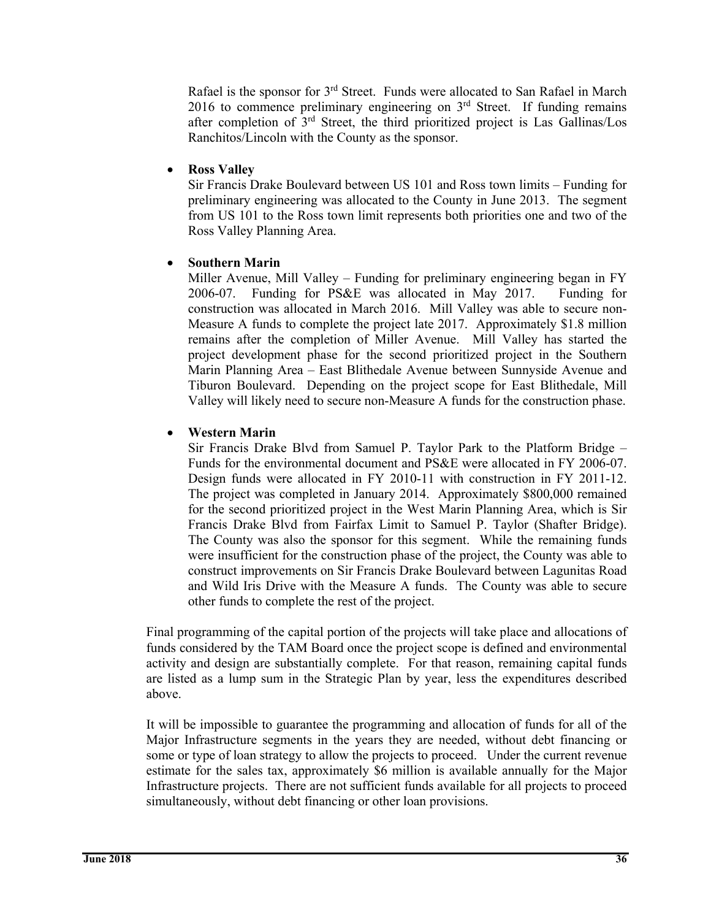Rafael is the sponsor for 3rd Street. Funds were allocated to San Rafael in March 2016 to commence preliminary engineering on  $3<sup>rd</sup>$  Street. If funding remains after completion of 3rd Street, the third prioritized project is Las Gallinas/Los Ranchitos/Lincoln with the County as the sponsor.

#### **Ross Valley**

Sir Francis Drake Boulevard between US 101 and Ross town limits – Funding for preliminary engineering was allocated to the County in June 2013. The segment from US 101 to the Ross town limit represents both priorities one and two of the Ross Valley Planning Area.

#### **Southern Marin**

Miller Avenue, Mill Valley – Funding for preliminary engineering began in FY 2006-07. Funding for PS&E was allocated in May 2017. Funding for construction was allocated in March 2016. Mill Valley was able to secure non-Measure A funds to complete the project late 2017. Approximately \$1.8 million remains after the completion of Miller Avenue. Mill Valley has started the project development phase for the second prioritized project in the Southern Marin Planning Area – East Blithedale Avenue between Sunnyside Avenue and Tiburon Boulevard. Depending on the project scope for East Blithedale, Mill Valley will likely need to secure non-Measure A funds for the construction phase.

#### **Western Marin**

Sir Francis Drake Blvd from Samuel P. Taylor Park to the Platform Bridge – Funds for the environmental document and PS&E were allocated in FY 2006-07. Design funds were allocated in FY 2010-11 with construction in FY 2011-12. The project was completed in January 2014. Approximately \$800,000 remained for the second prioritized project in the West Marin Planning Area, which is Sir Francis Drake Blvd from Fairfax Limit to Samuel P. Taylor (Shafter Bridge). The County was also the sponsor for this segment. While the remaining funds were insufficient for the construction phase of the project, the County was able to construct improvements on Sir Francis Drake Boulevard between Lagunitas Road and Wild Iris Drive with the Measure A funds. The County was able to secure other funds to complete the rest of the project.

Final programming of the capital portion of the projects will take place and allocations of funds considered by the TAM Board once the project scope is defined and environmental activity and design are substantially complete. For that reason, remaining capital funds are listed as a lump sum in the Strategic Plan by year, less the expenditures described above.

It will be impossible to guarantee the programming and allocation of funds for all of the Major Infrastructure segments in the years they are needed, without debt financing or some or type of loan strategy to allow the projects to proceed. Under the current revenue estimate for the sales tax, approximately \$6 million is available annually for the Major Infrastructure projects. There are not sufficient funds available for all projects to proceed simultaneously, without debt financing or other loan provisions.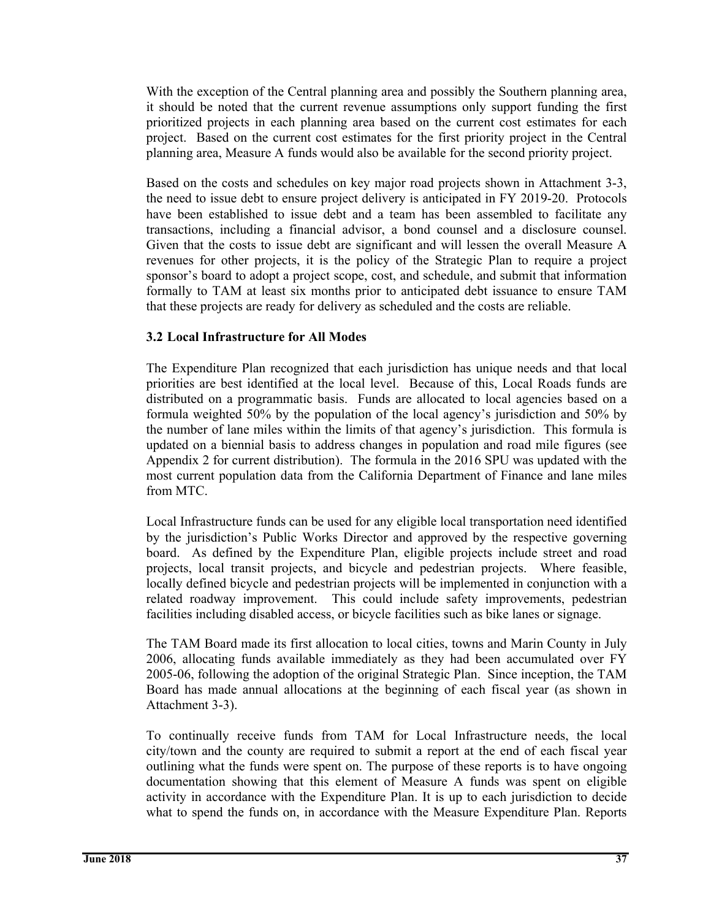With the exception of the Central planning area and possibly the Southern planning area, it should be noted that the current revenue assumptions only support funding the first prioritized projects in each planning area based on the current cost estimates for each project. Based on the current cost estimates for the first priority project in the Central planning area, Measure A funds would also be available for the second priority project.

Based on the costs and schedules on key major road projects shown in Attachment 3-3, the need to issue debt to ensure project delivery is anticipated in FY 2019-20. Protocols have been established to issue debt and a team has been assembled to facilitate any transactions, including a financial advisor, a bond counsel and a disclosure counsel. Given that the costs to issue debt are significant and will lessen the overall Measure A revenues for other projects, it is the policy of the Strategic Plan to require a project sponsor's board to adopt a project scope, cost, and schedule, and submit that information formally to TAM at least six months prior to anticipated debt issuance to ensure TAM that these projects are ready for delivery as scheduled and the costs are reliable.

#### **3.2 Local Infrastructure for All Modes**

The Expenditure Plan recognized that each jurisdiction has unique needs and that local priorities are best identified at the local level. Because of this, Local Roads funds are distributed on a programmatic basis. Funds are allocated to local agencies based on a formula weighted 50% by the population of the local agency's jurisdiction and 50% by the number of lane miles within the limits of that agency's jurisdiction. This formula is updated on a biennial basis to address changes in population and road mile figures (see Appendix 2 for current distribution). The formula in the 2016 SPU was updated with the most current population data from the California Department of Finance and lane miles from MTC.

Local Infrastructure funds can be used for any eligible local transportation need identified by the jurisdiction's Public Works Director and approved by the respective governing board. As defined by the Expenditure Plan, eligible projects include street and road projects, local transit projects, and bicycle and pedestrian projects. Where feasible, locally defined bicycle and pedestrian projects will be implemented in conjunction with a related roadway improvement. This could include safety improvements, pedestrian facilities including disabled access, or bicycle facilities such as bike lanes or signage.

The TAM Board made its first allocation to local cities, towns and Marin County in July 2006, allocating funds available immediately as they had been accumulated over FY 2005-06, following the adoption of the original Strategic Plan. Since inception, the TAM Board has made annual allocations at the beginning of each fiscal year (as shown in Attachment 3-3).

To continually receive funds from TAM for Local Infrastructure needs, the local city/town and the county are required to submit a report at the end of each fiscal year outlining what the funds were spent on. The purpose of these reports is to have ongoing documentation showing that this element of Measure A funds was spent on eligible activity in accordance with the Expenditure Plan. It is up to each jurisdiction to decide what to spend the funds on, in accordance with the Measure Expenditure Plan. Reports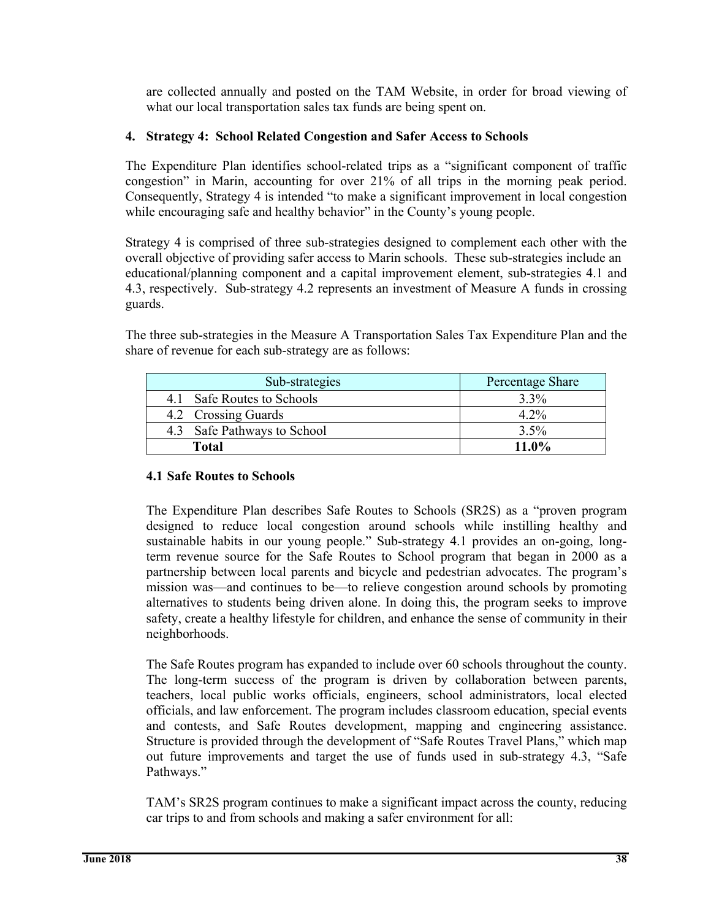are collected annually and posted on the TAM Website, in order for broad viewing of what our local transportation sales tax funds are being spent on.

#### **4. Strategy 4: School Related Congestion and Safer Access to Schools**

The Expenditure Plan identifies school-related trips as a "significant component of traffic congestion" in Marin, accounting for over 21% of all trips in the morning peak period. Consequently, Strategy 4 is intended "to make a significant improvement in local congestion while encouraging safe and healthy behavior" in the County's young people.

Strategy 4 is comprised of three sub-strategies designed to complement each other with the overall objective of providing safer access to Marin schools. These sub-strategies include an educational/planning component and a capital improvement element, sub-strategies 4.1 and 4.3, respectively. Sub-strategy 4.2 represents an investment of Measure A funds in crossing guards.

The three sub-strategies in the Measure A Transportation Sales Tax Expenditure Plan and the share of revenue for each sub-strategy are as follows:

| Sub-strategies              | Percentage Share |
|-----------------------------|------------------|
| 4.1 Safe Routes to Schools  | $3.3\%$          |
| 4.2 Crossing Guards         | $4.2\%$          |
| 4.3 Safe Pathways to School | $3.5\%$          |
| Total                       | $11.0\%$         |

#### **4.1 Safe Routes to Schools**

The Expenditure Plan describes Safe Routes to Schools (SR2S) as a "proven program designed to reduce local congestion around schools while instilling healthy and sustainable habits in our young people." Sub-strategy 4.1 provides an on-going, longterm revenue source for the Safe Routes to School program that began in 2000 as a partnership between local parents and bicycle and pedestrian advocates. The program's mission was—and continues to be—to relieve congestion around schools by promoting alternatives to students being driven alone. In doing this, the program seeks to improve safety, create a healthy lifestyle for children, and enhance the sense of community in their neighborhoods.

The Safe Routes program has expanded to include over 60 schools throughout the county. The long-term success of the program is driven by collaboration between parents, teachers, local public works officials, engineers, school administrators, local elected officials, and law enforcement. The program includes classroom education, special events and contests, and Safe Routes development, mapping and engineering assistance. Structure is provided through the development of "Safe Routes Travel Plans," which map out future improvements and target the use of funds used in sub-strategy 4.3, "Safe Pathways."

TAM's SR2S program continues to make a significant impact across the county, reducing car trips to and from schools and making a safer environment for all: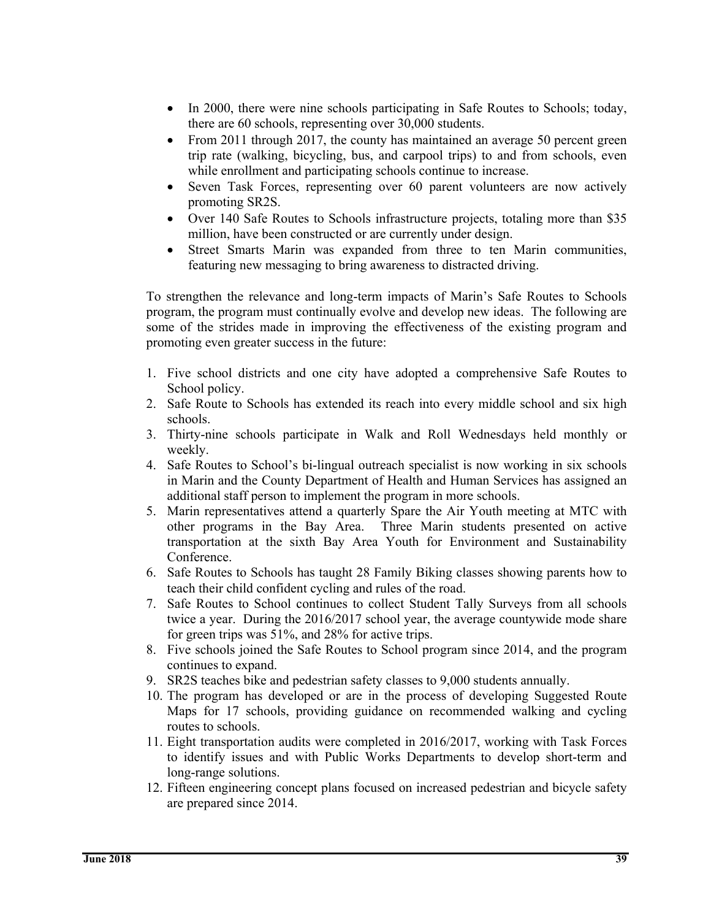- In 2000, there were nine schools participating in Safe Routes to Schools; today, there are 60 schools, representing over 30,000 students.
- From 2011 through 2017, the county has maintained an average 50 percent green trip rate (walking, bicycling, bus, and carpool trips) to and from schools, even while enrollment and participating schools continue to increase.
- Seven Task Forces, representing over 60 parent volunteers are now actively promoting SR2S.
- Over 140 Safe Routes to Schools infrastructure projects, totaling more than \$35 million, have been constructed or are currently under design.
- Street Smarts Marin was expanded from three to ten Marin communities, featuring new messaging to bring awareness to distracted driving.

To strengthen the relevance and long-term impacts of Marin's Safe Routes to Schools program, the program must continually evolve and develop new ideas. The following are some of the strides made in improving the effectiveness of the existing program and promoting even greater success in the future:

- 1. Five school districts and one city have adopted a comprehensive Safe Routes to School policy.
- 2. Safe Route to Schools has extended its reach into every middle school and six high schools.
- 3. Thirty-nine schools participate in Walk and Roll Wednesdays held monthly or weekly.
- 4. Safe Routes to School's bi-lingual outreach specialist is now working in six schools in Marin and the County Department of Health and Human Services has assigned an additional staff person to implement the program in more schools.
- 5. Marin representatives attend a quarterly Spare the Air Youth meeting at MTC with other programs in the Bay Area. Three Marin students presented on active transportation at the sixth Bay Area Youth for Environment and Sustainability Conference.
- 6. Safe Routes to Schools has taught 28 Family Biking classes showing parents how to teach their child confident cycling and rules of the road.
- 7. Safe Routes to School continues to collect Student Tally Surveys from all schools twice a year. During the 2016/2017 school year, the average countywide mode share for green trips was 51%, and 28% for active trips.
- 8. Five schools joined the Safe Routes to School program since 2014, and the program continues to expand.
- 9. SR2S teaches bike and pedestrian safety classes to 9,000 students annually.
- 10. The program has developed or are in the process of developing Suggested Route Maps for 17 schools, providing guidance on recommended walking and cycling routes to schools.
- 11. Eight transportation audits were completed in 2016/2017, working with Task Forces to identify issues and with Public Works Departments to develop short-term and long-range solutions.
- 12. Fifteen engineering concept plans focused on increased pedestrian and bicycle safety are prepared since 2014.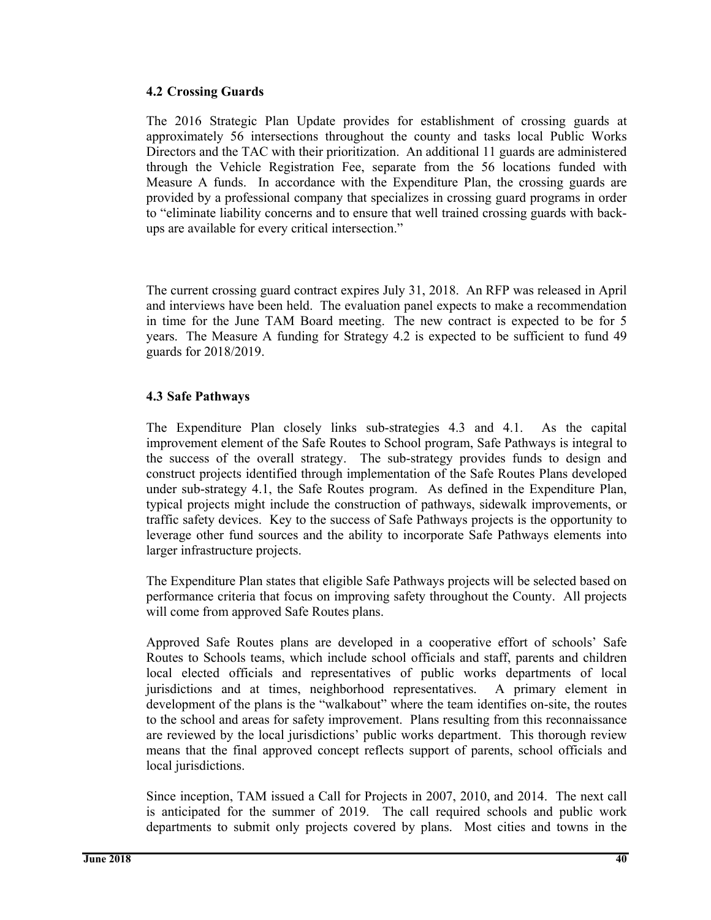#### **4.2 Crossing Guards**

The 2016 Strategic Plan Update provides for establishment of crossing guards at approximately 56 intersections throughout the county and tasks local Public Works Directors and the TAC with their prioritization. An additional 11 guards are administered through the Vehicle Registration Fee, separate from the 56 locations funded with Measure A funds. In accordance with the Expenditure Plan, the crossing guards are provided by a professional company that specializes in crossing guard programs in order to "eliminate liability concerns and to ensure that well trained crossing guards with backups are available for every critical intersection."

The current crossing guard contract expires July 31, 2018. An RFP was released in April and interviews have been held. The evaluation panel expects to make a recommendation in time for the June TAM Board meeting. The new contract is expected to be for 5 years. The Measure A funding for Strategy 4.2 is expected to be sufficient to fund 49 guards for 2018/2019.

#### **4.3 Safe Pathways**

The Expenditure Plan closely links sub-strategies 4.3 and 4.1. As the capital improvement element of the Safe Routes to School program, Safe Pathways is integral to the success of the overall strategy. The sub-strategy provides funds to design and construct projects identified through implementation of the Safe Routes Plans developed under sub-strategy 4.1, the Safe Routes program. As defined in the Expenditure Plan, typical projects might include the construction of pathways, sidewalk improvements, or traffic safety devices. Key to the success of Safe Pathways projects is the opportunity to leverage other fund sources and the ability to incorporate Safe Pathways elements into larger infrastructure projects.

The Expenditure Plan states that eligible Safe Pathways projects will be selected based on performance criteria that focus on improving safety throughout the County. All projects will come from approved Safe Routes plans.

Approved Safe Routes plans are developed in a cooperative effort of schools' Safe Routes to Schools teams, which include school officials and staff, parents and children local elected officials and representatives of public works departments of local jurisdictions and at times, neighborhood representatives. A primary element in development of the plans is the "walkabout" where the team identifies on-site, the routes to the school and areas for safety improvement. Plans resulting from this reconnaissance are reviewed by the local jurisdictions' public works department. This thorough review means that the final approved concept reflects support of parents, school officials and local jurisdictions.

Since inception, TAM issued a Call for Projects in 2007, 2010, and 2014. The next call is anticipated for the summer of 2019. The call required schools and public work departments to submit only projects covered by plans. Most cities and towns in the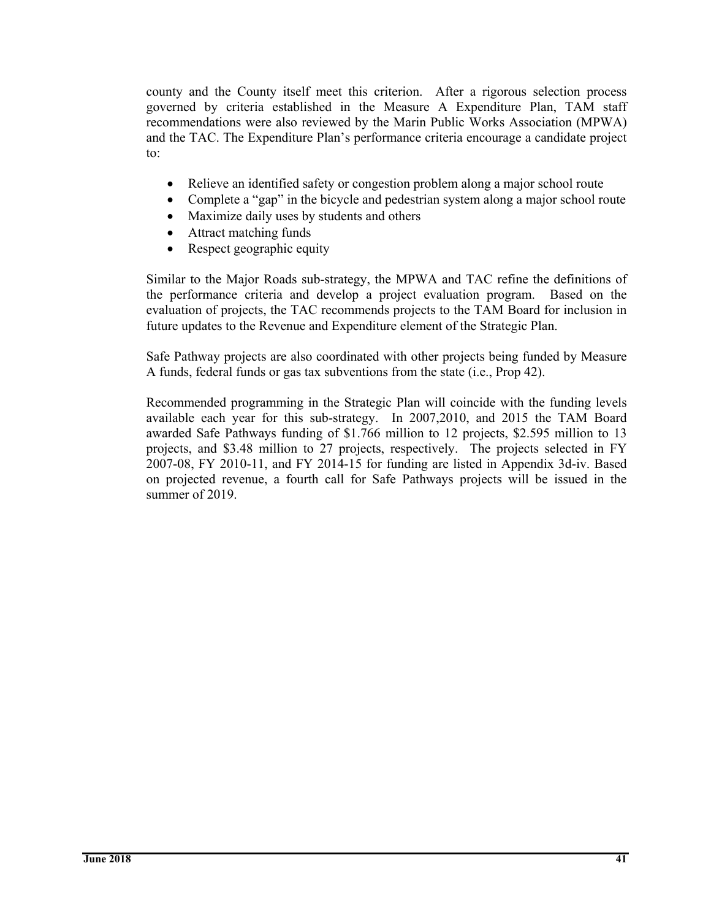county and the County itself meet this criterion. After a rigorous selection process governed by criteria established in the Measure A Expenditure Plan, TAM staff recommendations were also reviewed by the Marin Public Works Association (MPWA) and the TAC. The Expenditure Plan's performance criteria encourage a candidate project to:

- Relieve an identified safety or congestion problem along a major school route
- Complete a "gap" in the bicycle and pedestrian system along a major school route
- Maximize daily uses by students and others
- Attract matching funds
- Respect geographic equity

Similar to the Major Roads sub-strategy, the MPWA and TAC refine the definitions of the performance criteria and develop a project evaluation program. Based on the evaluation of projects, the TAC recommends projects to the TAM Board for inclusion in future updates to the Revenue and Expenditure element of the Strategic Plan.

Safe Pathway projects are also coordinated with other projects being funded by Measure A funds, federal funds or gas tax subventions from the state (i.e., Prop 42).

Recommended programming in the Strategic Plan will coincide with the funding levels available each year for this sub-strategy. In 2007,2010, and 2015 the TAM Board awarded Safe Pathways funding of \$1.766 million to 12 projects, \$2.595 million to 13 projects, and \$3.48 million to 27 projects, respectively. The projects selected in FY 2007-08, FY 2010-11, and FY 2014-15 for funding are listed in Appendix 3d-iv. Based on projected revenue, a fourth call for Safe Pathways projects will be issued in the summer of 2019.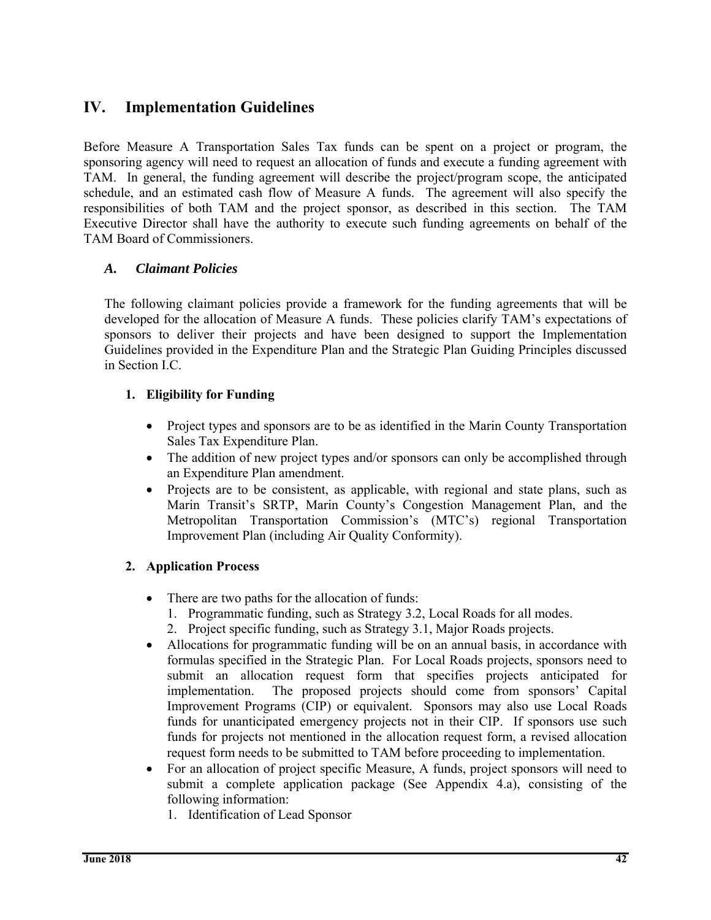# **IV. Implementation Guidelines**

Before Measure A Transportation Sales Tax funds can be spent on a project or program, the sponsoring agency will need to request an allocation of funds and execute a funding agreement with TAM. In general, the funding agreement will describe the project/program scope, the anticipated schedule, and an estimated cash flow of Measure A funds. The agreement will also specify the responsibilities of both TAM and the project sponsor, as described in this section. The TAM Executive Director shall have the authority to execute such funding agreements on behalf of the TAM Board of Commissioners.

#### *A. Claimant Policies*

The following claimant policies provide a framework for the funding agreements that will be developed for the allocation of Measure A funds. These policies clarify TAM's expectations of sponsors to deliver their projects and have been designed to support the Implementation Guidelines provided in the Expenditure Plan and the Strategic Plan Guiding Principles discussed in Section I.C.

#### **1. Eligibility for Funding**

- Project types and sponsors are to be as identified in the Marin County Transportation Sales Tax Expenditure Plan.
- The addition of new project types and/or sponsors can only be accomplished through an Expenditure Plan amendment.
- Projects are to be consistent, as applicable, with regional and state plans, such as Marin Transit's SRTP, Marin County's Congestion Management Plan, and the Metropolitan Transportation Commission's (MTC's) regional Transportation Improvement Plan (including Air Quality Conformity).

# **2. Application Process**

- There are two paths for the allocation of funds:
	- 1. Programmatic funding, such as Strategy 3.2, Local Roads for all modes.
	- 2. Project specific funding, such as Strategy 3.1, Major Roads projects.
- Allocations for programmatic funding will be on an annual basis, in accordance with formulas specified in the Strategic Plan. For Local Roads projects, sponsors need to submit an allocation request form that specifies projects anticipated for implementation. The proposed projects should come from sponsors' Capital Improvement Programs (CIP) or equivalent. Sponsors may also use Local Roads funds for unanticipated emergency projects not in their CIP. If sponsors use such funds for projects not mentioned in the allocation request form, a revised allocation request form needs to be submitted to TAM before proceeding to implementation.
- For an allocation of project specific Measure, A funds, project sponsors will need to submit a complete application package (See Appendix 4.a), consisting of the following information:
	- 1. Identification of Lead Sponsor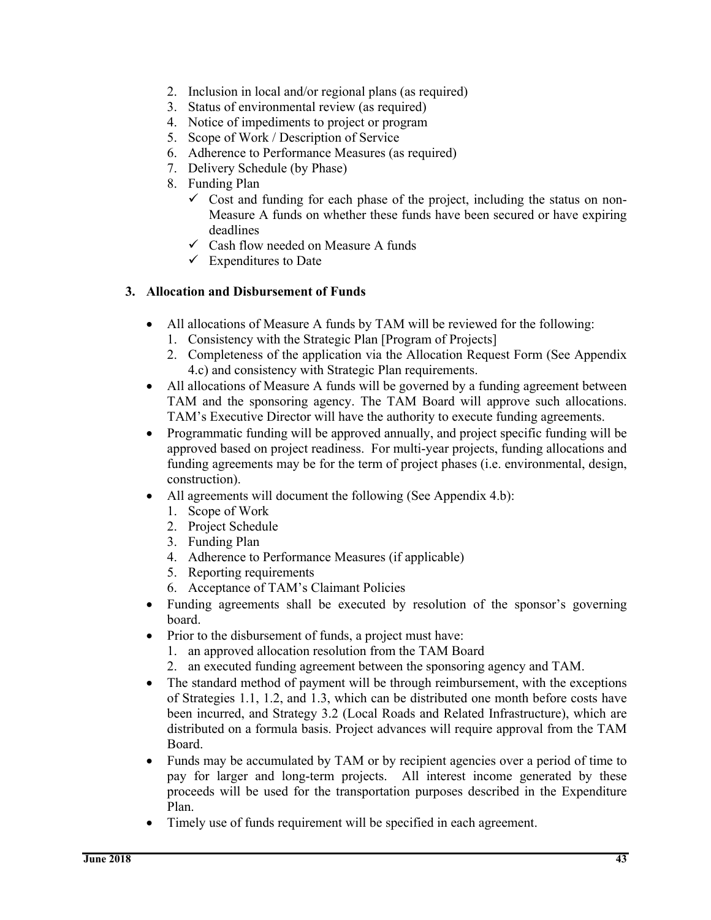- 2. Inclusion in local and/or regional plans (as required)
- 3. Status of environmental review (as required)
- 4. Notice of impediments to project or program
- 5. Scope of Work / Description of Service
- 6. Adherence to Performance Measures (as required)
- 7. Delivery Schedule (by Phase)
- 8. Funding Plan
	- $\checkmark$  Cost and funding for each phase of the project, including the status on non-Measure A funds on whether these funds have been secured or have expiring deadlines
	- $\checkmark$  Cash flow needed on Measure A funds
	- $\checkmark$  Expenditures to Date

#### **3. Allocation and Disbursement of Funds**

- All allocations of Measure A funds by TAM will be reviewed for the following:
	- 1. Consistency with the Strategic Plan [Program of Projects]
	- 2. Completeness of the application via the Allocation Request Form (See Appendix 4.c) and consistency with Strategic Plan requirements.
- All allocations of Measure A funds will be governed by a funding agreement between TAM and the sponsoring agency. The TAM Board will approve such allocations. TAM's Executive Director will have the authority to execute funding agreements.
- Programmatic funding will be approved annually, and project specific funding will be approved based on project readiness. For multi-year projects, funding allocations and funding agreements may be for the term of project phases (i.e. environmental, design, construction).
- All agreements will document the following (See Appendix 4.b):
	- 1. Scope of Work
	- 2. Project Schedule
	- 3. Funding Plan
	- 4. Adherence to Performance Measures (if applicable)
	- 5. Reporting requirements
	- 6. Acceptance of TAM's Claimant Policies
- Funding agreements shall be executed by resolution of the sponsor's governing board.
- Prior to the disbursement of funds, a project must have:
	- 1. an approved allocation resolution from the TAM Board
	- 2. an executed funding agreement between the sponsoring agency and TAM.
- The standard method of payment will be through reimbursement, with the exceptions of Strategies 1.1, 1.2, and 1.3, which can be distributed one month before costs have been incurred, and Strategy 3.2 (Local Roads and Related Infrastructure), which are distributed on a formula basis. Project advances will require approval from the TAM Board.
- Funds may be accumulated by TAM or by recipient agencies over a period of time to pay for larger and long-term projects. All interest income generated by these proceeds will be used for the transportation purposes described in the Expenditure Plan.
- Timely use of funds requirement will be specified in each agreement.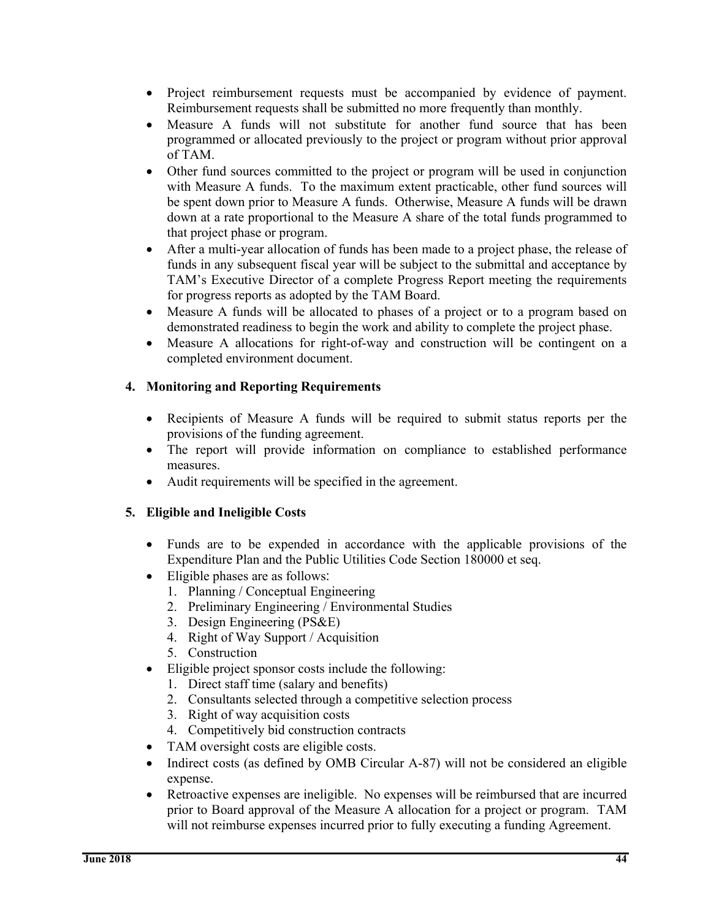- Project reimbursement requests must be accompanied by evidence of payment. Reimbursement requests shall be submitted no more frequently than monthly.
- Measure A funds will not substitute for another fund source that has been programmed or allocated previously to the project or program without prior approval of TAM.
- Other fund sources committed to the project or program will be used in conjunction with Measure A funds. To the maximum extent practicable, other fund sources will be spent down prior to Measure A funds. Otherwise, Measure A funds will be drawn down at a rate proportional to the Measure A share of the total funds programmed to that project phase or program.
- After a multi-year allocation of funds has been made to a project phase, the release of funds in any subsequent fiscal year will be subject to the submittal and acceptance by TAM's Executive Director of a complete Progress Report meeting the requirements for progress reports as adopted by the TAM Board.
- Measure A funds will be allocated to phases of a project or to a program based on demonstrated readiness to begin the work and ability to complete the project phase.
- Measure A allocations for right-of-way and construction will be contingent on a completed environment document.

# **4. Monitoring and Reporting Requirements**

- Recipients of Measure A funds will be required to submit status reports per the provisions of the funding agreement.
- The report will provide information on compliance to established performance measures.
- Audit requirements will be specified in the agreement.

#### **5. Eligible and Ineligible Costs**

- Funds are to be expended in accordance with the applicable provisions of the Expenditure Plan and the Public Utilities Code Section 180000 et seq.
- Eligible phases are as follows:
	- 1. Planning / Conceptual Engineering
	- 2. Preliminary Engineering / Environmental Studies
	- 3. Design Engineering (PS&E)
	- 4. Right of Way Support / Acquisition
	- 5. Construction
- Eligible project sponsor costs include the following:
	- 1. Direct staff time (salary and benefits)
	- 2. Consultants selected through a competitive selection process
	- 3. Right of way acquisition costs
	- 4. Competitively bid construction contracts
- TAM oversight costs are eligible costs.
- Indirect costs (as defined by OMB Circular A-87) will not be considered an eligible expense.
- Retroactive expenses are ineligible. No expenses will be reimbursed that are incurred prior to Board approval of the Measure A allocation for a project or program. TAM will not reimburse expenses incurred prior to fully executing a funding Agreement.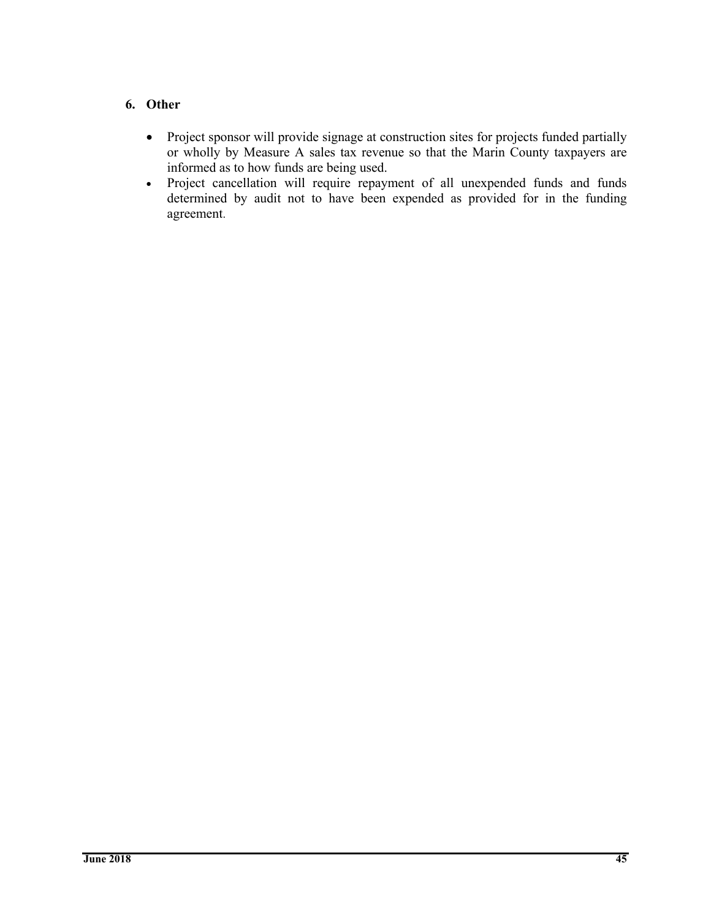#### **6. Other**

- Project sponsor will provide signage at construction sites for projects funded partially or wholly by Measure A sales tax revenue so that the Marin County taxpayers are informed as to how funds are being used.
- Project cancellation will require repayment of all unexpended funds and funds determined by audit not to have been expended as provided for in the funding agreement.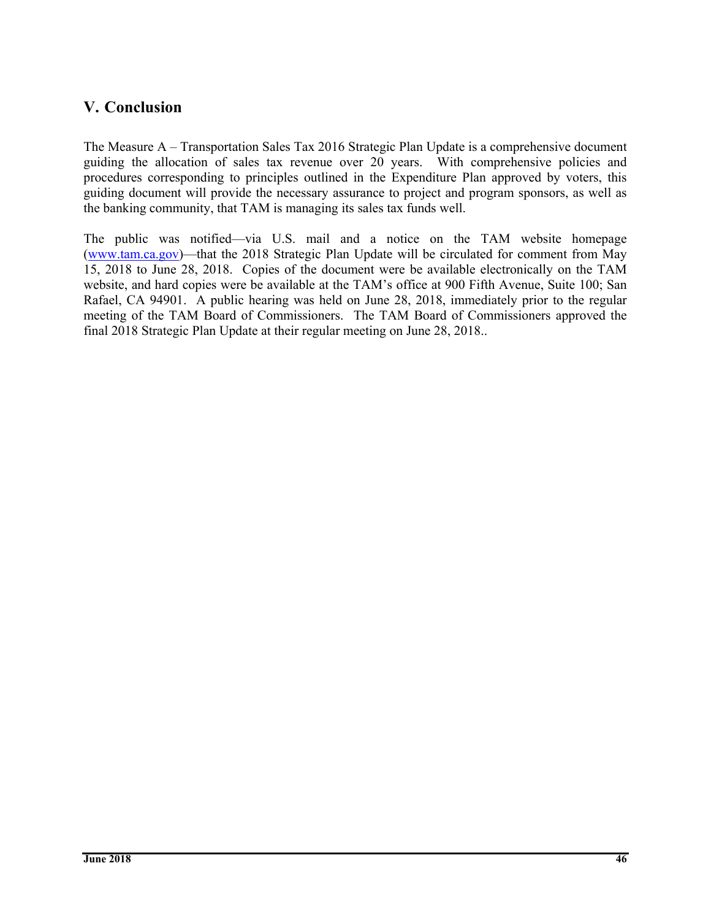# **V. Conclusion**

The Measure A – Transportation Sales Tax 2016 Strategic Plan Update is a comprehensive document guiding the allocation of sales tax revenue over 20 years. With comprehensive policies and procedures corresponding to principles outlined in the Expenditure Plan approved by voters, this guiding document will provide the necessary assurance to project and program sponsors, as well as the banking community, that TAM is managing its sales tax funds well.

The public was notified—via U.S. mail and a notice on the TAM website homepage (www.tam.ca.gov)—that the 2018 Strategic Plan Update will be circulated for comment from May 15, 2018 to June 28, 2018. Copies of the document were be available electronically on the TAM website, and hard copies were be available at the TAM's office at 900 Fifth Avenue, Suite 100; San Rafael, CA 94901. A public hearing was held on June 28, 2018, immediately prior to the regular meeting of the TAM Board of Commissioners. The TAM Board of Commissioners approved the final 2018 Strategic Plan Update at their regular meeting on June 28, 2018..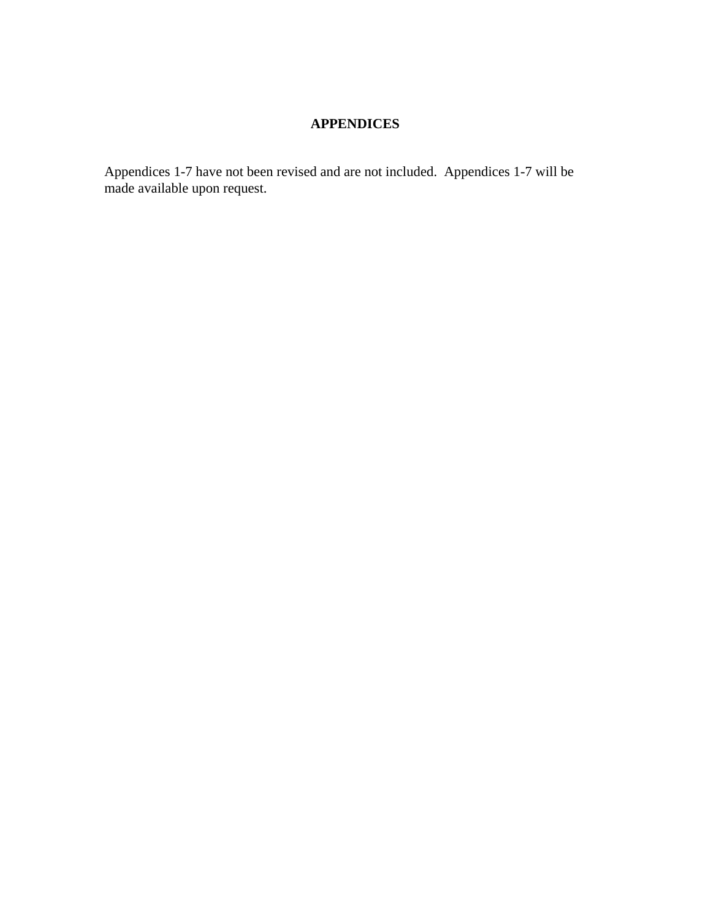# **APPENDICES**

Appendices 1-7 have not been revised and are not included. Appendices 1-7 will be made available upon request.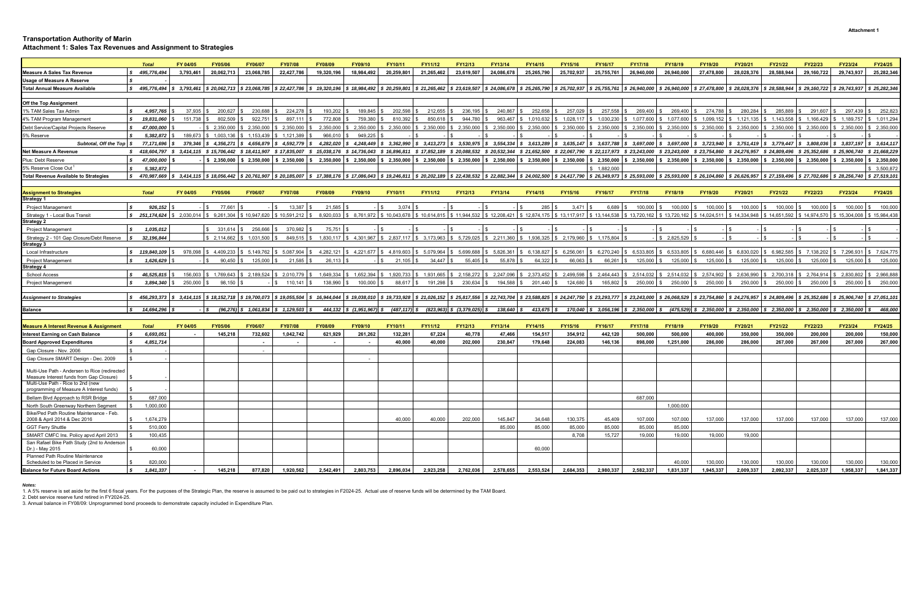#### **Transportation Authority of Marin Attachment 1: Sales Tax Revenues and Assignment to Strategies**

|                                                    | <b>Total</b>                                                                                                                                                                                                                                     | FY 04/05    | FY05/06                                                | FY06/07                                                                 | <b>FY07/08</b>                                                                                                     | <b>FY08/09</b>              | FY09/10                  | FY10/11                                      | FY11/12                     | FY12/13                                                     | FY13/14                                                                                                                                                                  | FY14/15              | FY15/16                                   | FY16/17                   | <b>FY17/18</b>                                                                      | FY18/19                | FY19/20                    | FY20/21                     | FY21/22                                                                                                                | FY22/23                                                  | FY23/24                                  | FY24/25        |
|----------------------------------------------------|--------------------------------------------------------------------------------------------------------------------------------------------------------------------------------------------------------------------------------------------------|-------------|--------------------------------------------------------|-------------------------------------------------------------------------|--------------------------------------------------------------------------------------------------------------------|-----------------------------|--------------------------|----------------------------------------------|-----------------------------|-------------------------------------------------------------|--------------------------------------------------------------------------------------------------------------------------------------------------------------------------|----------------------|-------------------------------------------|---------------------------|-------------------------------------------------------------------------------------|------------------------|----------------------------|-----------------------------|------------------------------------------------------------------------------------------------------------------------|----------------------------------------------------------|------------------------------------------|----------------|
| <b>Measure A Sales Tax Revenue</b>                 | \$495,776,494                                                                                                                                                                                                                                    | 3.793.461   | 20.062.713                                             | 23.068.785                                                              | 22,427,786                                                                                                         | 19,320,196                  | 18.984.492               | 20.259.801                                   | 21.265.462                  | 23.619.507                                                  | 24.086.678                                                                                                                                                               | 25.265.790           | 25,702,937                                | 25,755,761                | 26,940,000                                                                          | 26.940.000             | 27.478.800                 | 28.028.376                  | 28.588.944                                                                                                             | 29.160.722                                               | 29.743.937                               | 25,282,346     |
| <b>Jsage of Measure A Reserve</b>                  |                                                                                                                                                                                                                                                  |             |                                                        |                                                                         |                                                                                                                    |                             |                          |                                              |                             |                                                             |                                                                                                                                                                          |                      |                                           |                           |                                                                                     |                        |                            |                             |                                                                                                                        |                                                          |                                          |                |
| <b>Total Annual Measure Available</b>              | $$3,495,776.494 \;   \; $3,793.461 \;   \; $20.062.713 \;   \; $23.068.785 \;   \; $22.427.786 \;   \; $19.320.196 \;   \; $18.984.492$                                                                                                          |             |                                                        |                                                                         |                                                                                                                    |                             |                          |                                              | $$20.259.801$ $$21.265.462$ |                                                             | \$23,619,507 \$24,086,678 \$25,265,790 \$25,702,937 \$25,755,761 \$26,940,000 \$26,940,000 \$27,478,800 \$28,028,376 \$28,588,944 \$29,160,722 \$29,743,937 \$25,282,340 |                      |                                           |                           |                                                                                     |                        |                            |                             |                                                                                                                        |                                                          |                                          |                |
|                                                    |                                                                                                                                                                                                                                                  |             |                                                        |                                                                         |                                                                                                                    |                             |                          |                                              |                             |                                                             |                                                                                                                                                                          |                      |                                           |                           |                                                                                     |                        |                            |                             |                                                                                                                        |                                                          |                                          |                |
| Off the Top Assignment                             |                                                                                                                                                                                                                                                  |             |                                                        |                                                                         |                                                                                                                    |                             |                          |                                              |                             |                                                             |                                                                                                                                                                          |                      |                                           |                           |                                                                                     |                        |                            |                             |                                                                                                                        |                                                          |                                          |                |
| % TAM Sales Tax Admin                              | 4.957.765                                                                                                                                                                                                                                        | $37.935$ \$ | 200.627 \$                                             | 230.688                                                                 | 224.278                                                                                                            | 193,202                     | 189.845                  | 202.598                                      | 212,655                     | 236,195                                                     | 240.867                                                                                                                                                                  | 252.658              | 257.029 \$                                | 257,558                   | 269,400                                                                             | 269,400                | 274.788                    | 280.284                     | 285.889                                                                                                                | 291.607                                                  | 297.439                                  | 252.823        |
| I% TAM Program Management                          | 19.831.060                                                                                                                                                                                                                                       | 151,738 \$  | 802,509                                                | 922.751                                                                 | 897,111                                                                                                            | 772,808                     | 759,380                  | 810.392                                      | 850,618                     | 944,780                                                     | 963,467                                                                                                                                                                  | \$1,010,632          | $1,028,117$ \$                            | 1,030,230                 | 1,077,600                                                                           | 1,077,600              | 1.099.152                  | \$1,121,135                 | 1,143,558                                                                                                              | 1.166.429                                                | \$ 1,189,757 \$ 1,011,294                |                |
| <b>Debt Service/Capital Proiects Reserve</b>       | 47.000.000                                                                                                                                                                                                                                       |             | \$ 2.350.000   \$ 2.350.000                            |                                                                         | \$2.350.000                                                                                                        | 2.350.000                   | 2.350.000                | \$2.350.000                                  | \$2.350.000                 |                                                             | $$2.350.000 \;   \; $2.350.000 \;   \;$                                                                                                                                  | \$ 2.350,000         |                                           | 2.350.000 \$ 2.350.000    |                                                                                     | 2.350.000 \$ 2.350.000 | \$2.350.000                | \$2.350.000                 | \$2.350.000                                                                                                            | \$ 2.350.000                                             | $\frac{1}{2}$ , 2.350.000 \ \$ 2.350.000 |                |
| % Reserve                                          | 5.382.872                                                                                                                                                                                                                                        |             | 189.673 \$ 1.003.136 \$ 1.153.439                      |                                                                         | \$1.121.389                                                                                                        | 966.010                     | 949.225                  |                                              |                             |                                                             |                                                                                                                                                                          |                      |                                           |                           |                                                                                     |                        |                            |                             |                                                                                                                        |                                                          |                                          |                |
| Subtotal, Off the Top S                            | 77.171.696                                                                                                                                                                                                                                       |             | 379.346 \$4.356.271 \$4.656.879                        |                                                                         | \$4.592.779                                                                                                        | 4.282.020                   | \$4.248.449              | \$3,362,990                                  | \$3,413,273                 |                                                             | $$3.530.975$ $$3.554.334$                                                                                                                                                | \$3.613.289          | $$3.635.147 \times $3.637.788$            |                           | \$3.697.000                                                                         | \$3.697,000            | \$3.723.940                | \$3.751.419                 | \$3.779.447                                                                                                            | $$3.808.036 \quad $3.837.197 \quad $3.614.11$            |                                          |                |
| <b>Net Measure A Revenue</b>                       | \$418,604.797                                                                                                                                                                                                                                    |             | \$ 3.414.115 \$ 15.706.442 \$ 18.411.907 \$ 17.835.007 |                                                                         |                                                                                                                    |                             | 15,038,176 \$ 14,736,043 | \$16,896,811 \$17,852,189                    |                             |                                                             | \$20,088,532 \$20,532,344 \$21,652,500 \$22,067,790                                                                                                                      |                      |                                           | \$22,117,973 \$23,243,000 |                                                                                     |                        | \$23,243,000 \$23,754,860  |                             | \$24,276,957 \$24,809,496 \$25,352,686 \$25,906,740 \$21,668,229                                                       |                                                          |                                          |                |
| Plus: Debt Reserve                                 | 47,000,000                                                                                                                                                                                                                                       |             |                                                        | $$2,350,000$ $$2,350,000$                                               | \$2,350,000                                                                                                        | 2,350,000                   | \$2,350,000              | \$2,350,000                                  | \$2,350,000                 |                                                             |                                                                                                                                                                          |                      |                                           |                           | $$2,350,000$ $$2,350,000$ $$2,350,000$ $$2,350,000$ $$2,350,000$ $$2,350,000$       |                        | $\frac{1}{2}$ \$ 2,350,000 | \$2,350,000                 | $\frac{1}{2}$ \$ 2,350,000                                                                                             | \$2,350,000                                              | $\frac{1}{2}$ , 2,350,000 \ \$ 2,350,000 |                |
| 5% Reserve Close Out <sup>1</sup>                  | 5,382,872                                                                                                                                                                                                                                        |             |                                                        |                                                                         |                                                                                                                    |                             |                          |                                              |                             |                                                             |                                                                                                                                                                          |                      |                                           | \$1,882,000               |                                                                                     |                        |                            |                             |                                                                                                                        |                                                          |                                          | \$3,500,872    |
| otal Revenue Available to Strategies               | 470.987.669                                                                                                                                                                                                                                      |             | $$3,414,115$ $$18,056,442$ $$20,761,907$ $$20,185,007$ |                                                                         |                                                                                                                    | $$17,388,176$ $$17,086,043$ |                          | $$19,246,811$ $$20,202,189$                  |                             |                                                             | $$22,438,532$ $$22,882,344$                                                                                                                                              |                      |                                           |                           | $$24,002,500$ $$24,417,790$ $$26,349,973$ $$25,593,000$ $$25,593,000$ $$26,104,860$ |                        |                            | $$26,626,957$ $$27,159,496$ |                                                                                                                        | $\frac{1}{2}$ \$ 27,702,686 \$ 28,256,740 \$ 27,519,101  |                                          |                |
|                                                    |                                                                                                                                                                                                                                                  |             |                                                        |                                                                         |                                                                                                                    |                             |                          |                                              |                             |                                                             |                                                                                                                                                                          |                      |                                           |                           |                                                                                     |                        |                            |                             |                                                                                                                        |                                                          |                                          |                |
| <b>Assignment to Strategies</b>                    | <b>Total</b>                                                                                                                                                                                                                                     | FY 04/05    | <b>FY05/06</b>                                         | <b>FY06/07</b>                                                          | <b>FY07/08</b>                                                                                                     | <b>FY08/09</b>              | <b>FY09/10</b>           | FY10/11                                      | FY11/12                     | FY12/13                                                     | FY13/14                                                                                                                                                                  | <b>FY14/15</b>       | FY15/16                                   | FY16/17                   | <b>FY17/18</b>                                                                      | <b>FY18/19</b>         | FY19/20                    | FY20/21                     | FY21/22                                                                                                                | FY22/23                                                  | FY23/24                                  | <b>FY24/25</b> |
| <b>Strategy 1</b>                                  |                                                                                                                                                                                                                                                  |             |                                                        |                                                                         |                                                                                                                    |                             |                          |                                              |                             |                                                             |                                                                                                                                                                          |                      |                                           |                           |                                                                                     |                        |                            |                             |                                                                                                                        |                                                          |                                          |                |
| <b>Project Management</b>                          | 926.152                                                                                                                                                                                                                                          |             | $\mathbf{S}$<br>77,661                                 |                                                                         | 13,387                                                                                                             | 21,585                      |                          | 3.074                                        |                             |                                                             |                                                                                                                                                                          | $285$ \$             | $3,471$ \$                                | 6,689                     | 100,000                                                                             | 100,000                | 100,000                    | 100,000                     | 100,000                                                                                                                | 100,000                                                  | 100,000 \$                               | 100,000        |
| Strategy 1 - Local Bus Transit                     | $$251.174.624$ \ $$2.030.014$ \ $$9.261.304$ \ $$10.947.620$ \ $$10.591.212$ \ $$$                                                                                                                                                               |             |                                                        |                                                                         |                                                                                                                    | 8.920.033                   |                          | \$ 8.761.972 \$ 10.043.678                   |                             | $\frac{1}{2}$ \$ 10.614.815 \ \$ 11.944.532 \ \$ 12.208.421 |                                                                                                                                                                          |                      | $$12.874.175$ $$13.117.917$ $$13.144.538$ |                           | \$13,720,162 \$13,720,162                                                           |                        | \$14.024.511               | \$14.334.948                | \$14.651.592 \$14.974.570 \$15.304.008 \$15.984.438                                                                    |                                                          |                                          |                |
| <b>Strategy 2</b>                                  |                                                                                                                                                                                                                                                  |             |                                                        |                                                                         |                                                                                                                    |                             |                          |                                              |                             |                                                             |                                                                                                                                                                          |                      |                                           |                           |                                                                                     |                        |                            |                             |                                                                                                                        |                                                          |                                          |                |
| <b>Project Management</b>                          | 1,035,012                                                                                                                                                                                                                                        |             | $331.614$ \$                                           | 256,666                                                                 | 370.982                                                                                                            | 75,751                      |                          |                                              |                             |                                                             |                                                                                                                                                                          |                      |                                           |                           |                                                                                     |                        |                            |                             |                                                                                                                        |                                                          |                                          |                |
| Strategy 2 - 101 Gap Closure/Debt Reserve          | 32.196.844                                                                                                                                                                                                                                       |             | \$ 2.114.662                                           | $\frac{1}{2}$ \$ 1.031.500 \$                                           | 849.515 \$                                                                                                         | 1.830.117                   | \$4.301.967              | \$2.837.117                                  | $\frac{1}{2}$ \$ 3.173.963  | 5.729.025                                                   | \$2.211.360                                                                                                                                                              |                      |                                           | \$ 1.175.804              |                                                                                     | \$2.825.529            |                            |                             |                                                                                                                        |                                                          |                                          |                |
| Strategy 3                                         |                                                                                                                                                                                                                                                  |             |                                                        |                                                                         |                                                                                                                    |                             |                          |                                              |                             |                                                             |                                                                                                                                                                          |                      |                                           |                           |                                                                                     |                        |                            |                             |                                                                                                                        |                                                          |                                          |                |
| Local Infrastructure                               | $$119.840.109$ \S                                                                                                                                                                                                                                |             |                                                        |                                                                         | $978.098$   \$ 4,409.233   \$ 5,149,762   \$ 5,087,904   \$ 4,282,121   \$ 4,221,677   \$ 4,819,603   \$ 5,079,964 |                             |                          |                                              |                             |                                                             | \$ 5,699,688 \$ 5,826,361 \$ 6,138,827 \$ 6,256,061 \$ 6,270,240 \$ 6,533,805 \$ 6,533,805 \$ 6,680,446 \$ 6,830,020 \$ 6,982,585                                        |                      |                                           |                           |                                                                                     |                        |                            |                             |                                                                                                                        | $\frac{1}{2}$ \$ 7.138.202 \ \$ 7.296.931 \ \$ 7.624.775 |                                          |                |
| <b>Project Management</b>                          | 1,626,629                                                                                                                                                                                                                                        |             |                                                        | $90.450$ $\begin{array}{ccc} \text{S} & 125.000 & \text{S} \end{array}$ | 21.585                                                                                                             | 26,113                      |                          | 21.105                                       | 34,447                      | $55.405$ \ \$                                               | 55.878                                                                                                                                                                   | 64.322 \$            | 66.063 \$                                 | 66,261                    | 125,000 \$                                                                          | 125,000 \$             | 125,000 \$                 | 125.000                     | 125,000                                                                                                                |                                                          | 125,000 \$ 125,000 \$ 125,000            |                |
| <b>Strategy 4</b>                                  |                                                                                                                                                                                                                                                  |             |                                                        |                                                                         |                                                                                                                    |                             |                          |                                              |                             |                                                             |                                                                                                                                                                          |                      |                                           |                           |                                                                                     |                        |                            |                             |                                                                                                                        |                                                          |                                          |                |
| <b>School Access</b>                               | 46.525.815                                                                                                                                                                                                                                       |             | 156.003   \$ 1.769.643   \$ 2.189.524                  |                                                                         | $$2.010.779$ \$                                                                                                    | 1.649.334                   | 1.652.394                |                                              | 1.920.733 \$ 1.931.665      |                                                             | $$2.158.272$ $$2.247.096$                                                                                                                                                |                      | $$2.373.452 \  \  \, \$2.499.598$         | \$2.464.443               | $\frac{1}{2}$ \$ 2.514.032 \ \$ 2.514.032                                           |                        | \$2.574.902                | \$ 2.636.990                | \$2.700.318                                                                                                            | \$ 2.764.914                                             | \$ 2.830.802 \$ 2.966.888                |                |
| <b>Project Management</b>                          | 3,894,340                                                                                                                                                                                                                                        | 250,000 \$  | $98,150$ \$                                            |                                                                         | $110,141$ \$                                                                                                       | 138,990                     | 100,000                  | 88,617 \$                                    | 191,298                     | 230,634 \$                                                  | 194,588                                                                                                                                                                  | 201,440              | 124,680                                   | 165,802                   | 250,000 \$                                                                          | 250,000                | 250,000                    | 250,000 \$                  | 250,000 \$                                                                                                             | $250,000$ \$                                             | 250,000 \$                               | 250,000        |
|                                                    |                                                                                                                                                                                                                                                  |             |                                                        |                                                                         |                                                                                                                    |                             |                          |                                              |                             |                                                             |                                                                                                                                                                          |                      |                                           |                           |                                                                                     |                        |                            |                             |                                                                                                                        |                                                          |                                          |                |
| <b>Assignment to Strategies</b>                    | \$ 456,293,373 \$ 3,414,115 \$ 18,152,718 \$ 19,700,073 \$ 19,055,504 \$ 16,944,044 \$ 19,038,010 \$ 19,733,928 \$ 26,047,556 \$ 22,743,704 \$ 23,588,825 \$ \$ 24,247,750 \$ 28,893,777 \$ 23,243,000 \$ 26,068,529 \$ 23,754,860 \$ 24,276,957 |             |                                                        |                                                                         |                                                                                                                    |                             |                          |                                              |                             |                                                             |                                                                                                                                                                          |                      |                                           |                           |                                                                                     |                        |                            |                             |                                                                                                                        |                                                          |                                          |                |
| <b>Balance</b>                                     | $\frac{1}{2}$ \$ 14,694,296 \$                                                                                                                                                                                                                   |             | $-1$ s                                                 |                                                                         | $(96, 276)$ \$ 1,061,834 \$ 1,129,503 \$                                                                           |                             |                          | 444,132   \$ (1,951,967)   \$ (487,117)   \$ |                             | $(823,963)$ \$ $(3,379,025)$ \$                             |                                                                                                                                                                          | 138,640 \$413,675 \$ |                                           |                           |                                                                                     |                        |                            |                             | $170,040$ \$ 3,056,196 \$ 2,350,000 \$ $(475,529)$ \$ 2,350,000 \$ 2,350,000 \$ 2,350,000 \$ 2,350,000 \$ 2,350,000 \$ |                                                          |                                          | 468.000        |
|                                                    |                                                                                                                                                                                                                                                  |             |                                                        |                                                                         |                                                                                                                    |                             |                          |                                              |                             |                                                             |                                                                                                                                                                          |                      |                                           |                           |                                                                                     |                        |                            |                             |                                                                                                                        |                                                          |                                          |                |
|                                                    |                                                                                                                                                                                                                                                  |             |                                                        |                                                                         |                                                                                                                    |                             |                          |                                              |                             |                                                             |                                                                                                                                                                          |                      |                                           |                           |                                                                                     |                        |                            |                             |                                                                                                                        |                                                          |                                          |                |
| <b>Measure A Interest Revenue &amp; Assignment</b> | <b>Total</b>                                                                                                                                                                                                                                     | FY 04/05    | <b>FY05/06</b>                                         | <b>FY06/07</b>                                                          | <b>FY07/08</b>                                                                                                     | <b>FY08/09</b>              | FY09/10                  | FY10/11                                      | FY11/12                     | FY12/13                                                     | FY13/14                                                                                                                                                                  | FY14/15              | FY15/16                                   | FY16/17                   | <b>FY17/18</b>                                                                      | FY18/19                | FY19/20                    | FY20/21                     | FY21/22                                                                                                                | FY22/23                                                  | FY23/24                                  | FY24/25        |

| <b>Measure A Interest Revenue &amp; Assignment</b>                                        | <b>Total</b> | FY 04/05 | <b>FY05/06</b> | <b>FY06/07</b> | <b>FY07/08</b> | <b>FY08/09</b> | FY09/10   | FY10/11   | FY11/12   | FY12/13   | <b>FY13/14</b> | <b>FY14/15</b> | <b>FY15/16</b> | FY16/17   | <b>FY17/18</b> | <b>FY18/19</b> | FY19/20   | FY20/21   | FY21/22   | FY22/23   | FY23/24   | FY24/25   |
|-------------------------------------------------------------------------------------------|--------------|----------|----------------|----------------|----------------|----------------|-----------|-----------|-----------|-----------|----------------|----------------|----------------|-----------|----------------|----------------|-----------|-----------|-----------|-----------|-----------|-----------|
| Interest Earning on Cash Balance                                                          | 6,693,051    |          | 145,218        | 732,602        | 1,042,742      | 621,929        | 261,262   | 132,281   | 67,224    | 40,778    | 47,466         | 154,517        | 354,912        | 442,120   | 500,000        | 500,000        | 400,000   | 350,000   | 350,000   | 200,000   | 200,000   | 150,000   |
| <b>Board Approved Expenditures</b>                                                        | 4,851,714    |          |                |                |                |                |           | 40,000    | 40,000    | 202,000   | 230,847        | 179,648        | 224,083        | 146,136   | 898,000        | 1,251,000      | 286.000   | 286,000   | 267,000   | 267,000   | 267,000   | 267,000   |
| Gap Closure - Nov. 2006                                                                   |              |          |                |                |                |                |           |           |           |           |                |                |                |           |                |                |           |           |           |           |           |           |
| Gap Closure SMART Design - Dec. 2009                                                      |              |          |                |                |                |                |           |           |           |           |                |                |                |           |                |                |           |           |           |           |           |           |
| Multi-Use Path - Andersen to Rice (redirected<br>Measure Interest funds from Gap Closure) |              |          |                |                |                |                |           |           |           |           |                |                |                |           |                |                |           |           |           |           |           |           |
| Multi-Use Path - Rice to 2nd (new<br>programming of Measure A Interest funds)             |              |          |                |                |                |                |           |           |           |           |                |                |                |           |                |                |           |           |           |           |           |           |
| Bellam Blvd Approach to RSR Bridge                                                        | 687,000      |          |                |                |                |                |           |           |           |           |                |                |                |           | 687,000        |                |           |           |           |           |           |           |
| North South Greenway Northern Segment                                                     | 1.000.000    |          |                |                |                |                |           |           |           |           |                |                |                |           |                | 1.000.000      |           |           |           |           |           |           |
| Bike/Ped Path Routine Maintenance - Feb.<br>2008 & April 2014 & Dec 2016                  | 1,674,279    |          |                |                |                |                |           | 40,000    | 40,000    | 202,000   | 145.847        | 34.648         | 130,375        | 45.409    | 107.000        | 107.000        | 137,000   | 137.000   | 137.000   | 137,000   | 137.000   | 137,000   |
| <b>GGT Ferry Shuttle</b>                                                                  | 510,000      |          |                |                |                |                |           |           |           |           | 85.000         | 85.000         | 85.000         | 85.000    | 85.000         | 85,000         |           |           |           |           |           |           |
| SMART CMFC Ins. Policy apvd April 2013                                                    | 100,435      |          |                |                |                |                |           |           |           |           |                |                | 8,708          | 15,727    | 19,000         | 19,000         | 19,000    | 19,000    |           |           |           |           |
| San Rafael Bike Path Study (2nd to Anderson<br>Dr.) - May 2015                            | 60,000       |          |                |                |                |                |           |           |           |           |                | 60,000         |                |           |                |                |           |           |           |           |           |           |
| <b>Planned Path Routine Maintenance</b><br>Scheduled to be Placed in Service              | 820,000      |          |                |                |                |                |           |           |           |           |                |                |                |           |                | 40,000         | 130,000   | 130,000   | 130,000   | 130,000   | 130,000   | 130,000   |
| <b>Balance for Future Board Actions</b>                                                   | 1,841,337    |          | 145,218        | 877,820        | 1,920,562      | 2,542,491      | 2,803,753 | 2,896,034 | 2,923,258 | 2,762,036 | 2,578,655      | 2,553,524      | 2,684,353      | 2,980,337 | 2,582,337      | 1,831,337      | 1,945,337 | 2,009,337 | 2,092,337 | 2,025,337 | 1,958,337 | 1,841,337 |

**Notes:**<br>1. A 5% reserve is set aside for the first 6 fiscal years. For the purposes of the Strategic Plan, the reserve is assumed to be paid out to strategies in F2024-25. Actual use of reserve funds will be determined b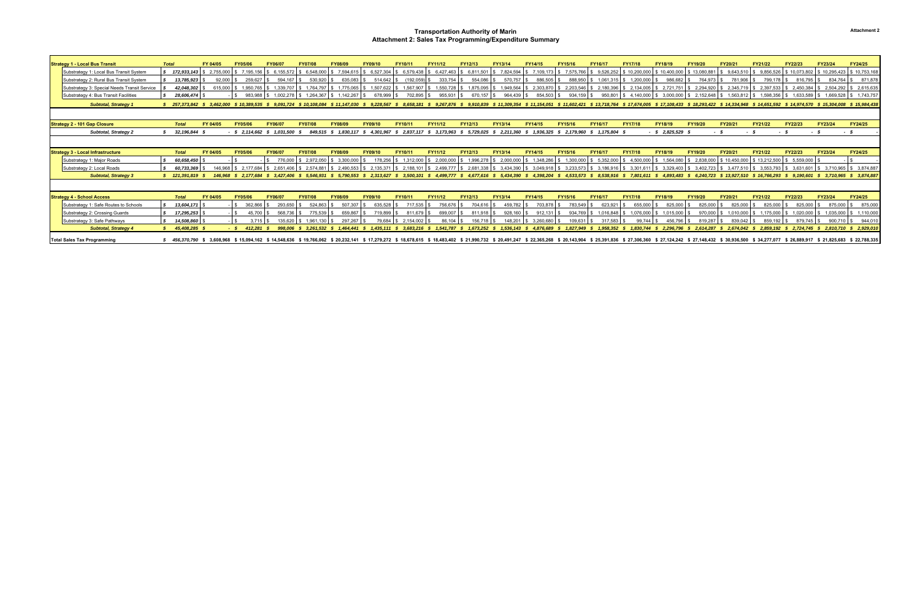| <b>Strategy 1 - Local Bus Transit</b>        | <b>Total</b> |                 | FY 04/05                 | FY05/06           | <b>FY06/07</b> | <b>FY07/08</b>                                                                                                                                                                                                                                   | <b>FY08/09</b> | FY09/10   | FY10/11    | <b>FY11/12</b> | <b>FY12/13</b>           | <b>FY13/14</b>            | FY14/15      | FY15/16   | <b>FY16/17</b>                                      | <b>FY17/18</b> | <b>FY18/19</b>              | <b>FY19/20</b> | FY20/21    | <b>FY21/22</b>           | <b>FY22/23</b>                                                                                                                                                                                                  | <b>FY23/24</b>          | <b>FY24/25</b>            |
|----------------------------------------------|--------------|-----------------|--------------------------|-------------------|----------------|--------------------------------------------------------------------------------------------------------------------------------------------------------------------------------------------------------------------------------------------------|----------------|-----------|------------|----------------|--------------------------|---------------------------|--------------|-----------|-----------------------------------------------------|----------------|-----------------------------|----------------|------------|--------------------------|-----------------------------------------------------------------------------------------------------------------------------------------------------------------------------------------------------------------|-------------------------|---------------------------|
| Substrategy 1: Local Bus Transit System      |              | \$72.933.143    | 2.755.000                | 7.195.156         | \$6.155.572    | 6.548.000                                                                                                                                                                                                                                        | 7.594.61       | 6.527.304 | 6.579.438  | 6.427.463      | 6.811.501                | 7.824.594                 | 7.109.173 \$ | 7.575.766 | 9,526,252                                           | \$10.200.000   | \$10,400,000                | \$13,080,881   | 9.643.510  | 9.856.526                | \$10.073.802                                                                                                                                                                                                    | \$10.295.423            | \$10,753,168              |
| Substrategy 2: Rural Bus Transit System      |              | 13,785,923      | 92.000                   | 259.627           | 594.167        | 530,920                                                                                                                                                                                                                                          | 635.083        | 514.642   | (192, 059) | 333,754        | 554.086                  | 570,757                   | 886,505      | 888,950   | 1,061,315                                           | 1,200,000      | 986,682                     | 764,973        | 781,906    | 799.178                  | 816.795 \$                                                                                                                                                                                                      | 834.764                 | 871,878                   |
| Substrategy 3: Special Needs Transit Service |              | 42,048,302      | 615.000                  | 1.950.765         | 1.339.707      | 1.764.797                                                                                                                                                                                                                                        | 1.775.065      | 1.507.622 | 1.567.907  | 1,550,728      | 1.875.095                | 1.949.564                 | 2,303,870    | 2,203,546 | 2,180,396                                           | 2,134,005      | 2.721.751                   | 2.294.920      | 2,345,719  | 2.397.533                | \$2,450,384                                                                                                                                                                                                     | \$2,504,292             | 2,615,635                 |
| Substrategy 4: Bus Transit Facilities        |              | 28.606.474      |                          |                   |                | 983.988 \$1.002.278 \$1.264.367 \$1.142.267                                                                                                                                                                                                      |                | 678.999   | 702.895    | 955.93         | 670 157                  | 964.439                   | 854.503      | 934.159   | 950.801 \$                                          |                | $4.140.000$ $\$\,3.000.000$ |                |            |                          |                                                                                                                                                                                                                 |                         |                           |
|                                              |              |                 |                          |                   |                |                                                                                                                                                                                                                                                  |                |           |            |                |                          |                           |              |           |                                                     |                |                             |                |            |                          |                                                                                                                                                                                                                 |                         |                           |
| <b>Subtotal, Strategy 1</b>                  |              |                 |                          |                   |                | \$ 257,373,842 \$ 3,462,000 \$ 10,389,535 \$ 9,091,724 \$ 10,108,084 \$ 11,147,030 \$ 9,228,567 \$ 8,658,181 \$ 9,267,876 \$ 9,910,839 \$ 11,309,354 \$ 11,154,051 \$ 11,502,421 \$ 13,718,764 \$ 17,674,005 \$ 17,108,433 \$ 18,293,422 \$ 14,3 |                |           |            |                |                          |                           |              |           |                                                     |                |                             |                |            |                          |                                                                                                                                                                                                                 |                         |                           |
|                                              |              |                 |                          |                   |                |                                                                                                                                                                                                                                                  |                |           |            |                |                          |                           |              |           |                                                     |                |                             |                |            |                          |                                                                                                                                                                                                                 |                         |                           |
| <b>Strategy 2 - 101 Gap Closure</b>          |              | <b>Total</b>    | FY 04/05                 | FY05/06           | <b>FY06/07</b> | <b>FY07/08</b>                                                                                                                                                                                                                                   | <b>FY08/09</b> | FY09/10   | FY10/11    | FY11/12        | FY12/13                  | FY13/14                   | FY14/15      | FY15/16   | FY16/17                                             | <b>FY17/18</b> | FY18/19                     | FY19/20        | FY20/21    | FY21/22                  | FY22/23                                                                                                                                                                                                         | FY23/24                 | <b>FY24/25</b>            |
| Subtotal, Strategy 2                         |              | 32,196,844      |                          | $-$ \$ 2,114,662  | 1.031.500      | 849.515 \$                                                                                                                                                                                                                                       | 1.830.117      | 4.301.967 | 2.837.11   | 3,173,963      | 5,729,025                | $$2,211,360$ \$           | 1.936.325    | 2.179.960 | $$1,175,804$ \$                                     |                | $-$ \$ 2,825,529 \$         |                | - \$       |                          |                                                                                                                                                                                                                 | - \$                    | - \$                      |
|                                              |              |                 |                          |                   |                |                                                                                                                                                                                                                                                  |                |           |            |                |                          |                           |              |           |                                                     |                |                             |                |            |                          |                                                                                                                                                                                                                 |                         |                           |
| <b>Strategy 3 - Local Infrastructure</b>     |              | <b>Total</b>    | FY 04/05                 | FY05/06           | <b>FY06/07</b> | <b>FY07/08</b>                                                                                                                                                                                                                                   | <b>FY08/09</b> | FY09/10   | FY10/11    | FY11/12        | <b>FY12/13</b>           | FY13/14                   | FY14/15      | FY15/16   | FY16/17                                             | <b>FY17/18</b> | FY18/19                     | FY19/20        | FY20/21    | <b>FY21/22</b>           | <b>FY22/23</b>                                                                                                                                                                                                  | <b>FY23/24</b>          | <b>FY24/25</b>            |
| Substrategy 1: Major Roads                   |              | 60,658,450      |                          |                   |                | 2.972.050                                                                                                                                                                                                                                        | 3.300.000      | 178.256   |            | 2,000,00       | 1,996,278                | 2,000,000                 | 1.348.286    | 1,300,000 | 5,352,000                                           | 4.500.000      | 1.564.08                    | 2.838.000      | 10.450.000 | \$13,212,500             | $$5,559,000$ \$                                                                                                                                                                                                 |                         |                           |
| Substrategy 2: Local Roads                   |              | 60.733.369      | 146.968                  | 2.177.684         | \$ 2.651,406   | 2.574.881                                                                                                                                                                                                                                        | \$2.490.553    | 2.135.371 | 2.188.1    |                | 2.499.777 \$2.681.338 \$ | 3.434.390 \$              | 3.049.918    | 3.233.573 | \$3.186.916                                         | 3.301.61       | \$3.329.403                 |                |            | 3.477.510 \ \$ 3.553.793 | \$3.631.601                                                                                                                                                                                                     |                         | \$ 3.710.965 \$ 3.874.887 |
| <b>Subtotal, Strategy 3</b>                  |              | \$121,391,819   |                          |                   |                | 146,968 \$ 2,177,684 \$ 3,427,406 \$ 5,546,931 \$ 5,790,553 \$ 2,313,627 \$ 3,500,101 \$                                                                                                                                                         |                |           |            | 4,499,777 \$   |                          | 4,677,616 \$ 5,434,390 \$ |              |           | 4,398,204 \$ 4,533,573 \$ 8,538,916 \$ 7,801,611 \$ |                |                             |                |            |                          | 4,893,483 \$ 6,240,723 \$ 13,927,510 \$ 16,766,293 \$ 9,190,601 \$ 3,710,965 \$ 3,874,887                                                                                                                       |                         |                           |
|                                              |              |                 |                          |                   |                |                                                                                                                                                                                                                                                  |                |           |            |                |                          |                           |              |           |                                                     |                |                             |                |            |                          |                                                                                                                                                                                                                 |                         |                           |
| <b>Strategy 4 - School Access</b>            |              | <b>Total</b>    | FY 04/05                 | FY05/06           | FY06/07        | <b>FY07/08</b>                                                                                                                                                                                                                                   | <b>FY08/09</b> | FY09/10   | FY10/11    | FY11/12        | FY12/13                  | FY13/14                   | FY14/15      | FY15/16   | FY16/17                                             | <b>FY17/18</b> | FY18/19                     | FY19/20        | FY20/21    | FY21/22                  | FY22/23                                                                                                                                                                                                         | <b>FY23/24</b>          | <b>FY24/25</b>            |
| Substrategy 1: Safe Routes to Schools        |              | $13,604,171$ \$ |                          | 362,866           | 293,650        | 524.863                                                                                                                                                                                                                                          | 507.307        | 635.528   | 717.535    | 756,676        | 704.616                  | 459,782                   | 703,878      | 783,549   | 623,921                                             | 655,000        | 825,000                     | 825.000        | 825,000    | 825.000                  | 825,000                                                                                                                                                                                                         | 875,000                 | 875,000                   |
| Substrategy 2: Crossing Guards               |              | 17,295,253      |                          | 45,700            | 568.736        | 775.539                                                                                                                                                                                                                                          | 659.867        | 719.899   | 811.679    | 699.007        | 811.918 9                | 928.160                   | 912.131      | 934.769   | 1,016,848                                           | 1.076.000      | 1,015,000                   | 970.000        | 1.010.000  | 1.175.000                |                                                                                                                                                                                                                 | \$1.020.000 \$1.035.000 | 1,110,000                 |
| Substrategy 3: Safe Pathways                 |              | 14,508,860      |                          | 3.715             |                | 1.961.130                                                                                                                                                                                                                                        | 297.267        | 79.684    | 2.154.002  | 86.            |                          | 148.20                    | 3,260,680    | 109,631   |                                                     | 99 744         | 456,790                     | 819.287        | 839.042    |                          | 879.745                                                                                                                                                                                                         | 900                     | 944,010                   |
| <b>Subtotal, Strategy 4</b>                  |              | 45,408,285 \$   |                          | $-$ \$ 412,281 \$ |                | 998,006 \$ 3,261,532 \$ 1,464,441 \$ 1,435,111 \$ 3,683,216 \$ 1,541,787 \$ 1,673,252 \$ 1,536,143 \$ 4,876,689 \$ 1,827,949                                                                                                                     |                |           |            |                |                          |                           |              |           |                                                     |                |                             |                |            |                          | \$1,958,352 \$1,830,744 \$2,296,796 \$2,614,287 \$2,674,042 \$2,859,192 \$2,724,745 \$2,810,710 \$2,929,010                                                                                                     |                         |                           |
| <b>Total Sales Tax Programming</b>           |              |                 | 456.370.790 \$ 3.608.968 |                   |                | \$15.094.162 \$14.548.636 \$19.766.062 \$20.232.141                                                                                                                                                                                              |                |           |            |                |                          |                           |              |           |                                                     |                |                             |                |            |                          | \$17,279,272 \$18,678,615 \$18,483,402 \$21,990,732 \$20,491,247 \$22,365,268 \$20,143,904 \$25,391,836 \$27,306,360 \$27,124,242 \$27,148,432 \$30,936,500 \$34,277,077 \$26,889,917 \$21,825,683 \$22,788,335 |                         |                           |

#### **Transportation Authority of Marin Attachment 2: Sales Tax Programming/Expenditure Summary**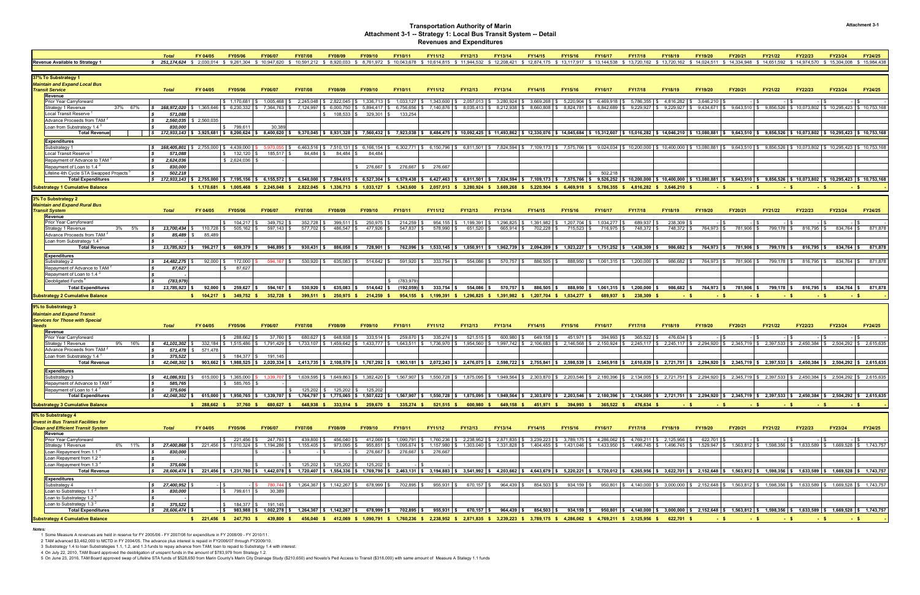|                                                                                                                                                                                                    | <b>Total</b>                                                                                                                                                                                                                                                | FY 04/05                 | <b>FY05/06</b>                    | <b>FY06/07</b>                                                                                                                                        | <b>FY07/08</b>                  | <b>FY08/09</b>                   | FY09/10        | <b>FY10/11</b>                | FY11/12        | FY12/13                                                                                                                                                                                                                                           | <b>FY13/14</b>                         | FY14/15                                | FY15/16        | <b>FY16/17</b>                       | <b>FY17/18</b>                                                                                                                        | <b>FY18/19</b>         | <b>FY19/20</b> | FY20/21        | FY21/22                                                                                             | <b>FY22/23</b> | <b>FY23/24</b>            | FY24/25              |
|----------------------------------------------------------------------------------------------------------------------------------------------------------------------------------------------------|-------------------------------------------------------------------------------------------------------------------------------------------------------------------------------------------------------------------------------------------------------------|--------------------------|-----------------------------------|-------------------------------------------------------------------------------------------------------------------------------------------------------|---------------------------------|----------------------------------|----------------|-------------------------------|----------------|---------------------------------------------------------------------------------------------------------------------------------------------------------------------------------------------------------------------------------------------------|----------------------------------------|----------------------------------------|----------------|--------------------------------------|---------------------------------------------------------------------------------------------------------------------------------------|------------------------|----------------|----------------|-----------------------------------------------------------------------------------------------------|----------------|---------------------------|----------------------|
| <b>Revenue Available to Strategy 1</b>                                                                                                                                                             | \$ 251,174,624 \$ 2,030,014 \$ 9,261,304 \$ 10,947,620 \$ 10,591.212 \$ 8,920.033                                                                                                                                                                           |                          |                                   |                                                                                                                                                       |                                 |                                  |                | \$ 8.761.972 \$ 10.043.678    |                | \$10.614.815 \$11.944.532 \$12.208.421                                                                                                                                                                                                            |                                        | \$12.874.175 \$13.117.917 \$13.144.538 |                |                                      | \$13.720.162 \$13.720.162 \$14.024.511 \$14.334.948                                                                                   |                        |                |                | \$14.651.592                                                                                        | \$14,974.570   | \$15,304,008 \$15,984,438 |                      |
|                                                                                                                                                                                                    |                                                                                                                                                                                                                                                             |                          |                                   |                                                                                                                                                       |                                 |                                  |                |                               |                |                                                                                                                                                                                                                                                   |                                        |                                        |                |                                      |                                                                                                                                       |                        |                |                |                                                                                                     |                |                           |                      |
| 37% To Substrategy 1                                                                                                                                                                               |                                                                                                                                                                                                                                                             |                          |                                   |                                                                                                                                                       |                                 |                                  |                |                               |                |                                                                                                                                                                                                                                                   |                                        |                                        |                |                                      |                                                                                                                                       |                        |                |                |                                                                                                     |                |                           |                      |
| Maintain and Expand Local Bus                                                                                                                                                                      |                                                                                                                                                                                                                                                             |                          |                                   |                                                                                                                                                       |                                 |                                  |                |                               |                |                                                                                                                                                                                                                                                   |                                        |                                        |                |                                      |                                                                                                                                       |                        |                |                |                                                                                                     |                |                           |                      |
| Transit Service                                                                                                                                                                                    | <b>Total</b>                                                                                                                                                                                                                                                | FY 04/05                 | <b>FY05/06</b>                    | <b>FY06/07</b>                                                                                                                                        | <b>FY07/08</b>                  | <b>FY08/09</b>                   | FY09/10        | FY10/11                       | FY11/12        | <b>FY12/13</b>                                                                                                                                                                                                                                    | <b>FY13/14</b>                         | FY14/15                                | <b>FY15/16</b> | <b>FY16/17</b>                       | <b>FY17/18</b>                                                                                                                        | <b>FY18/19</b>         | <b>FY19/20</b> | FY20/21        | FY21/22                                                                                             | <b>FY22/23</b> | <b>FY23/24</b>            | <b>FY24/25</b>       |
| Revenue                                                                                                                                                                                            |                                                                                                                                                                                                                                                             |                          |                                   |                                                                                                                                                       |                                 |                                  |                |                               |                |                                                                                                                                                                                                                                                   |                                        |                                        |                |                                      |                                                                                                                                       |                        |                |                |                                                                                                     |                |                           |                      |
| Prior Year Carryforward                                                                                                                                                                            |                                                                                                                                                                                                                                                             |                          | \$1.170.681                       | 1,005,468                                                                                                                                             |                                 | 2,245,048 \$ 2,822,045           |                | $1,336,713$ \$ $1,033,127$ \$ | 1,343,600      | 2,057,013                                                                                                                                                                                                                                         | \$3,280,924                            | \$3,669,268                            | 5,220,904      | 6,469,918                            | 5,786,355                                                                                                                             | \$4,816,282            | 3,646,210      |                |                                                                                                     |                |                           |                      |
| Strategy 1 Revenue<br>37% 67%                                                                                                                                                                      | 168,972,020<br>IS.                                                                                                                                                                                                                                          | \$1,365,646              | 6,230,332                         | 7,364,763                                                                                                                                             | 7.124.997                       | 6,000,750                        | 5,894,417      | 6,756,656                     | 7,140,876      | 8,035,413                                                                                                                                                                                                                                         | 8,212,938                              | 8,660,808                              | 8,824,781      | 8,842,689                            | 9,229,927                                                                                                                             | 9,229,927              |                |                | $9,434,671$   \$ $9,643,510$   \$ $9,856,526$   \$ $10,073,802$   \$ $10,295,423$   \$ $10,753,168$ |                |                           |                      |
| Local Transit Reserve                                                                                                                                                                              | 571.088                                                                                                                                                                                                                                                     |                          |                                   |                                                                                                                                                       |                                 | 108,533                          | 329,301        | 133,254                       |                |                                                                                                                                                                                                                                                   |                                        |                                        |                |                                      |                                                                                                                                       |                        |                |                |                                                                                                     |                |                           |                      |
| Advance Proceeds from TAM <sup>2</sup>                                                                                                                                                             |                                                                                                                                                                                                                                                             | 2,560,035   \$ 2,560,035 |                                   |                                                                                                                                                       |                                 |                                  |                |                               |                |                                                                                                                                                                                                                                                   |                                        |                                        |                |                                      |                                                                                                                                       |                        |                |                |                                                                                                     |                |                           |                      |
| Loan from Substrategy 1.4<br><b>Total Revenue</b>                                                                                                                                                  | 830.000<br> \$ 172,933,143 \$ 3,925,681 \$ 8,200,624 \$ 8,400,620 \$ 9,370,045 \$ 8,931,328 \$ 7,560,432 \$ 7,923,038 \$ 8,484,475 \$ 10,092,425 \$ 11,493,862 \$ 12,330,076 \$ 15,312,607 \$ 15,016,282 \$ 14,046,210 \$ 9,856,310 \$ 9,845,510 \$ 9,856,5 |                          | 799.61<br>$\mathbf{f}$            | 30.389                                                                                                                                                |                                 |                                  |                |                               |                |                                                                                                                                                                                                                                                   |                                        |                                        |                |                                      |                                                                                                                                       |                        |                |                |                                                                                                     |                |                           |                      |
|                                                                                                                                                                                                    |                                                                                                                                                                                                                                                             |                          |                                   |                                                                                                                                                       |                                 |                                  |                |                               |                |                                                                                                                                                                                                                                                   |                                        |                                        |                |                                      |                                                                                                                                       |                        |                |                |                                                                                                     |                |                           |                      |
| <b>Expenditures</b>                                                                                                                                                                                |                                                                                                                                                                                                                                                             |                          |                                   |                                                                                                                                                       |                                 |                                  |                |                               |                |                                                                                                                                                                                                                                                   |                                        |                                        |                |                                      |                                                                                                                                       |                        |                |                |                                                                                                     |                |                           |                      |
| Substrategy 1                                                                                                                                                                                      |                                                                                                                                                                                                                                                             |                          |                                   |                                                                                                                                                       |                                 |                                  |                |                               |                | 5.970.055 \$ 6.463.516 \$ 7.510.131 \$ 6.166.154 \$ 6.302.771 \$ 6.150.796 \$ 6.811.501 \$ 7.824.594 \$ 7.109.173 \$ 7.575.766 \$ 9.024.034 \$ 10.200.000 \$ 10.400.000 \$ 13.080.881 \$ 9.643.510 \$ 9.856.526 \$ 10.073.802 \$ 10.295.423 \$ 10 |                                        |                                        |                |                                      |                                                                                                                                       |                        |                |                |                                                                                                     |                |                           |                      |
| Local Transit Reserve                                                                                                                                                                              | 571,088                                                                                                                                                                                                                                                     |                          | 132,120                           | 185,517                                                                                                                                               | 84,484 \$                       | 84,484                           | 84,484         |                               |                |                                                                                                                                                                                                                                                   |                                        |                                        |                |                                      |                                                                                                                                       |                        |                |                |                                                                                                     |                |                           |                      |
| Repayment of Advance to TAM                                                                                                                                                                        | 2,624,036                                                                                                                                                                                                                                                   |                          | \$2,624,036                       |                                                                                                                                                       |                                 |                                  |                |                               |                |                                                                                                                                                                                                                                                   |                                        |                                        |                |                                      |                                                                                                                                       |                        |                |                |                                                                                                     |                |                           |                      |
| Repayment of Loan to 1.4<br>Lifeline 4th Cycle STA Swapped Projects <sup>1</sup>                                                                                                                   | 830,000<br>502,218                                                                                                                                                                                                                                          |                          |                                   |                                                                                                                                                       |                                 |                                  | 276,667        | 276,667                       | 276,667        |                                                                                                                                                                                                                                                   |                                        |                                        |                | 502.218                              |                                                                                                                                       |                        |                |                |                                                                                                     |                |                           |                      |
| <b>Total Expenditures</b>                                                                                                                                                                          | \$ 172,933,143 \$ 2,755,000 \$ 7,195,156 \$ 6,155,572 \$ 6,548,000 \$ 7,594,615 \$ 6,527,304 \$ 6,579,438 \$ 6,427,463 \$ 6,811,501 \$ 7,824,594 \$ 7,109,173 \$ 7,575,766 \$ 9,526,252 \$ 10,400,000 \$ 13,080,881 \$ 9,643,510 \$ 9,856,526 \$            |                          |                                   |                                                                                                                                                       |                                 |                                  |                |                               |                |                                                                                                                                                                                                                                                   |                                        |                                        |                |                                      |                                                                                                                                       |                        |                |                |                                                                                                     |                |                           |                      |
|                                                                                                                                                                                                    |                                                                                                                                                                                                                                                             |                          |                                   |                                                                                                                                                       |                                 |                                  |                |                               |                |                                                                                                                                                                                                                                                   |                                        |                                        |                |                                      |                                                                                                                                       |                        |                |                |                                                                                                     |                |                           |                      |
| <b>Substrategy 1 Cumulative Balance</b>                                                                                                                                                            |                                                                                                                                                                                                                                                             |                          |                                   |                                                                                                                                                       |                                 |                                  |                |                               |                | \$ 1,170,681 \$ 1,005,468 \$ 2,245,048 \$ 2,822,045 \$ 1,336,713 \$ 1,033,127 \$ 1,343,600 \$ 2,057,013 \$ 3,280,924 \$ 3,669,268 \$ 5,220,904 \$ 6,469,918 \$ 5,786,355 \$ 4,816,282 \$ 3,646,210 \$                                             |                                        |                                        |                |                                      |                                                                                                                                       |                        |                |                |                                                                                                     |                |                           |                      |
| 3% To Substrategy 2                                                                                                                                                                                |                                                                                                                                                                                                                                                             |                          |                                   |                                                                                                                                                       |                                 |                                  |                |                               |                |                                                                                                                                                                                                                                                   |                                        |                                        |                |                                      |                                                                                                                                       |                        |                |                |                                                                                                     |                |                           |                      |
| Maintain and Expand Rural Bus                                                                                                                                                                      |                                                                                                                                                                                                                                                             |                          |                                   |                                                                                                                                                       |                                 |                                  |                |                               |                |                                                                                                                                                                                                                                                   |                                        |                                        |                |                                      |                                                                                                                                       |                        |                |                |                                                                                                     |                |                           |                      |
| Transit System                                                                                                                                                                                     | <b>Total</b>                                                                                                                                                                                                                                                | FY 04/05                 | <b>FY05/06</b>                    | <b>FY06/07</b>                                                                                                                                        | <b>FY07/08</b>                  | <b>FY08/09</b>                   | FY09/10        | FY10/11                       | FY11/12        | FY12/13                                                                                                                                                                                                                                           | FY13/14                                | FY14/15                                | <b>FY15/16</b> | <b>FY16/17</b>                       | <b>FY17/18</b>                                                                                                                        | <b>FY18/19</b>         | FY19/20        | FY20/21        | FY21/22                                                                                             | <b>FY22/23</b> | <b>FY23/24</b>            | <b>FY24/25</b>       |
| Revenue                                                                                                                                                                                            |                                                                                                                                                                                                                                                             |                          |                                   |                                                                                                                                                       |                                 |                                  |                |                               |                |                                                                                                                                                                                                                                                   |                                        |                                        |                |                                      |                                                                                                                                       |                        |                |                |                                                                                                     |                |                           |                      |
| Prior Year Carryforward                                                                                                                                                                            |                                                                                                                                                                                                                                                             |                          | 104,217                           | 349,752                                                                                                                                               | 352,728 \$                      | 399,511                          | 250,975        | 214,259                       | 954,155        | 1,199,391                                                                                                                                                                                                                                         | 1,296,825                              | \$1,391,982                            | 1,207,704      | 1,034,277                            | 689,937                                                                                                                               | 238,309                |                |                |                                                                                                     |                |                           |                      |
| 3%<br>5%<br>Strategy 1 Revenue                                                                                                                                                                     | 13,700,434<br>l S                                                                                                                                                                                                                                           | 110,728 \$               | 505,162                           | 597,143                                                                                                                                               | 577,702 \$                      | 486,547                          | 477,926        | 547,837                       | 578,990        | 651,520                                                                                                                                                                                                                                           | 665,914 \$                             | 702,228                                | 715,523        | 716,975                              | 748,372 \$                                                                                                                            | 748,372 \$             | 764,973 \$     | 781,906        | 799,178 \$                                                                                          | 816,795        | 834,764 \$                | 871,878              |
| Advance Proceeds from TAM                                                                                                                                                                          | 85,489 \$<br><b>S</b>                                                                                                                                                                                                                                       | 85,489                   |                                   |                                                                                                                                                       |                                 |                                  |                |                               |                |                                                                                                                                                                                                                                                   |                                        |                                        |                |                                      |                                                                                                                                       |                        |                |                |                                                                                                     |                |                           |                      |
| <sup>:</sup> Loan from Substrategy 1.4                                                                                                                                                             |                                                                                                                                                                                                                                                             |                          |                                   |                                                                                                                                                       |                                 |                                  |                |                               |                |                                                                                                                                                                                                                                                   |                                        |                                        |                |                                      |                                                                                                                                       |                        |                |                |                                                                                                     |                |                           |                      |
| <b>Total Revenue</b>                                                                                                                                                                               | 13,785,923 \$<br>$\mathbf{s}$                                                                                                                                                                                                                               | $196,217$ \$             | $609,379$ \$                      | $946,895$ \$                                                                                                                                          | $930,431$ \$                    | 886,058                          | 728,901        |                               |                | 762,096 \$1,533,145 \$1,850,911 \$1,962,739 \$2,094,209 \$1,923,227 \$1,751,252 \$1,438,309 \$                                                                                                                                                    |                                        |                                        |                |                                      |                                                                                                                                       | 986,682                | 764,973 \$     | 781,906        | 799,178 \$                                                                                          | 816,795 \$     |                           | 834,764 \$871,878    |
| <b>Expenditures</b>                                                                                                                                                                                |                                                                                                                                                                                                                                                             |                          |                                   |                                                                                                                                                       |                                 |                                  |                |                               |                |                                                                                                                                                                                                                                                   |                                        |                                        |                |                                      |                                                                                                                                       |                        |                |                |                                                                                                     |                |                           |                      |
| Substrategy 2                                                                                                                                                                                      | $\frac{1}{2}$ 14,482,275                                                                                                                                                                                                                                    | $92,000$ \$              | 172,000                           | 594.167 \$                                                                                                                                            | 530,920 \$                      | 635,083 \$                       | 514,642 \$     | 591,920 \$                    | $333,754$ \$   | 554,086 \$                                                                                                                                                                                                                                        | 570,757 \$                             | 886,505 \$                             |                |                                      | 888.950   \$ 1.061.315   \$ 1.200.000   \$                                                                                            | 986,682 \$             | 764,973 \$     | 781,906 \$     | 799,178 \$                                                                                          | 816,795 \$     |                           | 834,764   \$ 871,878 |
| Repayment of Advance to TAM <sup>2</sup>                                                                                                                                                           | l S<br>87,627                                                                                                                                                                                                                                               |                          | 87,627                            |                                                                                                                                                       |                                 |                                  |                |                               |                |                                                                                                                                                                                                                                                   |                                        |                                        |                |                                      |                                                                                                                                       |                        |                |                |                                                                                                     |                |                           |                      |
| Repayment of Loan to 1.4                                                                                                                                                                           | l S                                                                                                                                                                                                                                                         |                          |                                   |                                                                                                                                                       |                                 |                                  |                |                               |                |                                                                                                                                                                                                                                                   |                                        |                                        |                |                                      |                                                                                                                                       |                        |                |                |                                                                                                     |                |                           |                      |
| <b>Deobligated Funds</b>                                                                                                                                                                           | l S<br>(783, 979)                                                                                                                                                                                                                                           |                          |                                   |                                                                                                                                                       |                                 |                                  |                | (783,979                      |                |                                                                                                                                                                                                                                                   |                                        |                                        |                |                                      |                                                                                                                                       |                        |                |                |                                                                                                     |                |                           |                      |
| <b>Total Expenditures</b>                                                                                                                                                                          | 13,785,923<br>$\mathbf{s}$                                                                                                                                                                                                                                  |                          |                                   |                                                                                                                                                       | $530,920$ \$                    | 635,083                          | 514,642        | (192, 059)                    | $333,754$ \$   |                                                                                                                                                                                                                                                   |                                        |                                        |                |                                      |                                                                                                                                       | 986,682                | 764,973 \$     | 781,906        |                                                                                                     | 816,795        |                           | 834,764 \$871,878    |
|                                                                                                                                                                                                    |                                                                                                                                                                                                                                                             | $92,000$ \$              | 259,627                           | $594,167$ \$                                                                                                                                          |                                 |                                  |                |                               |                | 554.086                                                                                                                                                                                                                                           | 570,757 \$                             | 886,505 \$                             |                | 888,950 \$ 1,061,315 \$ 1,200,000 \$ |                                                                                                                                       |                        |                |                | 799,178 \$                                                                                          |                |                           |                      |
|                                                                                                                                                                                                    |                                                                                                                                                                                                                                                             |                          |                                   |                                                                                                                                                       | 399,511                         |                                  | 214,259        | 954,155 \$                    | 1,199,391      | $1,296,825$ \$                                                                                                                                                                                                                                    | 1,391,982                              | $1,207,704$ \$                         | 1,034,277      |                                      |                                                                                                                                       |                        |                |                |                                                                                                     |                |                           |                      |
|                                                                                                                                                                                                    |                                                                                                                                                                                                                                                             |                          |                                   |                                                                                                                                                       |                                 |                                  |                |                               |                |                                                                                                                                                                                                                                                   |                                        |                                        |                |                                      |                                                                                                                                       |                        |                |                |                                                                                                     |                |                           |                      |
|                                                                                                                                                                                                    |                                                                                                                                                                                                                                                             |                          |                                   |                                                                                                                                                       |                                 |                                  |                |                               |                |                                                                                                                                                                                                                                                   |                                        |                                        |                |                                      |                                                                                                                                       |                        |                |                |                                                                                                     |                |                           |                      |
| Maintain and Expand Transit                                                                                                                                                                        |                                                                                                                                                                                                                                                             |                          |                                   |                                                                                                                                                       |                                 |                                  |                |                               |                |                                                                                                                                                                                                                                                   |                                        |                                        |                |                                      |                                                                                                                                       |                        |                |                |                                                                                                     |                |                           |                      |
| Services for Those with Special                                                                                                                                                                    |                                                                                                                                                                                                                                                             |                          |                                   |                                                                                                                                                       |                                 |                                  |                |                               |                |                                                                                                                                                                                                                                                   |                                        |                                        |                |                                      |                                                                                                                                       |                        |                |                |                                                                                                     |                |                           |                      |
| <b>Substrategy 2 Cumulative Balance</b><br>9% to Substrategy 3<br>Veeds<br>Revenue                                                                                                                 | <b>Total</b>                                                                                                                                                                                                                                                | FY 04/05                 | <b>FY05/06</b>                    | <b>FY06/07</b>                                                                                                                                        | <b>FY07/08</b>                  | <b>FY08/09</b>                   | <b>FY09/10</b> | FY10/11                       | FY11/12        | FY12/13                                                                                                                                                                                                                                           | <b>FY13/14</b>                         | <b>FY14/15</b>                         | <b>FY15/16</b> | <b>FY16/17</b>                       | <b>FY17/18</b>                                                                                                                        | <b>FY18/19</b>         | <b>FY19/20</b> | <b>FY20/21</b> | FY21/22                                                                                             | <b>FY22/23</b> | <b>FY23/24</b>            | <b>FY24/25</b>       |
| <b>Prior Year Carryforward</b>                                                                                                                                                                     |                                                                                                                                                                                                                                                             |                          | \$288,662                         | 37,760                                                                                                                                                | 680,627 \$                      | 648,938                          | $333,514$ \ \$ | 259,670                       | 335,274        | 521,515 \$                                                                                                                                                                                                                                        | 600,980                                | 649,158 \$                             | 451,971        | 394,993 \$                           | 365,522 \$                                                                                                                            | 476,634                |                |                |                                                                                                     |                |                           |                      |
| Strategy 1 Revenue<br>9%<br>- 16%                                                                                                                                                                  | 41,101,302<br>l Sr                                                                                                                                                                                                                                          |                          | 332,184 \$ 1,515,486              | 1,791,429                                                                                                                                             |                                 | 1,733,107   \$ 1,459,642         | 1,433,777 \$   | 1,643,511 \$                  | 1,736,970      | 1,954,560                                                                                                                                                                                                                                         |                                        | 1,997,742 \$ 2,106,683 \$ 2,146,568    |                |                                      | $$2,150,924$ $$2,245,117$ $$2,245,117$ $$2,294,920$ $$2,345,719$ $$2,397,533$ $$2,450,384$ $$2,504,292$ $$2,615,635$                  |                        |                |                |                                                                                                     |                |                           |                      |
| Advance Proceeds from TAM <sup>2</sup>                                                                                                                                                             | 571,478 \$                                                                                                                                                                                                                                                  | 571,478                  |                                   |                                                                                                                                                       |                                 |                                  |                |                               |                |                                                                                                                                                                                                                                                   |                                        |                                        |                |                                      |                                                                                                                                       |                        |                |                |                                                                                                     |                |                           |                      |
| Loan from Substrategy 1.4                                                                                                                                                                          | l S<br>375,522                                                                                                                                                                                                                                              |                          | $\mathbf{s}$<br>184,377           | 191,145                                                                                                                                               |                                 |                                  |                |                               |                |                                                                                                                                                                                                                                                   |                                        |                                        |                |                                      |                                                                                                                                       |                        |                |                |                                                                                                     |                |                           |                      |
| <b>Total Revenue</b>                                                                                                                                                                               | $\mathbf{s}$<br>42,048,302 \$                                                                                                                                                                                                                               |                          |                                   |                                                                                                                                                       |                                 |                                  |                |                               |                | 903,662 \$ 1,988,525 \$ 2,020,334 \$ 2,413,735 \$ 2,108,579 \$ 1,767,292 \$ 1,903,181 \$ 2,072,243 \$ 2,476,075 \$ 2,598,722 \$ 2,755,841 \$ 2,598,539 \$ 2,545,918 \$ 2,510,639 \$ 2,721,751 \$ 2,294,920 \$ 2,345,719 \$ 2,397,533 \$ 2,450,384 |                                        |                                        |                |                                      |                                                                                                                                       |                        |                |                |                                                                                                     |                |                           |                      |
| <b>Expenditure:</b>                                                                                                                                                                                |                                                                                                                                                                                                                                                             |                          |                                   |                                                                                                                                                       |                                 |                                  |                |                               |                |                                                                                                                                                                                                                                                   |                                        |                                        |                |                                      |                                                                                                                                       |                        |                |                |                                                                                                     |                |                           |                      |
| Substrategy 3                                                                                                                                                                                      | 41,086,931 \$<br><b>S</b>                                                                                                                                                                                                                                   |                          | 615,000 \$ 1,365,000              |                                                                                                                                                       |                                 |                                  |                |                               |                | 1,339,707 \$ 1,639,595 \$ 1,649,863 \$ 1,382,420 \$ 1,567,907 \$ 1,550,728 \$ 1,855,095 \$ 1,949,564 \$ 2,303,870 \$ 2,203,546 \$ 2,180,396 \$ 2,134,005 \$ 2,721,751 \$ 2,294,920 \$ 2,345,719 \$ 2,397,533 \$ 2,450,384 \$ 2,504,292 \$ 2,615,6 |                                        |                                        |                |                                      |                                                                                                                                       |                        |                |                |                                                                                                     |                |                           |                      |
| Repayment of Advance to TAM <sup>2</sup>                                                                                                                                                           | 585,765                                                                                                                                                                                                                                                     |                          | 585,765                           |                                                                                                                                                       |                                 |                                  |                |                               |                |                                                                                                                                                                                                                                                   |                                        |                                        |                |                                      |                                                                                                                                       |                        |                |                |                                                                                                     |                |                           |                      |
| <b>Repayment of Loan to 1.4</b>                                                                                                                                                                    | 375,606                                                                                                                                                                                                                                                     |                          |                                   |                                                                                                                                                       |                                 |                                  |                |                               |                |                                                                                                                                                                                                                                                   |                                        |                                        |                |                                      |                                                                                                                                       |                        |                |                |                                                                                                     |                |                           |                      |
| <b>Total Expenditures</b>                                                                                                                                                                          | \$ 42,048,302 \$ 615,000 \$ 1,950,765 \$ 1,339,707 \$ 1,764,797 \$ 1,775,065 \$ 1,507,622 \$ 1,567,907 \$ 1,567,907 \$ 1,567,907 \$ 1,567,907 \$ 1,567,907 \$ 1,567,907 \$ 1,567,907 \$ 1,567,907 \$ 1,567,907 \$ 1,567,907 \$ 1,567,907 \$ 1,56            |                          |                                   |                                                                                                                                                       |                                 |                                  |                |                               |                |                                                                                                                                                                                                                                                   |                                        |                                        |                |                                      |                                                                                                                                       |                        |                |                |                                                                                                     |                |                           |                      |
|                                                                                                                                                                                                    |                                                                                                                                                                                                                                                             |                          |                                   |                                                                                                                                                       |                                 |                                  |                |                               |                | \$ 288,662 \$ 37,760 \$ 680,627 \$ 648,938 \$ 333,514 \$ 259,670 \$ 335,274 \$ 521,515 \$ 600,980 \$ 649,158 \$ 451,971 \$ 394,993 \$ 365,522 \$ 476,634 \$                                                                                       |                                        |                                        |                |                                      |                                                                                                                                       |                        |                |                |                                                                                                     |                |                           |                      |
|                                                                                                                                                                                                    |                                                                                                                                                                                                                                                             |                          |                                   |                                                                                                                                                       |                                 |                                  |                |                               |                |                                                                                                                                                                                                                                                   |                                        |                                        |                |                                      |                                                                                                                                       |                        |                |                |                                                                                                     |                |                           |                      |
|                                                                                                                                                                                                    |                                                                                                                                                                                                                                                             |                          |                                   |                                                                                                                                                       |                                 |                                  |                |                               |                |                                                                                                                                                                                                                                                   |                                        |                                        |                |                                      |                                                                                                                                       |                        |                |                |                                                                                                     |                |                           |                      |
|                                                                                                                                                                                                    |                                                                                                                                                                                                                                                             |                          |                                   |                                                                                                                                                       |                                 |                                  |                |                               |                |                                                                                                                                                                                                                                                   |                                        |                                        |                |                                      |                                                                                                                                       |                        |                |                |                                                                                                     |                |                           |                      |
|                                                                                                                                                                                                    | <b>Total</b>                                                                                                                                                                                                                                                | FY 04/05                 | <b>FY05/06</b>                    | FY06/07                                                                                                                                               | <b>FY07/08</b>                  | <b>FY08/09</b>                   | <b>FY09/10</b> | <b>FY10/11</b>                | <b>FY11/12</b> | FY12/13                                                                                                                                                                                                                                           | FY13/14                                | <b>FY14/15</b>                         | <b>FY15/16</b> | FY16/17                              | <b>FY17/18</b>                                                                                                                        | <b>FY18/19</b>         | <b>FY19/20</b> | <b>FY20/21</b> | <b>FY21/22</b>                                                                                      | <b>FY22/23</b> | <b>FY23/24</b>            | <b>FY24/25</b>       |
| Revenue                                                                                                                                                                                            |                                                                                                                                                                                                                                                             |                          |                                   |                                                                                                                                                       |                                 |                                  |                |                               |                |                                                                                                                                                                                                                                                   |                                        |                                        |                |                                      |                                                                                                                                       |                        |                |                |                                                                                                     |                |                           |                      |
| Prior Year Carryforward<br>Strategy 1 Revenue<br>6% 11%                                                                                                                                            | 27,400,868<br>l S                                                                                                                                                                                                                                           |                          | \$221,456<br>221,456 \$ 1,010,324 | 247,793 \$                                                                                                                                            | $1,194,286$ \ \$ 1,155,405 \ \$ | 973,095                          | 955,851        | 1,095,674 \$                  | 1,157,980      | 439,800 \$456,040 \$412,069 \$1,090,791 \$1,760,236 \$2,238,952 \$2,871,835 \$3,239,223 \$3,789,175 \$4,286,062 \$4,769,211 \$2,125,956 \$                                                                                                        | $$1,303,040$ $$1,331,828$ $$1,404,455$ |                                        | \$1,431,046    | \$1,433,950                          |                                                                                                                                       | 1,496,745 \$ 1,496,745 | 622,701 \$     |                | $1,529,947$   \$ $1,563,812$   \$ $1,598,356$   \$ $1,633,589$   \$ $1,669,528$   \$ $1,743,757$    |                |                           |                      |
| Loan Repayment from 1.1 <sup>3</sup>                                                                                                                                                               | 830,000<br>IS.                                                                                                                                                                                                                                              |                          |                                   | $-1$ \$                                                                                                                                               |                                 | $-1$ \$                          | 276,667 \$     | 276,667                       | 276,667        |                                                                                                                                                                                                                                                   |                                        |                                        |                |                                      |                                                                                                                                       |                        |                |                |                                                                                                     |                |                           |                      |
| Loan Repayment from 1.2 <sup>3</sup>                                                                                                                                                               | l S                                                                                                                                                                                                                                                         |                          |                                   |                                                                                                                                                       |                                 |                                  |                |                               |                |                                                                                                                                                                                                                                                   |                                        |                                        |                |                                      |                                                                                                                                       |                        |                |                |                                                                                                     |                |                           |                      |
| Loan Repayment from 1.3 <sup>3</sup>                                                                                                                                                               | l s<br>375,606                                                                                                                                                                                                                                              |                          |                                   | - \$                                                                                                                                                  |                                 | 125.202 \$ 125.202 \$ 125.202 \$ |                |                               |                |                                                                                                                                                                                                                                                   |                                        |                                        |                |                                      |                                                                                                                                       |                        |                |                |                                                                                                     |                |                           |                      |
| <b>Total Revenue</b>                                                                                                                                                                               | $\mathbf{s}$                                                                                                                                                                                                                                                |                          |                                   |                                                                                                                                                       |                                 |                                  |                |                               |                | 28,606,474 \$ 221,456 \$ 1.231,780 \$ 1.442,078 \$ 1.720,407 \$ 1.554,336 \$ 1.769,790 \$ 2.463,131 \$ 3.194,883 \$ 3.541,992 \$ 4.203,662 \$ 4.643,679 \$ 5,720,022 \$ 5,720,012 \$ 6,265,956 \$ 3.622,701 \$ 2.152,648 \$ 1.563,812 \$ 1.598,35 |                                        |                                        |                |                                      |                                                                                                                                       |                        |                |                |                                                                                                     |                |                           |                      |
|                                                                                                                                                                                                    |                                                                                                                                                                                                                                                             |                          |                                   |                                                                                                                                                       |                                 |                                  |                |                               |                |                                                                                                                                                                                                                                                   |                                        |                                        |                |                                      |                                                                                                                                       |                        |                |                |                                                                                                     |                |                           |                      |
| Expenditures<br>Substrategy 4                                                                                                                                                                      | \$27,400,952                                                                                                                                                                                                                                                | $-1$ \$                  |                                   |                                                                                                                                                       |                                 |                                  |                |                               |                | 780,744 \$ 1,264,367 \$ 1,142,267 \$ 678,999 \$ 702,895 \$ 955,931 \$ 670,157 \$                                                                                                                                                                  |                                        |                                        |                |                                      | 964.439 \$684.503 \$934.159 \$950.801 \$4.140.000 \$3.000.000 \$2.152.648 \$1.563.812 \$1.598.356 \$1.633.589 \$1.669.528 \$1.743.757 |                        |                |                |                                                                                                     |                |                           |                      |
| Loan to Substrategy 1.1 <sup>3</sup>                                                                                                                                                               | 830,000<br>l S                                                                                                                                                                                                                                              |                          | $$799,611$ \ \$                   | 30,389                                                                                                                                                |                                 |                                  |                |                               |                |                                                                                                                                                                                                                                                   |                                        |                                        |                |                                      |                                                                                                                                       |                        |                |                |                                                                                                     |                |                           |                      |
| Loan to Substrategy 1.2 <sup>3</sup>                                                                                                                                                               | l s                                                                                                                                                                                                                                                         |                          |                                   |                                                                                                                                                       |                                 |                                  |                |                               |                |                                                                                                                                                                                                                                                   |                                        |                                        |                |                                      |                                                                                                                                       |                        |                |                |                                                                                                     |                |                           |                      |
| <b>Substrategy 3 Cumulative Balance</b><br>6% to Substrategy 4<br><b>Invest in Bus Transit Facilities for</b><br><b>Clean and Efficient Transit System</b><br>Loan to Substrategy 1.3 <sup>3</sup> | l s<br>375,522                                                                                                                                                                                                                                              |                          | 184,377 \$<br>$\mathbf{s}$        | 191,145                                                                                                                                               |                                 |                                  |                |                               |                |                                                                                                                                                                                                                                                   |                                        |                                        |                |                                      |                                                                                                                                       |                        |                |                |                                                                                                     |                |                           |                      |
| <b>Total Expenditures</b>                                                                                                                                                                          | 28,606,474 \$<br>$\mathcal{S}$                                                                                                                                                                                                                              | $-1$ s                   |                                   | $983,988$ $\frac{1}{3}$ $1,002,278$ $\frac{1}{3}$ $1,264,367$ $\frac{1}{3}$ $1,142,267$ $\frac{1}{3}$ $678,999$ $\frac{1}{3}$ $702,895$ $\frac{1}{3}$ |                                 |                                  |                |                               |                | 955,931 \$ 670,157 \$ 964,439 \$ 854,503 \$ 934,159 \$ 950,801 \$ 4,140,000 \$ 3,000,000 \$ 2,152,648 \$ 1,563,812 \$ 1,598,356 \$ 1,633,589 \$ 1,669,528 \$ 1,743,757                                                                            |                                        |                                        |                |                                      |                                                                                                                                       |                        |                |                |                                                                                                     |                |                           |                      |
| <b>Substrategy 4 Cumulative Balance</b>                                                                                                                                                            |                                                                                                                                                                                                                                                             |                          |                                   |                                                                                                                                                       |                                 |                                  |                |                               |                | \$ 221,456 \$ 247,793 \$ 439,800 \$ 456,040 \$ 412,069 \$ 1,090,791 \$ 1,760,236 \$ 2,238,952 \$ 2,871,835 \$ 3,239,223 \$ 3,789,175 \$ 4,286,062 \$ 4,769,211 \$ 2,125,956 \$ 622,701 \$                                                         |                                        |                                        |                |                                      |                                                                                                                                       |                        |                | - 5            | $-5$                                                                                                | - 5            | $-5$                      |                      |

*Notes:*

1 Some Measure A revenues are held in reserve for FY 2005/06 - FY 2007/08 for expenditure in FY 2008/09 - FY 2010/11.<br>3 TAM advanced \$3,462,000 to MCTD in FY 2004/05. The advance plus interest is repaid in FY2006/07 throug

#### **Transportation Authority of Marin Attachment 3-1 -- Strategy 1: Local Bus Transit System -- Detail Revenues and Expenditures**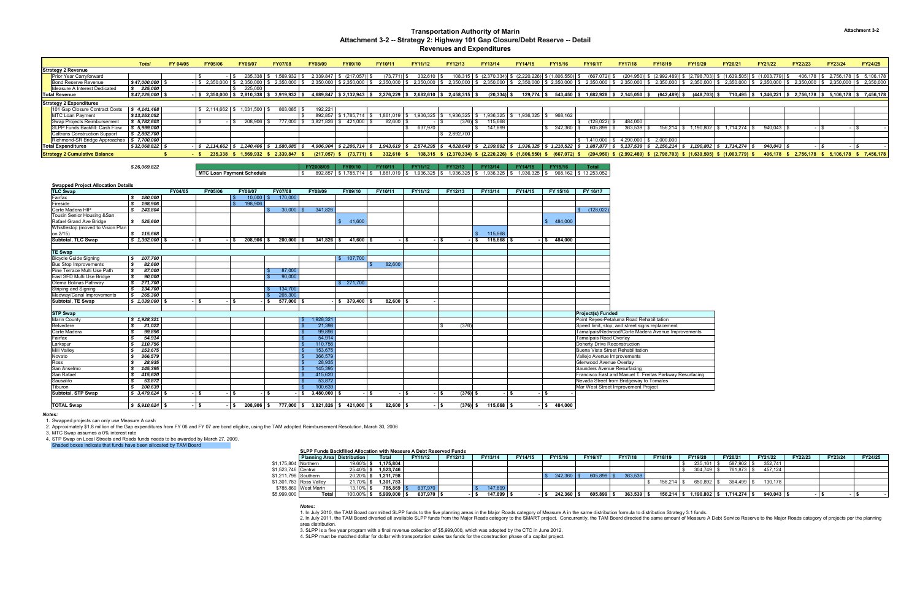| t           |
|-------------|
| provements  |
|             |
|             |
|             |
|             |
|             |
|             |
| Resurfacing |
|             |
|             |

*\$ 26,069,822* **FY2008/09 FY09/10 FY10/11 FY11/12 FY12/13 FY13/14 FY14/15 FY15/16 Total MTC ROAN PAYMENT SCHEDULER \$ 1,936,325 \$ 1,936,325 \$ 1,936,325 \$ 1,936,325 \$ 968,162 \$ 13,253,052 \$ 13,253,052** 

|                                      | <b>Total</b>       | FY 04/05 | <b>FY05/06</b>         | <b>FY06/07</b> | <b>FY07/08</b>              | <b>FY08/09</b> | <b>FY09/10</b>              | <b>FY10/11</b>                               | <b>FY11/12</b> | FY12/13                                                                        | <b>FY13/14</b> | <b>FY14/15</b>                                     | <b>FY15/16</b>                               | <b>FY16/17</b>  | <b>FY17/18</b>  | <b>FY18/19</b>           | <b>FY19/20</b>                    | <b>FY20/21</b>                                                                     | FY21/22                     | <b>FY22/23</b>                                     | <b>FY23/24</b> | <b>FY24/25</b>            |
|--------------------------------------|--------------------|----------|------------------------|----------------|-----------------------------|----------------|-----------------------------|----------------------------------------------|----------------|--------------------------------------------------------------------------------|----------------|----------------------------------------------------|----------------------------------------------|-----------------|-----------------|--------------------------|-----------------------------------|------------------------------------------------------------------------------------|-----------------------------|----------------------------------------------------|----------------|---------------------------|
| <b>Strategy 2 Revenue</b>            |                    |          |                        |                |                             |                |                             |                                              |                |                                                                                |                |                                                    |                                              |                 |                 |                          |                                   |                                                                                    |                             |                                                    |                |                           |
| Prior Year Carryforward              |                    |          |                        | 235,338        | 1,569,932                   | 2,339,847      | (217, 057)                  | (73, 771)                                    | $332.610$ S    |                                                                                |                | $(2,370,334)$ \$ $(2,220,226)$ \$ $(1,806,550)$ \$ |                                              | (667,072) \$    | $(204, 950)$ \$ |                          | $(2,992,489)$ \$ $(2,798,703)$ \$ | ,639,505)                                                                          |                             | 406,178                                            | 2,756,178      | 5,106,178                 |
| <b>Bond Reserve Revenue</b>          | \$47,000,000       |          | $2,350,000$ $\mid$ 3   | 2,350,000 \$   | 2,350,000 \$                |                | $2,350,000$ \$ 2,350,000 \$ | 2,350,000                                    |                | $2,350,000$ \$ $2,350,000$ \$                                                  | 2,350,000 \$   |                                                    | 2,350,000 \$ 2,350,000 \$                    | $2,350,000$ \$  | 2,350,000       | $$2,350,000$ \$          | 2,350,000                         |                                                                                    | $2,350,000$ \$ 2,350,000 \$ | $2,350,000$ \$                                     | $2,350,000$ \$ | 2,350,000                 |
| Measure A Interest Dedicated         | 225,000            |          |                        | 225,000        |                             |                |                             |                                              |                |                                                                                |                |                                                    |                                              |                 |                 |                          |                                   |                                                                                    |                             |                                                    |                |                           |
| <b>Total Revenue</b>                 | $$47,225,000$ \ \; |          | $-$ \$ 2,350,000       | $2,810,338$ \$ | 3,919,932 \$                |                | 4,689,847 \$2,132,943 \$    | 2,276,229                                    |                | $$2,682,610$ $$2,458,315$                                                      | (20, 334)      | $129,774$ \$                                       | $543,450$ \$                                 | $1,682,928$ \$  | \$2,145,050     | (642, 489)<br>IS.        | $(448, 703)$ \$                   | 710,495                                                                            |                             | $1,346,221$ \$ 2,756,178 \$ 5,106,178 \$ 7,456,178 |                |                           |
| <b>Strategy 2 Expenditures</b>       |                    |          |                        |                |                             |                |                             |                                              |                |                                                                                |                |                                                    |                                              |                 |                 |                          |                                   |                                                                                    |                             |                                                    |                |                           |
| 101 Gap Closure Contract Costs       | \$4,141,468        |          |                        | $1,031,500$ \$ | 803,085 \$                  | 192,221        |                             |                                              |                |                                                                                |                |                                                    |                                              |                 |                 |                          |                                   |                                                                                    |                             |                                                    |                |                           |
| MTC Loan Payment                     | \$13,253,052       |          |                        |                |                             | 892.857        | 3 1.785.714 S               | 1.861.019                                    | 1.936.325 S    | 1,936,325                                                                      | 1,936,325      | $1,936,325$ \$                                     | 968,162                                      |                 |                 |                          |                                   |                                                                                    |                             |                                                    |                |                           |
| Swap Projects Reimbursement          | \$5,782,603        |          |                        | 208,906        | 777,000 \$                  | 3,821,826 \$   | 421,000 \$                  | 82,600                                       |                | (376)                                                                          | 115,668        |                                                    |                                              | $(128, 022)$ \$ | 484,000         |                          |                                   |                                                                                    |                             |                                                    |                |                           |
| SLPP Funds Backfill: Cash Flow       | \$5,999,000        |          |                        |                |                             |                |                             |                                              | 637,970        |                                                                                | 147,899        |                                                    | 242,360                                      | 605,899         | 363,539         | $156,214$ \$             | 1,190,802                         | $1,714,274$ ,                                                                      | 940,043                     |                                                    |                |                           |
| <b>Caltrans Construction Support</b> | \$2,892,700        |          |                        |                |                             |                |                             |                                              |                | \$ 2.892.700                                                                   |                |                                                    |                                              |                 |                 |                          |                                   |                                                                                    |                             |                                                    |                |                           |
| Richmond-SR Bridge Approaches   \$   | 7,700,000          |          |                        |                |                             |                |                             |                                              |                |                                                                                |                |                                                    |                                              | 1,410,000       | 4,290,000       | \$2,000,000              |                                   |                                                                                    |                             |                                                    |                |                           |
| <b>Total Expenditures</b>            | $$32,068,822$ \$   |          | $-1$ \$ 2.114.662   \$ | 1.240.406      | 1.580.085                   |                |                             | $4.906.904$   \$2.206.714   \$1.943.619   \$ |                | 2,574,295   \$4,828,649   \$2,199,892   \$                                     |                |                                                    | $1,936,325$ \$ $1,210,522$ \$ $1,887,877$ \$ |                 |                 | 5.137.539 \$2.156.214 \$ |                                   | $1,190,802$ \$ $1,714,274$ \$                                                      | 940.043                     |                                                    |                |                           |
| <b>Strategy 2 Cumulative Balance</b> |                    |          | 235.338                |                | $1,569,932$ \$ 2,339,847 \$ | $(217.057)$ \$ | (73,771) \$                 | 332.610 S                                    |                | $108,315$ \$ $(2,370,334)$ \$ $(2,220,226)$ \$ $(1,806,550)$ \$ $(667,072)$ \$ |                |                                                    |                                              |                 |                 |                          |                                   | $(204,950)$ \$ $(2,992,489)$ \$ $(2,798,703)$ \$ $(1,639,505)$ \$ $(1,003,779)$ \$ |                             | 406,178 \$ 2,756,178                               |                | \$ 5.106.178 \$ 7.456.178 |

**Swapped Project Allocation Details TLC Swap FY04/05 FY05/06 FY06/07 FY07/08 FY08/09 FY09/10 FY10/11 FY11/12 FY12/13 FY13/14 FY14/15 FY 15/16 FY 16/17** Fairfax**10,000 \$ 170,000** Fireside**\$ 198,906 \$ 198,906 \$ 198,906** Corte Madera HIP *\$ 243,804* \$ 341,826 30,000 \$ \$ (128,022) Tousin Senior Housing &San Rafael Grand Ave Bridge **\$ 525,600 \$ 484,000 \$ 41,600 \$ 41,600 \$ 41,600 \$ 41,600 \$ 484,000 \$ 484,000** Whistlestop (moved to Vision Plan<br>on 2/15) on 2/15) *\$ 115,668* \$ 115,668 **Subtotal, TLC Swap** *\$ 1,392,000* **\$ - - \$ 208,906 \$ 200,000 \$ 341,826 \$ 41,600 \$ - \$ - \$ - \$ 115,668 \$ - \$ 484,000 \$ TE Swap** Bicycle Guide Signing **\$ 107,700**<br>
Bus Stop Improvements **\$ 82,600** Bus Stop Improvements **\$ 82,600 \$ 82,600 \$ 82,600 \$ 82,600** Pine Terrace Multi Use Path**\$ 87,000 \$ 87,000** East SFD Multi Use Bridge **\$ 90,000** \$ 90,000<br>
Olema Bolinas Pathway **\$ 271,700**<br>
Striping and Signing **\$ 134,700** \$ 134,700 Olema Bolinas Pathway **\$ 271,700 \$ 271,700 \$ 271,700 \$ 271,700 \$ 271,700 \$ 271,700 \$ 271,700** Striping and Signing **\$ 134,700 \$ 134,700 \$ 134,700 \$ 134,700 \$ 134,700 \$ 134,700 \$ 134,700 \$ 265,300** Medway/Canal Improvements **\$ 265,300**<br> **Subtotal, TE Swap \$ 1,039,000** \$ - \$ - \$ 577,000 **Subtotal, TE Swap** *\$ 1,039,000* **\$ - - \$ - \$ 577,000 \$ - \$ 379,400 \$ 82,600 \$ - \$ STP Swap Project(s) Funded** Marin County **8 1,928,321 8 1,928,321 Point Reyes-Petaluma Road Rehabilitation** Belvedere**\$ 21,022** 20,022 21,098 \$ 21,398 21,398 \$  $\sim$  \$  $\sim$  376)  $\sim$  \$  $\sim$  376)  $\sim$  Speed limit, stop, and street signs replacement Corte Madera**\$ 99,896** Tamalpais/Redwood/Corte Madera Avenue Improvements & 89,896 Tamalpais/Redwood/Corte Madera Avenue Improvements & 54,914 Tamalpais Road Overlay<br>19. 110,756 Studies & 110,756 Studies & 110,756 Studies & 110,756 Do **Fairfax**  *\$ 54,914* \$ 54,914 Tamalpais Road Overlay Larkspur *\$ 110,756* \$ 110,756 Doherty Drive Reconstruction Mill Valley *\$ 153,675* \$ 153,675 Buena Vista Street Rehabilitation Novato *\$ 366,579* \$ 366,579 Vallejo Avenue Improvements Ross *\$ 28,935* \$ 28,935 Glenwood Avenue Overlay San Anselmo**\$ 145,395** Saunders Avenue Resurfacing<br> **\$ 145,620** \$ 145,620 **\$ 145,620 \$ 145,620 Francisco East and Manuel T.** San Rafael**\$ 415,620** Francisco East and Manuel T. Freitas Parkway<br> **\$ 53,872** Street from Bridgeway to Tomales Sausalito**\$3,872** Nevada Street from Bridgeway to Tomales<br>100.639 Nevada Street Improvement Project Tiburon<br>Subtotal, STP Swap *\$ 100,639* \$ 100,639 Mar West Street Improvement Project **Subtotal, STP Swap** *\$ 3,479,624* **\$ - - \$ - \$ - \$ 3,480,000 \$ - \$ - \$ - \$ (376) \$ - \$ - \$ - \$ TOTAL Swap** *\$ 5,910,624* **\$ - - \$ 208,906 \$ 777,000 \$ 3,821,826 \$ 421,000 \$ 82,600 \$ - \$ (376) \$ 115,668 \$ - \$ 484,000 \$** 

*Notes:*

1. Swapped projects can only use Measure A cash

2. Approximately \$1.8 million of the Gap expenditures from FY 06 and FY 07 are bond eligible, using the TAM adopted Reimbursement Resolution, March 30, 2006

3. MTC Swap assumes a 0% interest rate

4. STP Swap on Local Streets and Roads funds needs to be awarded by March 27, 2009.

Shaded boxes indicate that funds have been allocated by TAM Board

**SLPP Funds Backfilled Allocation with Measure A Debt Reserved Funds**

|                      | SLPP Funds Backfilled Allocation with Measure A Dept Reserved Funds |            |              |                |         |                |         |         |             |                |                          |           |           |              |         |         |         |
|----------------------|---------------------------------------------------------------------|------------|--------------|----------------|---------|----------------|---------|---------|-------------|----------------|--------------------------|-----------|-----------|--------------|---------|---------|---------|
|                      | <b>Planning Area</b> Distribution                                   |            | <b>Total</b> | <b>FY11/12</b> | FY12/13 | FY13/14        | FY14/15 | FY15/16 | FY16/17     | <b>FY17/18</b> | FY18/19                  | FY19/20   | FY20/21   | FY21/22      | FY22/23 | FY23/24 | FY24/25 |
| \$1,175,804 Northern |                                                                     | 19.60% \   | 1.175.804    |                |         |                |         |         |             |                |                          | 235,161   | 587,902   | 352,741      |         |         |         |
| \$1,523,746 Central  |                                                                     | 25.40% \$  | 1,523,746    |                |         |                |         |         |             |                |                          | 304,749   | 761,873   | 457,124      |         |         |         |
| \$1,211,798 Southern |                                                                     | 20.20%     | 1.211.798    |                |         |                |         |         | 605,899     | 363,539        |                          |           |           |              |         |         |         |
|                      | \$1,301,783 Ross Valley                                             | 21.70% \$  | 1.301.783    |                |         |                |         |         |             |                | $156.214$ $\blacksquare$ | 650.892   | 364.499   | 130.178      |         |         |         |
|                      | \$785,869 West Marin                                                | 13.10%     | 785,869      | 637,970        |         | 147,899        |         |         |             |                |                          |           |           |              |         |         |         |
| \$5,999,000          | Total                                                               | $100.00\%$ | 5,999,000    | 637,970 \$     |         | $147,899$ \ \$ |         | 242,360 | $605,899$ . | 363,539        | $156,214$ \ \$           | 1.190.802 | 1,714,274 | $940,043$ \$ |         |         |         |

#### *Notes:*

3. SLPP is a five year program with a final revenue collection of \$5,999,000, which was adopted by the CTC in June 2012.

4. SLPP must be matched dollar for dollar with transportation sales tax funds for the construction phase of a capital project.

#### **Transportation Authority of Marin Attachment 3-2 -- Strategy 2: Highway 101 Gap Closure/Debt Reserve -- Detail Revenues and Expenditures**

 1. In July 2010, the TAM Board committed SLPP funds to the five planning areas in the Major Roads category of Measure A in the same distribution formula to distribution Strategy 3.1 funds. 2. In July 2011, the TAM Board diverted all available SLPP funds from the Major Roads category to the SMART project. Concurrently, the TAM Board directed the same amount of Measure A Debt Service Reserve to the Major Roads area distribution.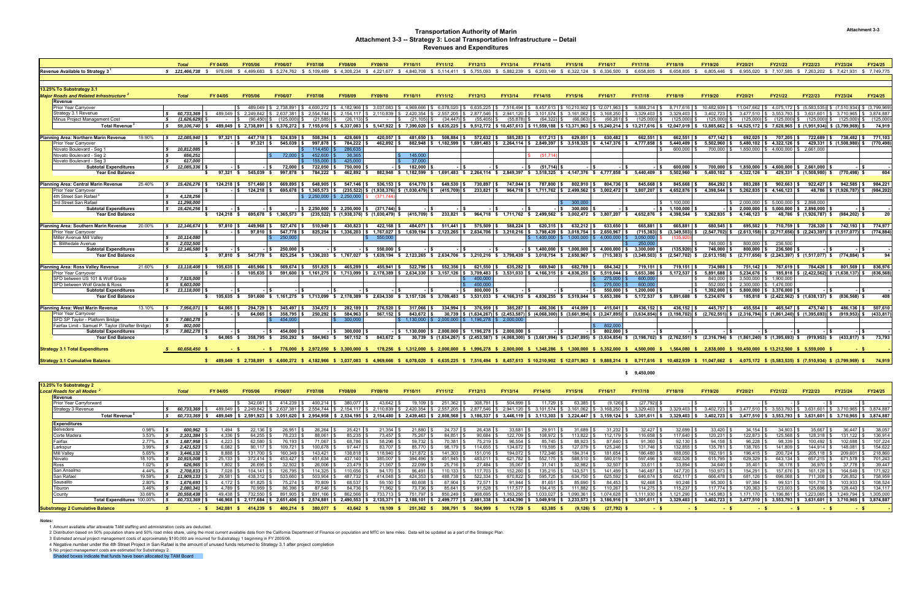|                                                     | <b>Total</b>              | FY 04/05            | <b>FY05/06</b>       | FY06/07                                                                                                                                      | <b>FY07/08</b>                    | <b>FY08/09</b>                  | FY09/10                                          | FY10/11      | FY11/12        | FY12/13                                                                                         | FY13/14      | FY14/15                                                                                                 | FY15/16             | FY16/17                                                                                               | <b>FY17/18</b>                                                                                                                                                                                                                       | FY18/19          | FY19/20                                                                                                                                                                                                                                           | FY20/21                           | FY21/22                                   | <b>FY22/23</b>                                                   | FY23/24                                                                | <b>FY24/25</b> |
|-----------------------------------------------------|---------------------------|---------------------|----------------------|----------------------------------------------------------------------------------------------------------------------------------------------|-----------------------------------|---------------------------------|--------------------------------------------------|--------------|----------------|-------------------------------------------------------------------------------------------------|--------------|---------------------------------------------------------------------------------------------------------|---------------------|-------------------------------------------------------------------------------------------------------|--------------------------------------------------------------------------------------------------------------------------------------------------------------------------------------------------------------------------------------|------------------|---------------------------------------------------------------------------------------------------------------------------------------------------------------------------------------------------------------------------------------------------|-----------------------------------|-------------------------------------------|------------------------------------------------------------------|------------------------------------------------------------------------|----------------|
| Revenue Available to Strategy 3 $^{\circ}$          | \$ 121,466,738 \$ 978,098 |                     |                      | \$4.499.683 \$5.274.762                                                                                                                      | \$ 5.109.489 \$ 4.308.234         |                                 |                                                  |              |                |                                                                                                 |              | \$ 4.221.677 \$ 4.840.708 \$ 5.114.411 \$ 5.755.093 \$ 5.882.239 \$ 6.203.149 \$ 6.322.124 \$ 6.336.500 |                     |                                                                                                       | 6.658.805                                                                                                                                                                                                                            | 6.658.805        | 6.805.446 \$                                                                                                                                                                                                                                      | 6.955.020                         | \$7.107.585                               |                                                                  | \$ 7.263.202 \$ 7.421.931 \$ 7.749.775                                 |                |
|                                                     |                           |                     |                      |                                                                                                                                              |                                   |                                 |                                                  |              |                |                                                                                                 |              |                                                                                                         |                     |                                                                                                       |                                                                                                                                                                                                                                      |                  |                                                                                                                                                                                                                                                   |                                   |                                           |                                                                  |                                                                        |                |
|                                                     |                           |                     |                      |                                                                                                                                              |                                   |                                 |                                                  |              |                |                                                                                                 |              |                                                                                                         |                     |                                                                                                       |                                                                                                                                                                                                                                      |                  |                                                                                                                                                                                                                                                   |                                   |                                           |                                                                  |                                                                        |                |
| 13.25% To Substrategy 3.1                           |                           |                     |                      |                                                                                                                                              |                                   |                                 |                                                  |              |                |                                                                                                 |              |                                                                                                         |                     |                                                                                                       |                                                                                                                                                                                                                                      |                  |                                                                                                                                                                                                                                                   |                                   |                                           |                                                                  |                                                                        |                |
| Major Roads and Related Infrastructure <sup>2</sup> | <b>Total</b>              | FY 04/05            | <b>FY05/06</b>       | <b>FY06/07</b>                                                                                                                               | <b>FY07/08</b>                    | <b>FY08/09</b>                  | FY09/10                                          | FY10/11      | FY11/12        | FY12/13                                                                                         | FY13/14      | FY14/15                                                                                                 | FY15/16             | FY16/17                                                                                               | <b>FY17/18</b>                                                                                                                                                                                                                       | FY18/19          | FY19/20                                                                                                                                                                                                                                           | FY20/21                           | FY21/22                                   | FY22/23                                                          | FY23/24                                                                | <b>FY24/25</b> |
| Revenue                                             |                           |                     |                      |                                                                                                                                              |                                   |                                 |                                                  |              |                |                                                                                                 |              |                                                                                                         |                     |                                                                                                       |                                                                                                                                                                                                                                      |                  |                                                                                                                                                                                                                                                   |                                   |                                           |                                                                  |                                                                        |                |
| <b>Prior Year Carryover</b>                         |                           |                     | 489.049              | $$2.738.891 \  \  $4.600.272 \  \  $4.182.966 \  \  $3.037.083$                                                                              |                                   |                                 |                                                  | \$4.969.666  | \$ 6.078.020   |                                                                                                 |              | \$ 6.635.225 S 7.516.494 S 8.457.613 S 10.210.902 S 12.071.963                                          |                     |                                                                                                       | $$9.888.214$ $$$                                                                                                                                                                                                                     |                  | 8.717.616 \$ 10.482.939                                                                                                                                                                                                                           | \$ 11.047.662                     |                                           |                                                                  | $\frac{1}{2}$ 4.075.172 \ \ (5.583.535) \ \ (7.510.934) \ \ (3.799.969 |                |
| Strategy 3.1 Revenue                                | 60.733.369                |                     | 489.049 \$ 2.249.842 | 2.637.381                                                                                                                                    | 2.554.744                         | \$2.154.117                     | 2.110.839                                        | 2.420.354    | 2.557.205      | 2.877.546                                                                                       | \$2.941.120  | 3.101.574                                                                                               | 3.161.062           | 3.168.250                                                                                             | 3.329.403                                                                                                                                                                                                                            | 3.329.403        | 3.402.723                                                                                                                                                                                                                                         | 3.477.510                         | 3.553.793                                 | \$3.631.601                                                      | \$ 3.710.965                                                           | 3.874.887      |
| Minus Project Management Cost                       | (1,626,629)               |                     | (90.450)             | (125,000)                                                                                                                                    | (21.585)                          | (26, 113)                       |                                                  | (21.105)     | (34.447)       | $(55.405)$ \$                                                                                   | (55, 878)    | (64.322)                                                                                                | (66.063)            | (66, 261)                                                                                             | (125,000)                                                                                                                                                                                                                            | $(125,000)$ \$   | (125,000)                                                                                                                                                                                                                                         |                                   | $(125,000)$ \$ $(125,000)$ \$ $(125,000)$ |                                                                  | (125,000)                                                              | (125,000)      |
| <b>Total Revenue</b>                                | 59.106.740 \$             |                     | 489.049 \$2.738.891  | $$5,376,272$ $$7,155,016$ $$6,337,083$ $$5,147,922$ $$7,390,020$                                                                             |                                   |                                 |                                                  |              |                |                                                                                                 |              |                                                                                                         |                     |                                                                                                       |                                                                                                                                                                                                                                      |                  | \$ 8,635,225 \$ 9,512,772 \$ 10,457,613 \$ 11,559,188 \$ 13,371,963 \$ 15,240,214 \$ 13,217,616 \$ 12,047,019 \$ 13,885,662 \$ 14,525,172 \$ 7,628,965 \$ (1,951,934) \$ (3,799,969)                                                              |                                   |                                           |                                                                  |                                                                        | 74,919         |
|                                                     |                           |                     |                      |                                                                                                                                              |                                   |                                 |                                                  |              |                |                                                                                                 |              |                                                                                                         |                     |                                                                                                       |                                                                                                                                                                                                                                      |                  |                                                                                                                                                                                                                                                   |                                   |                                           |                                                                  |                                                                        |                |
| Planning Area: Northern Marin Revenue<br>19.90%     | 12,085,940 \$             | $97.321$ \$         | 447.718              | 524.839 \$                                                                                                                                   | 508.394                           | $428.669$ \$                    | 420,057                                          | 481.650      | 508.884        | 572.632 S                                                                                       | 585.283 \$   | 617.213 \$                                                                                              | $629.051$ \$        | 630.482                                                                                               | 662.551                                                                                                                                                                                                                              | 662.551          | $677.142$ S                                                                                                                                                                                                                                       | 692.025                           | 707.205 \$                                | 722.689 \$                                                       | 738.482                                                                | 771,103        |
| Prior Year Carryover                                |                           |                     | 97.321               | $545.039$ \$                                                                                                                                 | 997.878 \$                        | 784.222 \$                      | $462.892$ \$                                     | 882.948 \$   |                |                                                                                                 |              |                                                                                                         |                     |                                                                                                       | $1.182.599$ $\begin{array}{ l }$ \$ $1.691.483 & \text{{\$}}$ $2.264.114 & \text{{\$}}$ $2.849.397 & \text{{\$}}$ $\begin{array}{ l }$ $}$ $3.518.325 & \text{{\$}} & 4.147.376 & \text{{\$}} & 4.777.858 & \text{{\$}} \end{array}$ | $5.440.409$ \$   | $5.502.960$ \$                                                                                                                                                                                                                                    |                                   | $5.480.102$ \$ $4.322.126$ \$             |                                                                  | 429.331 \$ (1.508.980)                                                 | (770.498)      |
| Novato Boulevard - Seg 1                            | 10,812,085                |                     |                      |                                                                                                                                              | $114,450$ \$                      | 286,635                         |                                                  |              |                |                                                                                                 |              |                                                                                                         |                     |                                                                                                       |                                                                                                                                                                                                                                      | $600,000$ \$     | 700,000 \$                                                                                                                                                                                                                                        |                                   | 1,850,000 \$ 4,600,000 \$ 2,661,000       |                                                                  |                                                                        |                |
| Novato Boulevard - Seg 2                            | 656,251                   |                     |                      | $72,000$ \ \$                                                                                                                                | $452,600$ \ 3                     | 38,365                          |                                                  | 145,000      |                |                                                                                                 |              | (51, 71)                                                                                                |                     |                                                                                                       |                                                                                                                                                                                                                                      |                  |                                                                                                                                                                                                                                                   |                                   |                                           |                                                                  |                                                                        |                |
| Novato Boulevard - Seg 3                            | 617.000                   |                     |                      |                                                                                                                                              | 155,000                           | 425,000                         |                                                  | 37.000       |                |                                                                                                 |              |                                                                                                         |                     |                                                                                                       |                                                                                                                                                                                                                                      |                  |                                                                                                                                                                                                                                                   |                                   |                                           |                                                                  |                                                                        |                |
| <b>Subtotal Expenditures</b>                        | 12,085,336                |                     |                      | 72.000                                                                                                                                       | 722.050                           | 750,000 \$                      |                                                  | 182.000      |                |                                                                                                 |              | (51.714)<br>- ISS                                                                                       |                     |                                                                                                       |                                                                                                                                                                                                                                      | 600.000 \$       | 700.000 \$                                                                                                                                                                                                                                        |                                   |                                           | 1.850.000 \$4.600.000 \$2.661.000                                |                                                                        |                |
| <b>Year End Balance</b>                             |                           | 97,321 \$           | 545.039 \$           | 997.878 \$                                                                                                                                   | 784,222 \$                        | 462.892 \$                      |                                                  |              |                |                                                                                                 |              |                                                                                                         |                     | 882,948 \$ 1,182,599 \$ 1,691,483 \$ 2,264,114 \$ 2,849,397 \$ 3,518,325 \$ 4,147,376 \$ 4,777,858 \$ | 5.440.409 \$                                                                                                                                                                                                                         | 5,502,960        | 5,480,102 \$                                                                                                                                                                                                                                      | 4,322,126 \$                      |                                           |                                                                  | 429.331 \$ (1.508.980) \$ (770.498) \$                                 | 604            |
|                                                     |                           |                     |                      |                                                                                                                                              |                                   |                                 |                                                  |              |                |                                                                                                 |              |                                                                                                         |                     |                                                                                                       |                                                                                                                                                                                                                                      |                  |                                                                                                                                                                                                                                                   |                                   |                                           |                                                                  |                                                                        |                |
| Planning Area: Central Marin Revenue<br>25.40%      | 15,426,276 \$             | 124.218             | 571.460              | 669,895 \$                                                                                                                                   | 648.905 \$                        | $547,146$ \$                    | 536,153                                          | 614.770      | 649.530        | 730,897                                                                                         | 747.044 S    | 787.800                                                                                                 | 802.910 S           | 804,736                                                                                               | 845.668                                                                                                                                                                                                                              | 845,668          | 864.292                                                                                                                                                                                                                                           | 883.288                           | $902,663$ \$                              | 922.427 S                                                        | 942.585                                                                | 984,221        |
| <b>Prior Year Carryover</b>                         |                           |                     | 124.218              |                                                                                                                                              | 695.678 \$1.365.573 \$            |                                 | $(235,522)$ \$ $(1,938,376)$                     | (1.030.479)  | $(415.709)$ \$ | 233.821                                                                                         |              |                                                                                                         |                     | $964,718$ \$ 1,711,762 \$ 2,499,562 \$ 3,002,472 \$                                                   | $3.807.207$ \$                                                                                                                                                                                                                       | $4.652.876$ S    | $4.398.544$ \$                                                                                                                                                                                                                                    |                                   | $5.262.835$ \$ 4.146.123 \$               |                                                                  | 48,786 \$ (1,926,787)                                                  | (984, 202)     |
| 4th Street San Rafael                               | 4.128.256                 |                     |                      |                                                                                                                                              | $$2.250.000 \  \  \, \$2.250.000$ |                                 | (371.74                                          |              |                |                                                                                                 |              |                                                                                                         |                     |                                                                                                       |                                                                                                                                                                                                                                      |                  |                                                                                                                                                                                                                                                   |                                   |                                           |                                                                  |                                                                        |                |
| 3rd Street San Rafael                               | 11,298,000                |                     |                      |                                                                                                                                              |                                   |                                 |                                                  |              |                |                                                                                                 |              |                                                                                                         | 300,000             |                                                                                                       |                                                                                                                                                                                                                                      | \$ 1,100,000     |                                                                                                                                                                                                                                                   |                                   | $$2,000,000$ $$5,000,000$ $$2,898,000$    |                                                                  |                                                                        |                |
| <b>Subtotal Expenditures</b>                        | 15,426,256                |                     |                      |                                                                                                                                              |                                   |                                 |                                                  |              |                |                                                                                                 |              | - IS                                                                                                    | $300.000$ $\mid$ \$ |                                                                                                       | - ISS                                                                                                                                                                                                                                | $1,100,000$ \$   |                                                                                                                                                                                                                                                   |                                   |                                           |                                                                  |                                                                        |                |
| <b>Year End Balance</b>                             |                           | $$124.218$ \$       |                      | 695.678 \$ 1.365.573 \$                                                                                                                      |                                   |                                 | $(235.522)$ \$ $(1.938.376)$ \$ $(1.030.479)$ \$ | (415.709) \$ | 233.821 \$     |                                                                                                 |              |                                                                                                         |                     | 964.718 \$ 1.711.762 \$ 2.499.562 \$ 3.002.472 \$ 3.807.207 \$                                        | 4.652.876 \$                                                                                                                                                                                                                         |                  | 4.398.544 \$ 5.262.835 \$ 4.146.123 \$                                                                                                                                                                                                            |                                   |                                           |                                                                  | 48.786 \$ (1.926.787) \$ (984.202) \$                                  |                |
|                                                     |                           |                     |                      |                                                                                                                                              |                                   |                                 |                                                  |              |                |                                                                                                 |              |                                                                                                         |                     |                                                                                                       |                                                                                                                                                                                                                                      |                  |                                                                                                                                                                                                                                                   |                                   |                                           |                                                                  |                                                                        |                |
| Planning Area: Southern Marin Revenue<br>20.00%     | 12.146.674 \$             | 97.810              | 449.968              | 527.476                                                                                                                                      | $510.949$ \$                      | 430.823 \$                      | 422,168                                          | 484.071 \$   | 511,441        | 575,509 \$                                                                                      | $588,224$ \$ | $620,315$ \$                                                                                            | 632.212 \$          | 633,650                                                                                               | 665.881                                                                                                                                                                                                                              | 665.881 \$       | 680.545 \$                                                                                                                                                                                                                                        | 695.502 \$                        | 710.759 S                                 | 726.320 \$                                                       | 742.193                                                                | 774.977        |
| Prior Year Carryover                                |                           |                     | 97.810               | 547,778                                                                                                                                      |                                   | 825,254 \$1,336,203 \$1,767,027 |                                                  |              |                |                                                                                                 |              | $1,639,194$   \$ 2,123,265   \$ 2,634,706   \$ 3,210,216   \$ 3,798,439   \$                            | $3,018,754$ \$      | 2,650,967                                                                                             | $(715, 383)$ \$                                                                                                                                                                                                                      | $(3,349,503)$ \$ | $(2,547,702)$ \$                                                                                                                                                                                                                                  |                                   |                                           | $(2,613,158)$ \$ $(2,717,656)$ \$ $(2,243,397)$ \$ $(1,517,077)$ |                                                                        | (774.884)      |
| Miller Avenue Mill Valley                           | 10,114,080                |                     |                      | 250,000                                                                                                                                      |                                   |                                 | 550,000                                          |              |                |                                                                                                 |              | $$1.400.000$ $$1.000.000$ $$4.000.000$                                                                  |                     |                                                                                                       | 3.050.000                                                                                                                                                                                                                            |                  |                                                                                                                                                                                                                                                   |                                   |                                           |                                                                  |                                                                        |                |
| E. Blithedale Avenue                                | 2.032.500                 |                     |                      |                                                                                                                                              |                                   |                                 |                                                  |              |                |                                                                                                 |              |                                                                                                         |                     |                                                                                                       | 250,000                                                                                                                                                                                                                              |                  | 746.000                                                                                                                                                                                                                                           | 800,000 \$                        | 236.500                                   |                                                                  |                                                                        |                |
| <b>Subtotal Expenditures</b>                        | 12,146,580                |                     |                      | 250.000                                                                                                                                      | - IS                              | - ISS                           | 550,000                                          |              |                |                                                                                                 |              |                                                                                                         |                     |                                                                                                       |                                                                                                                                                                                                                                      | $(135,920)$ \$   | 746,000 \$                                                                                                                                                                                                                                        | 800,000 \$                        | $236,500$ \$                              |                                                                  |                                                                        |                |
| Year End Balance                                    |                           |                     | 97,810 \$ 547,778 \$ |                                                                                                                                              |                                   |                                 |                                                  |              |                |                                                                                                 |              |                                                                                                         |                     |                                                                                                       | 825,254 \$ 1,336,203 \$ 1,767,027 \$ 1,639,194 \$ 2,123,265 \$ 2,634,706 \$ 3,210,216 \$ 3,798,439 \$ 3,018,754 \$ 2,650,967 \$ (715,383) \$ (3,349,503) \$                                                                          | $(2,547,702)$ \$ | $(2,613,158)$ \$                                                                                                                                                                                                                                  |                                   |                                           |                                                                  | $(2,717,656)$ \$ $(2,243,397)$ \$ $(1,517,077)$ \$ $(774,884)$ \$      | 94             |
|                                                     |                           |                     |                      |                                                                                                                                              |                                   |                                 |                                                  |              |                |                                                                                                 |              |                                                                                                         |                     |                                                                                                       |                                                                                                                                                                                                                                      |                  |                                                                                                                                                                                                                                                   |                                   |                                           |                                                                  |                                                                        |                |
| Planning Area: Ross Valley Revenue<br>21.60%        | 13.118.408 \$             | $105.635$ \$        | 485.966              | $569.674$ \$                                                                                                                                 | 551.825 \$                        | 465.289 \$                      | 455.941 S                                        | 522.796 \$   | 552.356        | $621.550$ \$                                                                                    | 635.282 \$   | 669.940 \$                                                                                              | 682.789 \$          | 684.342 \$                                                                                            | 719.151 S                                                                                                                                                                                                                            | 719.151 \$       | 734.988 \$                                                                                                                                                                                                                                        | $751.142$ \$                      | 767.619 \$                                | 784.426 \$                                                       | 801.569 S                                                              | 836.976        |
| <b>Prior Year Carrvover</b>                         |                           |                     | 105.635              |                                                                                                                                              |                                   |                                 |                                                  |              |                |                                                                                                 |              |                                                                                                         |                     |                                                                                                       | $591,600$ \$ $1.161,275$ \$ $1.713,099$ \$ $2.178,389$ \$ $2.634,330$ \$ $3.157,126$ \$ $3.709,483$ \$ $3.531,033$ \$ $4.166,315$ \$ $4.836,255$ \$ $5.519,044$ \$ $5.653,386$ \$ $5.172,537$ \$                                     |                  |                                                                                                                                                                                                                                                   | $5.891.688$   \$ $5.234.676$   \$ |                                           |                                                                  | 185,818 \$ (2,422,562) \$ (1,638,137)                                  | (836.568)      |
| SFD between US 101 & Wolf Grade                     | 7,515,000                 |                     |                      |                                                                                                                                              |                                   |                                 |                                                  |              |                | 400,000                                                                                         |              |                                                                                                         |                     | 275,000                                                                                               | 600,000                                                                                                                                                                                                                              |                  | 840.000                                                                                                                                                                                                                                           | 3,500,000 \$ 1,900,000            |                                           |                                                                  |                                                                        |                |
| SFD between Wolf Grade & Ross                       | 5,603,000                 |                     |                      |                                                                                                                                              |                                   |                                 |                                                  |              |                | 400,000                                                                                         |              |                                                                                                         |                     | 275,000                                                                                               | 600,000                                                                                                                                                                                                                              |                  | 552.000                                                                                                                                                                                                                                           | 2.300.000                         | 1.476.000                                 |                                                                  |                                                                        |                |
| <b>Subtotal Expenditures</b>                        | 13.118.000 \$             |                     |                      |                                                                                                                                              |                                   | $-1$ \$                         |                                                  |              |                | $800.000$ $\mid$ 3                                                                              | $-1$ \$      |                                                                                                         |                     | 550.000 \$<br>- IS-                                                                                   | $1.200.000$ \$                                                                                                                                                                                                                       | $-$ \$           | $1.392.000$ S                                                                                                                                                                                                                                     |                                   | $5.800.000$ \$ 3.376.000 \$               |                                                                  |                                                                        |                |
| <b>Year End Balance</b>                             |                           | 105,635 \$          |                      | 591,600 \$ 1,161,275 \$ 1,713,099 \$ 2,178,389 \$ 2,634,330 \$ 3,157,126 \$ 3,709,483 \$ 3,531,033 \$ 4,166,315 \$ 4,836,255 \$ 5,519,044 \$ |                                   |                                 |                                                  |              |                |                                                                                                 |              |                                                                                                         |                     | 5.653.386                                                                                             | 5,172,537 \$                                                                                                                                                                                                                         | 5,891,688 \$     | 5,234,676 \$                                                                                                                                                                                                                                      |                                   |                                           | 185,818 \$ (2,422,562) \$ (1,638,137) \$                         | $(836,568)$ \$                                                         | 408            |
|                                                     |                           |                     |                      |                                                                                                                                              |                                   |                                 |                                                  |              |                |                                                                                                 |              |                                                                                                         |                     |                                                                                                       |                                                                                                                                                                                                                                      |                  |                                                                                                                                                                                                                                                   |                                   |                                           |                                                                  |                                                                        |                |
| Planning Area: West Marin Revenue<br>13.10%         | 7.956.071 \$              | $64.065$ $\sqrt{5}$ | 294.729              | 345.497                                                                                                                                      | $334.672$ S                       | $282.189$ \$                    | 276.520                                          | 317.066      | 334.994        | 376.959 \$                                                                                      | 385.287 \$   | 406.306 \$                                                                                              | 414.099             | 415.041                                                                                               | 436.152                                                                                                                                                                                                                              | 436.152          | 445.757                                                                                                                                                                                                                                           | 455.554                           | 465.547                                   | 475.740 S                                                        | 486.136                                                                | 507.610        |
| <b>Prior Year Carryover</b>                         |                           |                     | 64.065               | 358,795                                                                                                                                      | $250.292$ \$                      | $584,963$ \$                    | $567.152$ \$                                     | 843.672      |                |                                                                                                 |              |                                                                                                         |                     |                                                                                                       |                                                                                                                                                                                                                                      |                  | $30,739$   \$ $(1,634,267)$   \$ $(2,453,587)$ \$ $(4,068,300)$ \$ $(3,661,994)$ \$ $(3,247,895)$   \$ $(3,634,854)$ \$ $(3,198,702)$   \$ $(2,762,551)$ \$                                                                                       |                                   |                                           | $(2,316,794)$ \$ $(1,861,240)$ \$ $(1,395,693)$                  | (919.953)                                                              | (433, 817)     |
| SFD SP Taylor - Platform Bridge                     | 7.080.278                 |                     |                      | 454,000                                                                                                                                      |                                   | 300.000                         |                                                  |              |                | $\frac{1}{2}$ 1.130.000 $\frac{1}{2}$ 2.000.000 $\frac{1}{2}$ 1.196.278 $\frac{1}{2}$ 2.000.000 |              |                                                                                                         |                     |                                                                                                       |                                                                                                                                                                                                                                      |                  |                                                                                                                                                                                                                                                   |                                   |                                           |                                                                  |                                                                        |                |
| Fairfax Limit - Samuel P. Taylor (Shafter Bridge)   | 802,000                   |                     |                      |                                                                                                                                              |                                   |                                 |                                                  |              |                |                                                                                                 |              |                                                                                                         |                     | 802.000                                                                                               |                                                                                                                                                                                                                                      |                  |                                                                                                                                                                                                                                                   |                                   |                                           |                                                                  |                                                                        |                |
| <b>Subtotal Expenditures</b>                        | 7,882,278<br>IS.          |                     |                      | 454.000 \$                                                                                                                                   | - \$                              | 300.000 S                       |                                                  |              |                |                                                                                                 |              | - 15                                                                                                    |                     | $-$ \$ 802,000                                                                                        |                                                                                                                                                                                                                                      |                  | - IS-                                                                                                                                                                                                                                             |                                   |                                           |                                                                  |                                                                        |                |
| <b>Year End Balance</b>                             |                           | 64.065 \$           | 358.795 \$           | 250.292 \$                                                                                                                                   | 584.963 \$                        | 567.152 \$                      | 843,672 \$                                       |              |                |                                                                                                 |              |                                                                                                         |                     |                                                                                                       | 30.739 \$ (1.634.267) \$ (2.453.587) \$ (4.068.300) \$ (3.661.994) \$ (3.247.895) \$ (3.634.854) \$ (3.198.702) \$ (2.762.551) \$                                                                                                    |                  | $(2.316.794)$ \$                                                                                                                                                                                                                                  |                                   | $(1.861.240)$ \$ $(1.395.693)$ \$         | $(919.953)$ \$                                                   | $(433.817)$ \$                                                         | 73.793         |
|                                                     |                           |                     |                      |                                                                                                                                              |                                   |                                 |                                                  |              |                |                                                                                                 |              |                                                                                                         |                     |                                                                                                       |                                                                                                                                                                                                                                      |                  |                                                                                                                                                                                                                                                   |                                   |                                           |                                                                  |                                                                        |                |
| <b>Strategy 3.1 Total Expenditures</b>              | $$60,658,450$ \$          |                     |                      |                                                                                                                                              |                                   |                                 |                                                  |              |                |                                                                                                 |              |                                                                                                         |                     |                                                                                                       |                                                                                                                                                                                                                                      |                  | \$ 776,000 \$ 2,972,050 \$ 3,300,000 \$ 178,256 \$ 1,312,000 \$ 2,000,000 \$ 1,996,278 \$ 2,000,000 \$ 1,348,286 \$ 1,300,000 \$ 5,352,000 \$ 4,500,000 \$ 1,564,080 \$ 2,838,000 \$ 10,450,000 \$ 13,212,500 \$ 5,559,000 \$ 1,569,000 \$ 1,564, |                                   |                                           |                                                                  |                                                                        |                |
|                                                     |                           |                     |                      |                                                                                                                                              |                                   |                                 |                                                  |              |                |                                                                                                 |              |                                                                                                         |                     |                                                                                                       |                                                                                                                                                                                                                                      |                  |                                                                                                                                                                                                                                                   |                                   |                                           |                                                                  |                                                                        |                |
| <b>Strategy 3.1 Cumulative Balance</b>              |                           |                     |                      |                                                                                                                                              |                                   |                                 |                                                  |              |                |                                                                                                 |              |                                                                                                         |                     |                                                                                                       |                                                                                                                                                                                                                                      |                  | 489,049 \$ 2,738,891 \$ 4,600,272 \$ 4,182,966 \$ 3,037,083 \$ 4,969,666 \$ 6,078,020 \$ 6,635,225 \$ 7,516,494 \$ 8,457,613 \$ 10,210,902 \$ 12,071,963 \$ 9,888,214 \$ 8,717,616 \$ 10,482,939 \$ 11,047,662 \$ 4,075,172 \$ (5,583,535) \$ (7, |                                   |                                           |                                                                  |                                                                        |                |
|                                                     |                           |                     |                      |                                                                                                                                              |                                   |                                 |                                                  |              |                |                                                                                                 |              |                                                                                                         |                     |                                                                                                       |                                                                                                                                                                                                                                      |                  |                                                                                                                                                                                                                                                   |                                   |                                           |                                                                  |                                                                        |                |
|                                                     |                           |                     |                      |                                                                                                                                              |                                   |                                 |                                                  |              |                |                                                                                                 |              |                                                                                                         |                     |                                                                                                       |                                                                                                                                                                                                                                      |                  |                                                                                                                                                                                                                                                   |                                   |                                           |                                                                  |                                                                        |                |

**\$ 9,450,000**

| 13.25% To Substrategy 2                 |          |              |                    |                |                           |                    |                |           |                |                |                |                                            |                        |                |               |                |                |                |               |                |                |                                         |                        |
|-----------------------------------------|----------|--------------|--------------------|----------------|---------------------------|--------------------|----------------|-----------|----------------|----------------|----------------|--------------------------------------------|------------------------|----------------|---------------|----------------|----------------|----------------|---------------|----------------|----------------|-----------------------------------------|------------------------|
| <b>Local Roads for all Modes</b>        |          | <b>Total</b> | FY 04/05           | <b>FY05/06</b> | <b>FY06/07</b>            | <b>FY07/08</b>     | <b>FY08/09</b> | FY09/10   | FY10/11        | <b>FY11/12</b> | <b>FY12/13</b> | <b>FY13/14</b>                             | <b>FY14/15</b>         | <b>FY15/16</b> | FY16/17       | <b>FY17/18</b> | <b>FY18/19</b> | <b>FY19/20</b> | FY20/21       | <b>FY21/22</b> | <b>FY22/23</b> | <b>FY23/24</b>                          | <b>FY24/25</b>         |
| Revenue                                 |          |              |                    |                |                           |                    |                |           |                |                |                |                                            |                        |                |               |                |                |                |               |                |                |                                         |                        |
| <b>Prior Year Carryforward</b>          |          |              |                    | 342.081        | 414.239                   | $400.214$ \ \$     | 380.077        | 43.642    | $19.109$ \$    | 251.362        | 308.791        | 504.999 \$                                 |                        | 63.385         | (9.126)       | $(27.792)$ \$  |                |                |               |                |                |                                         |                        |
| Strategy 3 Revenue                      |          | 60,733,369   | 489,049            | 2,249,842      | 2,637,381                 | $2,554,744$ \$     | 2,154,117      | 2,110,839 |                | 2,557,205      | 2,877,546 \$   |                                            | 2,941,120 \$ 3,101,574 | 3,161,062      | 3,168,250     | 3,329,403      | 3,329,403      | 3,402,723      | 3.477.510     | 3,553,793      | 3,631,601      | $3,710,965$ \$                          | 3,874,887              |
| <b>Total Revenue</b>                    |          | 60,733,369   |                    |                | $$2,591,923$ $$3,051,620$ | \$2,954,958        | \$2,534,195    | 2,154,480 | $2,439,463$ \$ | 2,808,568      |                | $\frac{1}{2}$ \$ 3,186,337 \$ 3,446,119 \$ | 3,113,303              | \$3,224,447    | 3,159,124     | 3,301,611      | 3,329,403      | 3,402,723      | 3,477,510     | 3,553,793      | 3,631,601      | $\frac{1}{2}$ \$ 3,710,965 \$ 3,874,887 |                        |
| Expenditures                            |          |              |                    |                |                           |                    |                |           |                |                |                |                                            |                        |                |               |                |                |                |               |                |                |                                         |                        |
| Belvedere                               | $0.98\%$ | 600.962      | 1.494              | 22.136         | 26.951                    | 26.264             | 25.421         | 21.354    | 21.880         | 24.737         | 26.438         | 33.681                                     | 29 911                 | 31.689         | 31.232        | 32.427 \$      | 32.699         | 33.420         | 34.154        | 34.903         | 35.667         | 36.447                                  | 38.057                 |
| Corte Madera                            | 3.53%    | 2,101,384    | $4.336$ $\sqrt{5}$ | 64,255         | 78,233                    | 88,061 \$          | 85,235         | 73,457    | 75,267 \$      | 84,851         | 90,684         | 122.709 \$                                 | 108,972 \$             | 113,822        | 112,179 \$    | 116,658 \$     | 117,640        | $120,231$ \$   | 122,873       | 125,568        | $128,318$ \$   | $131,122$ :                             | 136,914                |
| Fairfax                                 | 2.77%    | 1,687,958    | 4.223              | 62,580         | 76.193                    | 71.067             | 68 786         | 58.296    | 59.732         | 70.381         | 75.219         | 96.554                                     | 85 745                 | 88.923         | 87,640        | 91,360         | 92,130         | 94,158         | 96,228        | 98,339         | 100,492        | 102 688                                 | 107,224                |
| Larkspur                                | 3.99%    | 2,421,523    | 6.082              | 90.117         | 109 721                   | 100.678            | 97 447         | 83.707    | 85.770         | 98.179         | 114.655        | 134 672                                    |                        | 127.079        | 125.246       | 131,746        | 132,855        | 135,781        | 138.765       | 141.809        | 144.914        | 148.081                                 | 154,622                |
| <b>Mill Valley</b>                      | 5.65%    | 3,446,132    | 8.888              | 131,700        | 160.349                   | 143.421            | 138.818        | 118,940   | 121,872        | 141.303        | 151.016        | 194.072                                    | 172.346                | 184,314        | 181,654       | 186,480        | 188,050        | 192,191        | 196,415       | 200,724        | 205,118        | 209.601                                 | 218,860                |
| Novato                                  | 18.10%   | 10,915,008   | 25.133             | 372.414        | 453.427                   | 451.634 \$         | 437.140        | 385.007   | 394.496        | 451.945        | 483.011        | 621.782 \$                                 | 552.175                | 588.510        | 580.019       | 597.496        | 602.526        | 615.795        | 629.329       | 643.134        | 657.215        | 671.578                                 | 701.243                |
|                                         | 1.02%    | 626,965      | 1.802              | 26,695         | 32,502                    | 26,006             | 23,479         | 21,567    | 22,099         | 25,716         | 27,484         | 35,067                                     | 31.141                 | 32,982         | 32,507        | 33,611         | 33,894         | 34,640         | 35,401        | 36,178         | 36,970         | 37.778                                  | 39,447                 |
| San Anselmo                             | 4.44%    | 2,708,833    | 7.028              | 104.141        | 126 795                   | 114.325            | 110.656        | 94.170    | $96,491$ \$    | 110.133        | 117.703        | 152,260 \$                                 | 135 215                | 143.571        | 141,499 :     | 146,487        | 147,720        | 150,973        | 154.291       | 157 676        | 161.128        | 164,649                                 | 171.922                |
| San Rafael                              | 19.59%   | 11,909,133   | 29.581             | 438.312        | 533,660                   | $503.904$ $\mid$ 3 | 487.732        | 414.048   |                | 488.738        | 522.334        | 670.822 \$                                 | 595.725                | 634.750        | 625,592       | 646,674        | 652.117        | 666,478        | 681.126       | 696,068        | 711.308        | 726.852                                 | 758,959                |
| Sausalit                                | 2.80%    | 1,676,693    |                    | 61.825         | 75.274                    | 70.809             | 68,537         | 59.150    | 60,608         | 67,904         | 72.571         | 91,944                                     | 81.651                 | 85,690         | 84,453        | 92,468         | 93,246         | 95,300         | 97,394        | 99,531         | 101,710        | 103,933                                 | 108,524                |
| Tiburon                                 | 3.46%    | 2,080,341    | 4.789              | 70.959         | 86.396                    | 87.546             | 84.736         | 71.962    | 73.736         | 85.641         | 91.528         | 117.577                                    | 104 415                | 111.882        | 110,267       | 114.275        | 115.237        | 117.774        | 120.363       | 123.003        | 125.696        | 128.443                                 | 134.117                |
| County                                  | 33.68%   | 20,558,438   | $49,438$ \$        | 732,550        | 891.905                   | 891.166 \$         | 862,566        | 733,713   | 751.797        | 850,249        | $908,695$ :    | $1,163,250$ \$                             | 1,033,027              | 1,090,361      | 1,074,628     | 1,111,930      | 1,121,290      | 1,145,983      | $1.171.170$ S | 1,196,861      |                | 1,223,065 \$ 1,249,794                  | 1,305,000              |
| <b>Total Expenditures</b>               | 100.00%  | 60.733.369   | 146.968            |                |                           | 2.574.881          | 2490553        | 2.135.37  |                |                | 2.681.338      | 3 434 390                                  |                        |                |               | 3.301.611      | 3.329.403      | 3.402.723      |               | 3.553.793      | 3 631 601      |                                         | 3,710,965 \$ 3,874,887 |
| <b>Substrategy 2 Cumulative Balance</b> |          |              | 342.081            | 414,239        | 400,214                   |                    | 43.642         | 19.109    |                | 308.791        | 504.999        | 11.729                                     | 63.385                 | $(9, 126)$ \$  | $(27,792)$ \$ | - 5            |                |                | - 5           | - 3            |                | - 3                                     |                        |

Motes:<br>1 Amount available after allowable TAM staffing and administration costs are deducted.<br>2 Distribution based on 50% population share and 50% road miles share, using the most current available data from the California

#### **Transportation Authority of Marin Attachment 3-3 -- Strategy 3: Local Transportation Infrastructure -- Detail Revenues and Expenditures**